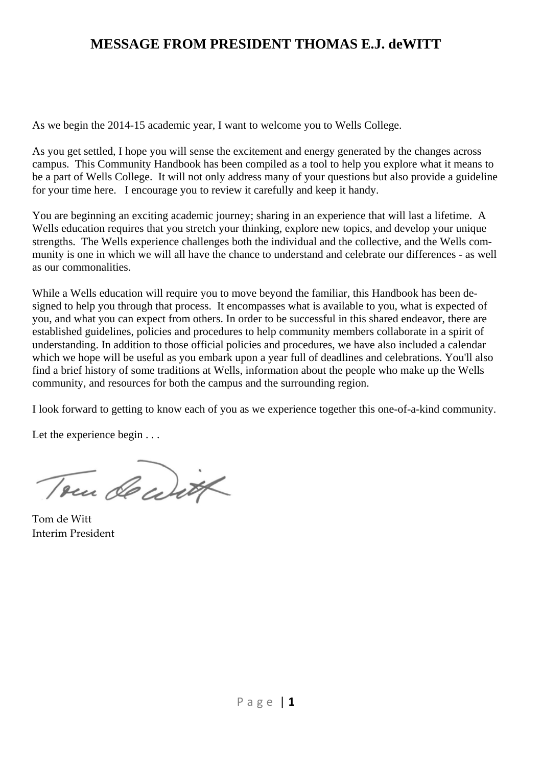# **MESSAGE FROM PRESIDENT THOMAS E.J. deWITT**

As we begin the 2014-15 academic year, I want to welcome you to Wells College.

As you get settled, I hope you will sense the excitement and energy generated by the changes across campus. This Community Handbook has been compiled as a tool to help you explore what it means to be a part of Wells College. It will not only address many of your questions but also provide a guideline for your time here. I encourage you to review it carefully and keep it handy.

You are beginning an exciting academic journey; sharing in an experience that will last a lifetime. A Wells education requires that you stretch your thinking, explore new topics, and develop your unique strengths. The Wells experience challenges both the individual and the collective, and the Wells community is one in which we will all have the chance to understand and celebrate our differences - as well as our commonalities.

While a Wells education will require you to move beyond the familiar, this Handbook has been designed to help you through that process. It encompasses what is available to you, what is expected of you, and what you can expect from others. In order to be successful in this shared endeavor, there are established guidelines, policies and procedures to help community members collaborate in a spirit of understanding. In addition to those official policies and procedures, we have also included a calendar which we hope will be useful as you embark upon a year full of deadlines and celebrations. You'll also find a brief history of some traditions at Wells, information about the people who make up the Wells community, and resources for both the campus and the surrounding region.

I look forward to getting to know each of you as we experience together this one-of-a-kind community.

Let the experience begin . . .

Tom de with

Tom de Witt Interim President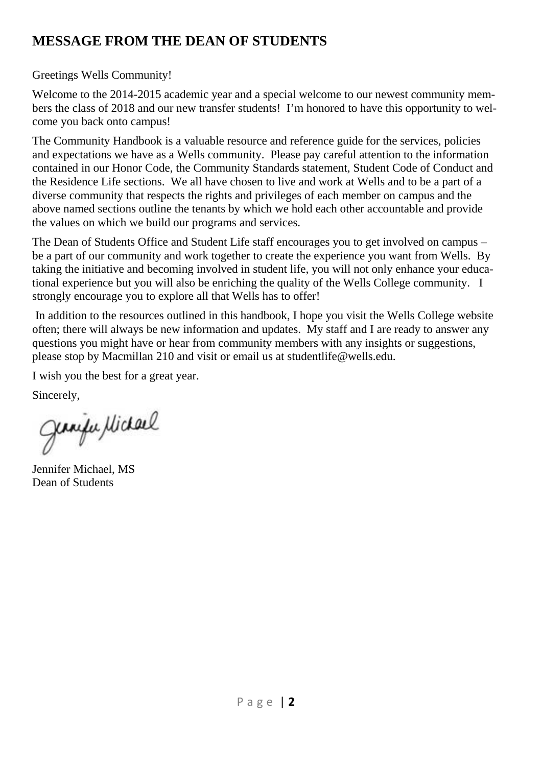# **MESSAGE FROM THE DEAN OF STUDENTS**

### Greetings Wells Community!

Welcome to the 2014-2015 academic year and a special welcome to our newest community members the class of 2018 and our new transfer students! I'm honored to have this opportunity to welcome you back onto campus!

The Community Handbook is a valuable resource and reference guide for the services, policies and expectations we have as a Wells community. Please pay careful attention to the information contained in our Honor Code, the Community Standards statement, Student Code of Conduct and the Residence Life sections. We all have chosen to live and work at Wells and to be a part of a diverse community that respects the rights and privileges of each member on campus and the above named sections outline the tenants by which we hold each other accountable and provide the values on which we build our programs and services.

The Dean of Students Office and Student Life staff encourages you to get involved on campus – be a part of our community and work together to create the experience you want from Wells. By taking the initiative and becoming involved in student life, you will not only enhance your educational experience but you will also be enriching the quality of the Wells College community. I strongly encourage you to explore all that Wells has to offer!

 In addition to the resources outlined in this handbook, I hope you visit the Wells College website often; there will always be new information and updates. My staff and I are ready to answer any questions you might have or hear from community members with any insights or suggestions, please stop by Macmillan 210 and visit or email us at studentlife@wells.edu.

I wish you the best for a great year.

Sincerely,

Jeanja Michael

Jennifer Michael, MS Dean of Students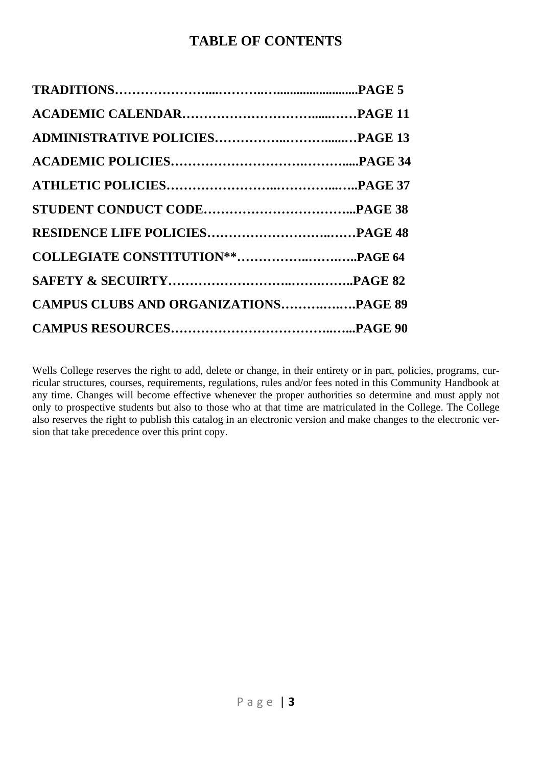# **TABLE OF CONTENTS**

| <b>CAMPUS CLUBS AND ORGANIZATIONSPAGE 89</b> |  |
|----------------------------------------------|--|
|                                              |  |

Wells College reserves the right to add, delete or change, in their entirety or in part, policies, programs, curricular structures, courses, requirements, regulations, rules and/or fees noted in this Community Handbook at any time. Changes will become effective whenever the proper authorities so determine and must apply not only to prospective students but also to those who at that time are matriculated in the College. The College also reserves the right to publish this catalog in an electronic version and make changes to the electronic version that take precedence over this print copy.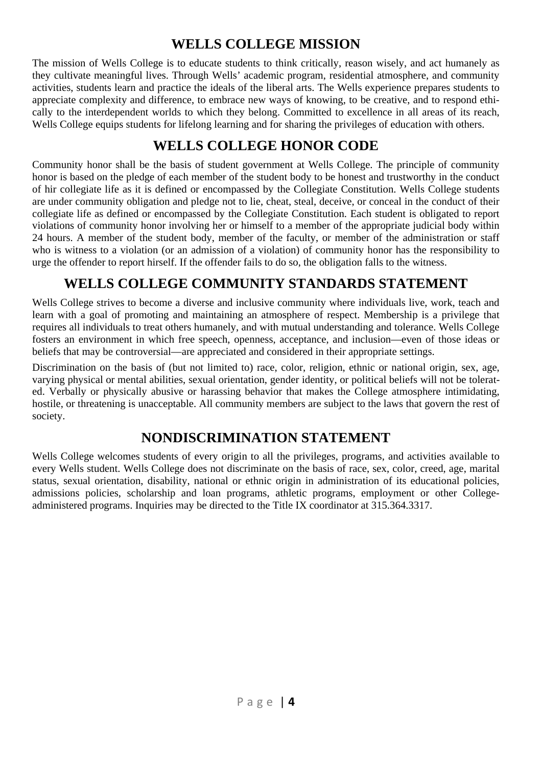# **WELLS COLLEGE MISSION**

The mission of Wells College is to educate students to think critically, reason wisely, and act humanely as they cultivate meaningful lives. Through Wells' academic program, residential atmosphere, and community activities, students learn and practice the ideals of the liberal arts. The Wells experience prepares students to appreciate complexity and difference, to embrace new ways of knowing, to be creative, and to respond ethically to the interdependent worlds to which they belong. Committed to excellence in all areas of its reach, Wells College equips students for lifelong learning and for sharing the privileges of education with others.

# **WELLS COLLEGE HONOR CODE**

Community honor shall be the basis of student government at Wells College. The principle of community honor is based on the pledge of each member of the student body to be honest and trustworthy in the conduct of hir collegiate life as it is defined or encompassed by the Collegiate Constitution. Wells College students are under community obligation and pledge not to lie, cheat, steal, deceive, or conceal in the conduct of their collegiate life as defined or encompassed by the Collegiate Constitution. Each student is obligated to report violations of community honor involving her or himself to a member of the appropriate judicial body within 24 hours. A member of the student body, member of the faculty, or member of the administration or staff who is witness to a violation (or an admission of a violation) of community honor has the responsibility to urge the offender to report hirself. If the offender fails to do so, the obligation falls to the witness.

# **WELLS COLLEGE COMMUNITY STANDARDS STATEMENT**

Wells College strives to become a diverse and inclusive community where individuals live, work, teach and learn with a goal of promoting and maintaining an atmosphere of respect. Membership is a privilege that requires all individuals to treat others humanely, and with mutual understanding and tolerance. Wells College fosters an environment in which free speech, openness, acceptance, and inclusion—even of those ideas or beliefs that may be controversial—are appreciated and considered in their appropriate settings.

Discrimination on the basis of (but not limited to) race, color, religion, ethnic or national origin, sex, age, varying physical or mental abilities, sexual orientation, gender identity, or political beliefs will not be tolerated. Verbally or physically abusive or harassing behavior that makes the College atmosphere intimidating, hostile, or threatening is unacceptable. All community members are subject to the laws that govern the rest of society.

# **NONDISCRIMINATION STATEMENT**

Wells College welcomes students of every origin to all the privileges, programs, and activities available to every Wells student. Wells College does not discriminate on the basis of race, sex, color, creed, age, marital status, sexual orientation, disability, national or ethnic origin in administration of its educational policies, admissions policies, scholarship and loan programs, athletic programs, employment or other Collegeadministered programs. Inquiries may be directed to the Title IX coordinator at 315.364.3317.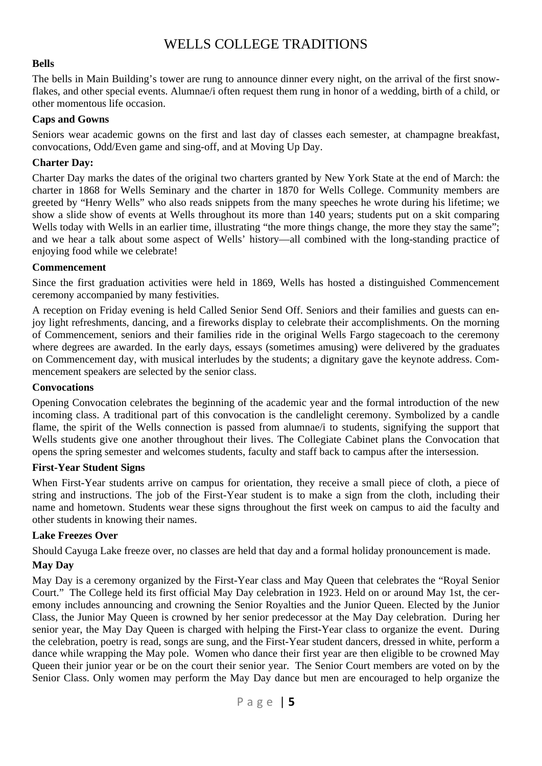# WELLS COLLEGE TRADITIONS

#### **Bells**

The bells in Main Building's tower are rung to announce dinner every night, on the arrival of the first snowflakes, and other special events. Alumnae/i often request them rung in honor of a wedding, birth of a child, or other momentous life occasion.

#### **Caps and Gowns**

Seniors wear academic gowns on the first and last day of classes each semester, at champagne breakfast, convocations, Odd/Even game and sing-off, and at Moving Up Day.

#### **Charter Day:**

Charter Day marks the dates of the original two charters granted by New York State at the end of March: the charter in 1868 for Wells Seminary and the charter in 1870 for Wells College. Community members are greeted by "Henry Wells" who also reads snippets from the many speeches he wrote during his lifetime; we show a slide show of events at Wells throughout its more than 140 years; students put on a skit comparing Wells today with Wells in an earlier time, illustrating "the more things change, the more they stay the same"; and we hear a talk about some aspect of Wells' history—all combined with the long-standing practice of enjoying food while we celebrate!

#### **Commencement**

Since the first graduation activities were held in 1869, Wells has hosted a distinguished Commencement ceremony accompanied by many festivities.

A reception on Friday evening is held Called Senior Send Off. Seniors and their families and guests can enjoy light refreshments, dancing, and a fireworks display to celebrate their accomplishments. On the morning of Commencement, seniors and their families ride in the original Wells Fargo stagecoach to the ceremony where degrees are awarded. In the early days, essays (sometimes amusing) were delivered by the graduates on Commencement day, with musical interludes by the students; a dignitary gave the keynote address. Commencement speakers are selected by the senior class.

#### **Convocations**

Opening Convocation celebrates the beginning of the academic year and the formal introduction of the new incoming class. A traditional part of this convocation is the candlelight ceremony. Symbolized by a candle flame, the spirit of the Wells connection is passed from alumnae/i to students, signifying the support that Wells students give one another throughout their lives. The Collegiate Cabinet plans the Convocation that opens the spring semester and welcomes students, faculty and staff back to campus after the intersession.

#### **First-Year Student Signs**

When First-Year students arrive on campus for orientation, they receive a small piece of cloth, a piece of string and instructions. The job of the First-Year student is to make a sign from the cloth, including their name and hometown. Students wear these signs throughout the first week on campus to aid the faculty and other students in knowing their names.

#### **Lake Freezes Over**

Should Cayuga Lake freeze over, no classes are held that day and a formal holiday pronouncement is made.

#### **May Day**

May Day is a ceremony organized by the First-Year class and May Queen that celebrates the "Royal Senior Court." The College held its first official May Day celebration in 1923. Held on or around May 1st, the ceremony includes announcing and crowning the Senior Royalties and the Junior Queen. Elected by the Junior Class, the Junior May Queen is crowned by her senior predecessor at the May Day celebration. During her senior year, the May Day Queen is charged with helping the First-Year class to organize the event. During the celebration, poetry is read, songs are sung, and the First-Year student dancers, dressed in white, perform a dance while wrapping the May pole. Women who dance their first year are then eligible to be crowned May Queen their junior year or be on the court their senior year. The Senior Court members are voted on by the Senior Class. Only women may perform the May Day dance but men are encouraged to help organize the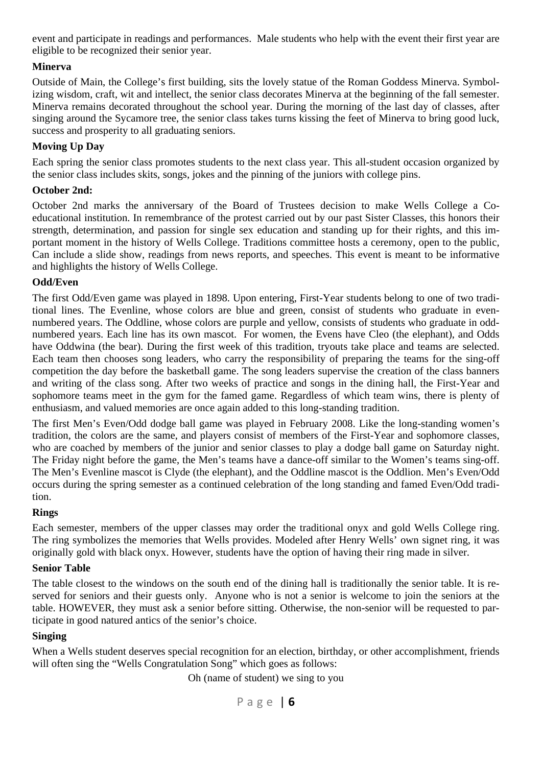event and participate in readings and performances. Male students who help with the event their first year are eligible to be recognized their senior year.

#### **Minerva**

Outside of Main, the College's first building, sits the lovely statue of the Roman Goddess Minerva. Symbolizing wisdom, craft, wit and intellect, the senior class decorates Minerva at the beginning of the fall semester. Minerva remains decorated throughout the school year. During the morning of the last day of classes, after singing around the Sycamore tree, the senior class takes turns kissing the feet of Minerva to bring good luck, success and prosperity to all graduating seniors.

#### **Moving Up Day**

Each spring the senior class promotes students to the next class year. This all-student occasion organized by the senior class includes skits, songs, jokes and the pinning of the juniors with college pins.

#### **October 2nd:**

October 2nd marks the anniversary of the Board of Trustees decision to make Wells College a Coeducational institution. In remembrance of the protest carried out by our past Sister Classes, this honors their strength, determination, and passion for single sex education and standing up for their rights, and this important moment in the history of Wells College. Traditions committee hosts a ceremony, open to the public, Can include a slide show, readings from news reports, and speeches. This event is meant to be informative and highlights the history of Wells College.

#### **Odd/Even**

The first Odd/Even game was played in 1898. Upon entering, First-Year students belong to one of two traditional lines. The Evenline, whose colors are blue and green, consist of students who graduate in evennumbered years. The Oddline, whose colors are purple and yellow, consists of students who graduate in oddnumbered years. Each line has its own mascot. For women, the Evens have Cleo (the elephant), and Odds have Oddwina (the bear). During the first week of this tradition, tryouts take place and teams are selected. Each team then chooses song leaders, who carry the responsibility of preparing the teams for the sing-off competition the day before the basketball game. The song leaders supervise the creation of the class banners and writing of the class song. After two weeks of practice and songs in the dining hall, the First-Year and sophomore teams meet in the gym for the famed game. Regardless of which team wins, there is plenty of enthusiasm, and valued memories are once again added to this long-standing tradition.

The first Men's Even/Odd dodge ball game was played in February 2008. Like the long-standing women's tradition, the colors are the same, and players consist of members of the First-Year and sophomore classes, who are coached by members of the junior and senior classes to play a dodge ball game on Saturday night. The Friday night before the game, the Men's teams have a dance-off similar to the Women's teams sing-off. The Men's Evenline mascot is Clyde (the elephant), and the Oddline mascot is the Oddlion. Men's Even/Odd occurs during the spring semester as a continued celebration of the long standing and famed Even/Odd tradition.

#### **Rings**

Each semester, members of the upper classes may order the traditional onyx and gold Wells College ring. The ring symbolizes the memories that Wells provides. Modeled after Henry Wells' own signet ring, it was originally gold with black onyx. However, students have the option of having their ring made in silver.

#### **Senior Table**

The table closest to the windows on the south end of the dining hall is traditionally the senior table. It is reserved for seniors and their guests only. Anyone who is not a senior is welcome to join the seniors at the table. HOWEVER, they must ask a senior before sitting. Otherwise, the non-senior will be requested to participate in good natured antics of the senior's choice.

#### **Singing**

When a Wells student deserves special recognition for an election, birthday, or other accomplishment, friends will often sing the "Wells Congratulation Song" which goes as follows:

Oh (name of student) we sing to you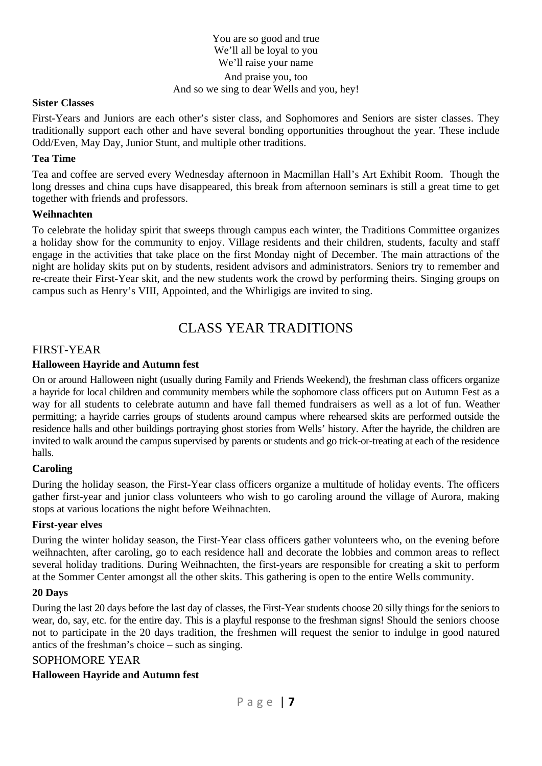You are so good and true We'll all be loyal to you We'll raise your name And praise you, too And so we sing to dear Wells and you, hey!

#### **Sister Classes**

First-Years and Juniors are each other's sister class, and Sophomores and Seniors are sister classes. They traditionally support each other and have several bonding opportunities throughout the year. These include Odd/Even, May Day, Junior Stunt, and multiple other traditions.

#### **Tea Time**

Tea and coffee are served every Wednesday afternoon in Macmillan Hall's Art Exhibit Room. Though the long dresses and china cups have disappeared, this break from afternoon seminars is still a great time to get together with friends and professors.

#### **Weihnachten**

To celebrate the holiday spirit that sweeps through campus each winter, the Traditions Committee organizes a holiday show for the community to enjoy. Village residents and their children, students, faculty and staff engage in the activities that take place on the first Monday night of December. The main attractions of the night are holiday skits put on by students, resident advisors and administrators. Seniors try to remember and re-create their First-Year skit, and the new students work the crowd by performing theirs. Singing groups on campus such as Henry's VIII, Appointed, and the Whirligigs are invited to sing.

# CLASS YEAR TRADITIONS

#### FIRST-YEAR

#### **Halloween Hayride and Autumn fest**

On or around Halloween night (usually during Family and Friends Weekend), the freshman class officers organize a hayride for local children and community members while the sophomore class officers put on Autumn Fest as a way for all students to celebrate autumn and have fall themed fundraisers as well as a lot of fun. Weather permitting; a hayride carries groups of students around campus where rehearsed skits are performed outside the residence halls and other buildings portraying ghost stories from Wells' history. After the hayride, the children are invited to walk around the campus supervised by parents or students and go trick-or-treating at each of the residence halls.

#### **Caroling**

During the holiday season, the First-Year class officers organize a multitude of holiday events. The officers gather first-year and junior class volunteers who wish to go caroling around the village of Aurora, making stops at various locations the night before Weihnachten.

#### **First-year elves**

During the winter holiday season, the First-Year class officers gather volunteers who, on the evening before weihnachten, after caroling, go to each residence hall and decorate the lobbies and common areas to reflect several holiday traditions. During Weihnachten, the first-years are responsible for creating a skit to perform at the Sommer Center amongst all the other skits. This gathering is open to the entire Wells community.

#### **20 Days**

During the last 20 days before the last day of classes, the First-Year students choose 20 silly things for the seniors to wear, do, say, etc. for the entire day. This is a playful response to the freshman signs! Should the seniors choose not to participate in the 20 days tradition, the freshmen will request the senior to indulge in good natured antics of the freshman's choice – such as singing.

#### SOPHOMORE YEAR

#### **Halloween Hayride and Autumn fest**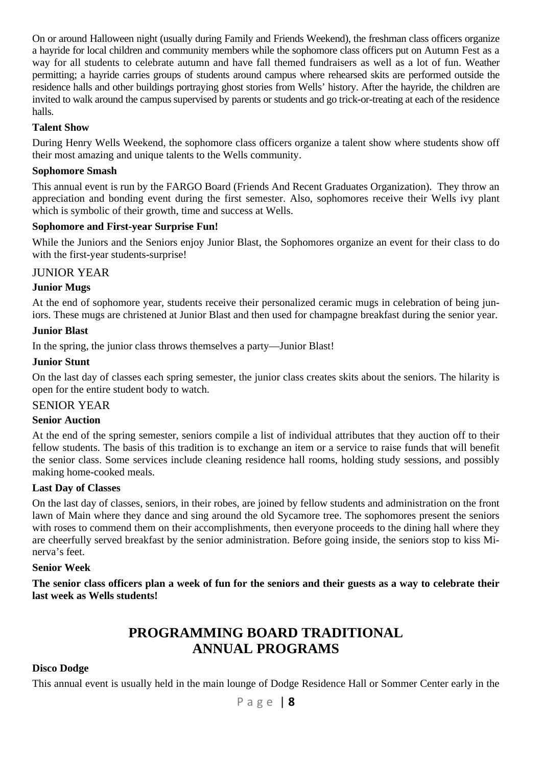On or around Halloween night (usually during Family and Friends Weekend), the freshman class officers organize a hayride for local children and community members while the sophomore class officers put on Autumn Fest as a way for all students to celebrate autumn and have fall themed fundraisers as well as a lot of fun. Weather permitting; a hayride carries groups of students around campus where rehearsed skits are performed outside the residence halls and other buildings portraying ghost stories from Wells' history. After the hayride, the children are invited to walk around the campus supervised by parents or students and go trick-or-treating at each of the residence halls.

#### **Talent Show**

During Henry Wells Weekend, the sophomore class officers organize a talent show where students show off their most amazing and unique talents to the Wells community.

#### **Sophomore Smash**

This annual event is run by the FARGO Board (Friends And Recent Graduates Organization). They throw an appreciation and bonding event during the first semester. Also, sophomores receive their Wells ivy plant which is symbolic of their growth, time and success at Wells.

#### **Sophomore and First-year Surprise Fun!**

While the Juniors and the Seniors enjoy Junior Blast, the Sophomores organize an event for their class to do with the first-year students-surprise!

#### JUNIOR YEAR

#### **Junior Mugs**

At the end of sophomore year, students receive their personalized ceramic mugs in celebration of being juniors. These mugs are christened at Junior Blast and then used for champagne breakfast during the senior year.

#### **Junior Blast**

In the spring, the junior class throws themselves a party—Junior Blast!

#### **Junior Stunt**

On the last day of classes each spring semester, the junior class creates skits about the seniors. The hilarity is open for the entire student body to watch.

#### SENIOR YEAR

#### **Senior Auction**

At the end of the spring semester, seniors compile a list of individual attributes that they auction off to their fellow students. The basis of this tradition is to exchange an item or a service to raise funds that will benefit the senior class. Some services include cleaning residence hall rooms, holding study sessions, and possibly making home-cooked meals.

#### **Last Day of Classes**

On the last day of classes, seniors, in their robes, are joined by fellow students and administration on the front lawn of Main where they dance and sing around the old Sycamore tree. The sophomores present the seniors with roses to commend them on their accomplishments, then everyone proceeds to the dining hall where they are cheerfully served breakfast by the senior administration. Before going inside, the seniors stop to kiss Minerva's feet.

#### **Senior Week**

**The senior class officers plan a week of fun for the seniors and their guests as a way to celebrate their last week as Wells students!**

# **PROGRAMMING BOARD TRADITIONAL ANNUAL PROGRAMS**

#### **Disco Dodge**

This annual event is usually held in the main lounge of Dodge Residence Hall or Sommer Center early in the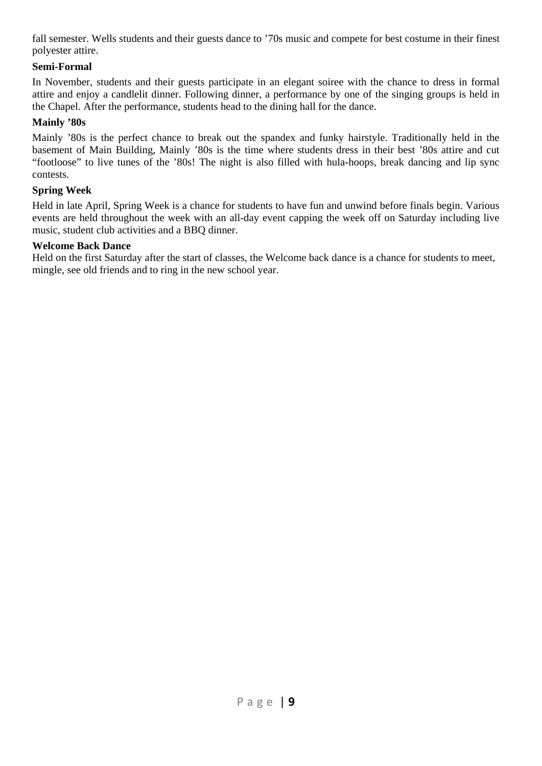fall semester. Wells students and their guests dance to '70s music and compete for best costume in their finest polyester attire.

#### **Semi-Formal**

In November, students and their guests participate in an elegant soiree with the chance to dress in formal attire and enjoy a candlelit dinner. Following dinner, a performance by one of the singing groups is held in the Chapel. After the performance, students head to the dining hall for the dance.

#### **Mainly '80s**

Mainly '80s is the perfect chance to break out the spandex and funky hairstyle. Traditionally held in the basement of Main Building, Mainly '80s is the time where students dress in their best '80s attire and cut "footloose" to live tunes of the '80s! The night is also filled with hula-hoops, break dancing and lip sync contests.

#### **Spring Week**

Held in late April, Spring Week is a chance for students to have fun and unwind before finals begin. Various events are held throughout the week with an all-day event capping the week off on Saturday including live music, student club activities and a BBQ dinner.

#### **Welcome Back Dance**

Held on the first Saturday after the start of classes, the Welcome back dance is a chance for students to meet, mingle, see old friends and to ring in the new school year.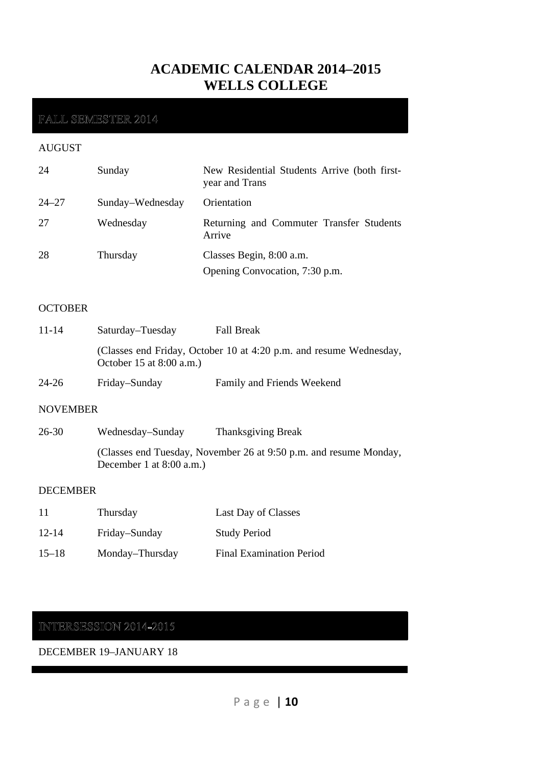# **ACADEMIC CALENDAR 2014–2015 WELLS COLLEGE**

## FALL SEMESTER 2014

#### AUGUST

| 24        | Sunday           | New Residential Students Arrive (both first-<br>year and Trans |
|-----------|------------------|----------------------------------------------------------------|
| $24 - 27$ | Sunday–Wednesday | Orientation                                                    |
| 27        | Wednesday        | Returning and Commuter Transfer Students<br>Arrive             |
| 28        | Thursday         | Classes Begin, 8:00 a.m.<br>Opening Convocation, 7:30 p.m.     |

#### **OCTOBER**

| $11 - 14$ | Saturday–Tuesday                                                                                 | <b>Fall Break</b>          |
|-----------|--------------------------------------------------------------------------------------------------|----------------------------|
|           | (Classes end Friday, October 10 at 4:20 p.m. and resume Wednesday,<br>October 15 at $8:00$ a.m.) |                            |
| $24 - 26$ | Friday-Sunday                                                                                    | Family and Friends Weekend |

#### NOVEMBER

| 26-30 | Wednesday–Sunday           | <b>Thanksgiving Break</b>                                         |
|-------|----------------------------|-------------------------------------------------------------------|
|       | December 1 at $8:00$ a.m.) | (Classes end Tuesday, November 26 at 9:50 p.m. and resume Monday, |

#### DECEMBER

| -11       | Thursday        | Last Day of Classes             |
|-----------|-----------------|---------------------------------|
| $12 - 14$ | Friday-Sunday   | <b>Study Period</b>             |
| $15 - 18$ | Monday-Thursday | <b>Final Examination Period</b> |

# INTERSESSION 2014-2015

DECEMBER 19–JANUARY 18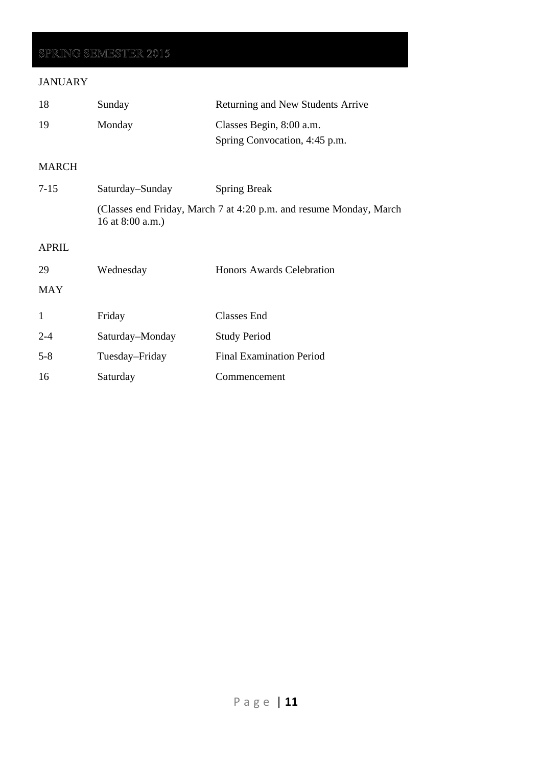# SPRING SEMESTER 2015

### JANUARY

| 18           | Sunday           | Returning and New Students Arrive                                  |
|--------------|------------------|--------------------------------------------------------------------|
| 19           | Monday           | Classes Begin, 8:00 a.m.                                           |
|              |                  | Spring Convocation, 4:45 p.m.                                      |
| MARCH        |                  |                                                                    |
| $7 - 15$     | Saturday–Sunday  | <b>Spring Break</b>                                                |
|              | 16 at 8:00 a.m.) | (Classes end Friday, March 7 at 4:20 p.m. and resume Monday, March |
| <b>APRIL</b> |                  |                                                                    |
| 29           | Wednesday        | Honors Awards Celebration                                          |
| MAY          |                  |                                                                    |
| 1            | Friday           | Classes End                                                        |
| $2 - 4$      | Saturday–Monday  | <b>Study Period</b>                                                |
| $5 - 8$      | Tuesday–Friday   | <b>Final Examination Period</b>                                    |
| 16           | Saturday         | Commencement                                                       |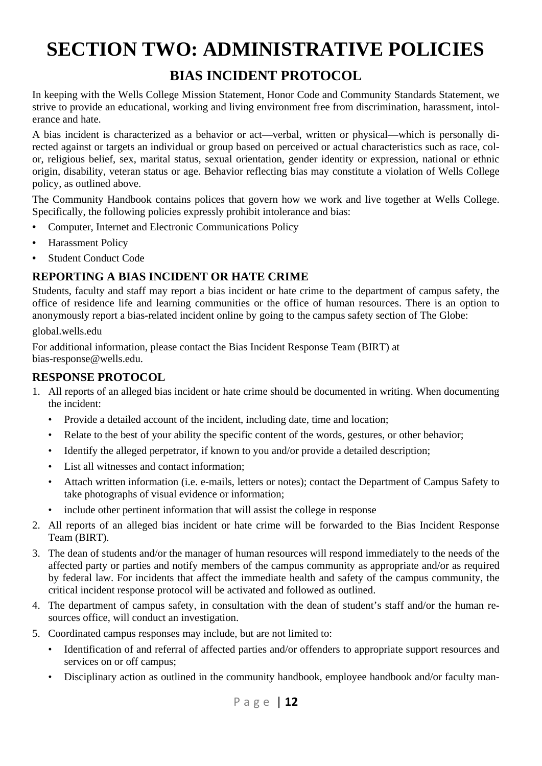# **SECTION TWO: ADMINISTRATIVE POLICIES**

# **BIAS INCIDENT PROTOCOL**

In keeping with the Wells College Mission Statement, Honor Code and Community Standards Statement, we strive to provide an educational, working and living environment free from discrimination, harassment, intolerance and hate.

A bias incident is characterized as a behavior or act—verbal, written or physical—which is personally directed against or targets an individual or group based on perceived or actual characteristics such as race, color, religious belief, sex, marital status, sexual orientation, gender identity or expression, national or ethnic origin, disability, veteran status or age. Behavior reflecting bias may constitute a violation of Wells College policy, as outlined above.

The Community Handbook contains polices that govern how we work and live together at Wells College. Specifically, the following policies expressly prohibit intolerance and bias:

- Computer, Internet and Electronic Communications Policy
- Harassment Policy
- Student Conduct Code

### **REPORTING A BIAS INCIDENT OR HATE CRIME**

Students, faculty and staff may report a bias incident or hate crime to the department of campus safety, the office of residence life and learning communities or the office of human resources. There is an option to anonymously report a bias-related incident online by going to the campus safety section of The Globe:

global.wells.edu

For additional information, please contact the Bias Incident Response Team (BIRT) at bias-response@wells.edu.

### **RESPONSE PROTOCOL**

- 1. All reports of an alleged bias incident or hate crime should be documented in writing. When documenting the incident:
	- Provide a detailed account of the incident, including date, time and location;
	- Relate to the best of your ability the specific content of the words, gestures, or other behavior;
	- Identify the alleged perpetrator, if known to you and/or provide a detailed description;
	- List all witnesses and contact information;
	- Attach written information (i.e. e-mails, letters or notes); contact the Department of Campus Safety to take photographs of visual evidence or information;
	- include other pertinent information that will assist the college in response
- 2. All reports of an alleged bias incident or hate crime will be forwarded to the Bias Incident Response Team (BIRT).
- 3. The dean of students and/or the manager of human resources will respond immediately to the needs of the affected party or parties and notify members of the campus community as appropriate and/or as required by federal law. For incidents that affect the immediate health and safety of the campus community, the critical incident response protocol will be activated and followed as outlined.
- 4. The department of campus safety, in consultation with the dean of student's staff and/or the human resources office, will conduct an investigation.
- 5. Coordinated campus responses may include, but are not limited to:
	- Identification of and referral of affected parties and/or offenders to appropriate support resources and services on or off campus;
	- Disciplinary action as outlined in the community handbook, employee handbook and/or faculty man-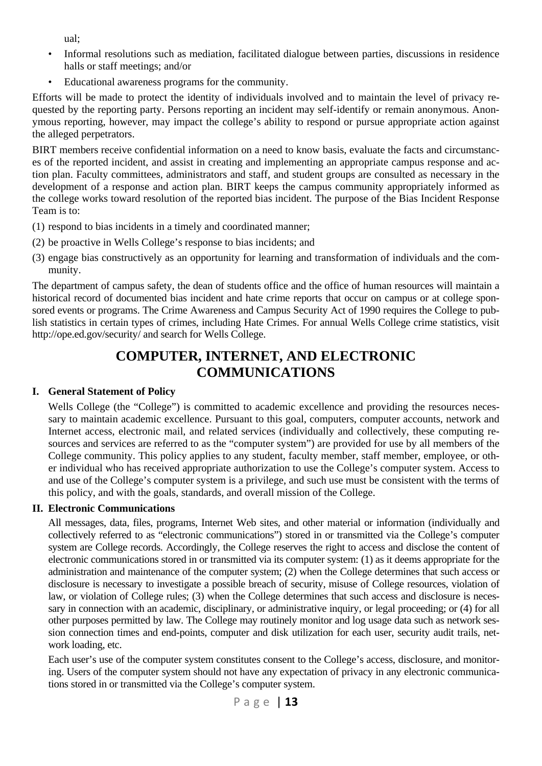ual;

- Informal resolutions such as mediation, facilitated dialogue between parties, discussions in residence halls or staff meetings; and/or
- Educational awareness programs for the community.

Efforts will be made to protect the identity of individuals involved and to maintain the level of privacy requested by the reporting party. Persons reporting an incident may self-identify or remain anonymous. Anonymous reporting, however, may impact the college's ability to respond or pursue appropriate action against the alleged perpetrators.

BIRT members receive confidential information on a need to know basis, evaluate the facts and circumstances of the reported incident, and assist in creating and implementing an appropriate campus response and action plan. Faculty committees, administrators and staff, and student groups are consulted as necessary in the development of a response and action plan. BIRT keeps the campus community appropriately informed as the college works toward resolution of the reported bias incident. The purpose of the Bias Incident Response Team is to:

- (1) respond to bias incidents in a timely and coordinated manner;
- (2) be proactive in Wells College's response to bias incidents; and
- (3) engage bias constructively as an opportunity for learning and transformation of individuals and the community.

The department of campus safety, the dean of students office and the office of human resources will maintain a historical record of documented bias incident and hate crime reports that occur on campus or at college sponsored events or programs. The Crime Awareness and Campus Security Act of 1990 requires the College to publish statistics in certain types of crimes, including Hate Crimes. For annual Wells College crime statistics, visit http://ope.ed.gov/security/ and search for Wells College.

# **COMPUTER, INTERNET, AND ELECTRONIC COMMUNICATIONS**

### **I. General Statement of Policy**

 Wells College (the "College") is committed to academic excellence and providing the resources necessary to maintain academic excellence. Pursuant to this goal, computers, computer accounts, network and Internet access, electronic mail, and related services (individually and collectively, these computing resources and services are referred to as the "computer system") are provided for use by all members of the College community. This policy applies to any student, faculty member, staff member, employee, or other individual who has received appropriate authorization to use the College's computer system. Access to and use of the College's computer system is a privilege, and such use must be consistent with the terms of this policy, and with the goals, standards, and overall mission of the College.

### **II. Electronic Communications**

 All messages, data, files, programs, Internet Web sites, and other material or information (individually and collectively referred to as "electronic communications") stored in or transmitted via the College's computer system are College records. Accordingly, the College reserves the right to access and disclose the content of electronic communications stored in or transmitted via its computer system: (1) as it deems appropriate for the administration and maintenance of the computer system; (2) when the College determines that such access or disclosure is necessary to investigate a possible breach of security, misuse of College resources, violation of law, or violation of College rules; (3) when the College determines that such access and disclosure is necessary in connection with an academic, disciplinary, or administrative inquiry, or legal proceeding; or (4) for all other purposes permitted by law. The College may routinely monitor and log usage data such as network session connection times and end-points, computer and disk utilization for each user, security audit trails, network loading, etc.

 Each user's use of the computer system constitutes consent to the College's access, disclosure, and monitoring. Users of the computer system should not have any expectation of privacy in any electronic communications stored in or transmitted via the College's computer system.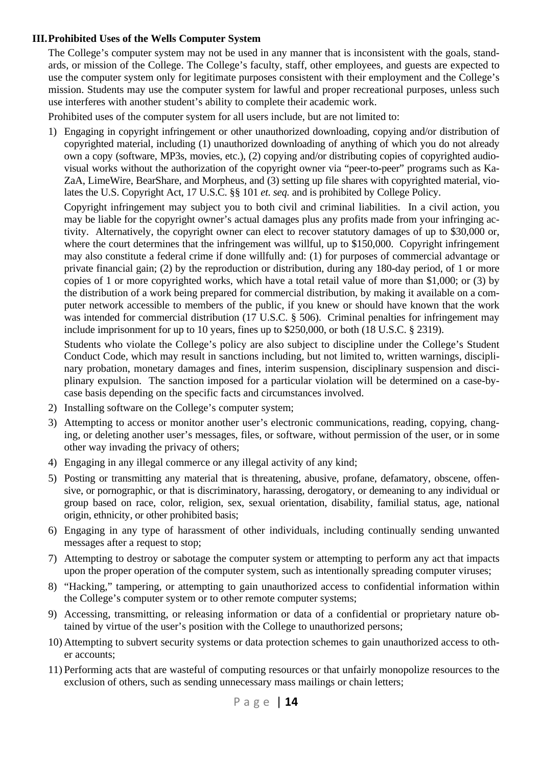#### **III. Prohibited Uses of the Wells Computer System**

 The College's computer system may not be used in any manner that is inconsistent with the goals, standards, or mission of the College. The College's faculty, staff, other employees, and guests are expected to use the computer system only for legitimate purposes consistent with their employment and the College's mission. Students may use the computer system for lawful and proper recreational purposes, unless such use interferes with another student's ability to complete their academic work.

Prohibited uses of the computer system for all users include, but are not limited to:

1) Engaging in copyright infringement or other unauthorized downloading, copying and/or distribution of copyrighted material, including (1) unauthorized downloading of anything of which you do not already own a copy (software, MP3s, movies, etc.), (2) copying and/or distributing copies of copyrighted audiovisual works without the authorization of the copyright owner via "peer-to-peer" programs such as Ka-ZaA, LimeWire, BearShare, and Morpheus, and (3) setting up file shares with copyrighted material, violates the U.S. Copyright Act, 17 U.S.C. §§ 101 *et. seq.* and is prohibited by College Policy.

 Copyright infringement may subject you to both civil and criminal liabilities. In a civil action, you may be liable for the copyright owner's actual damages plus any profits made from your infringing activity. Alternatively, the copyright owner can elect to recover statutory damages of up to \$30,000 or, where the court determines that the infringement was willful, up to \$150,000. Copyright infringement may also constitute a federal crime if done willfully and: (1) for purposes of commercial advantage or private financial gain; (2) by the reproduction or distribution, during any 180-day period, of 1 or more copies of 1 or more copyrighted works, which have a total retail value of more than \$1,000; or (3) by the distribution of a work being prepared for commercial distribution, by making it available on a computer network accessible to members of the public, if you knew or should have known that the work was intended for commercial distribution (17 U.S.C. § 506). Criminal penalties for infringement may include imprisonment for up to 10 years, fines up to \$250,000, or both (18 U.S.C. § 2319).

 Students who violate the College's policy are also subject to discipline under the College's Student Conduct Code, which may result in sanctions including, but not limited to, written warnings, disciplinary probation, monetary damages and fines, interim suspension, disciplinary suspension and disciplinary expulsion. The sanction imposed for a particular violation will be determined on a case-bycase basis depending on the specific facts and circumstances involved.

- 2) Installing software on the College's computer system;
- 3) Attempting to access or monitor another user's electronic communications, reading, copying, changing, or deleting another user's messages, files, or software, without permission of the user, or in some other way invading the privacy of others;
- 4) Engaging in any illegal commerce or any illegal activity of any kind;
- 5) Posting or transmitting any material that is threatening, abusive, profane, defamatory, obscene, offensive, or pornographic, or that is discriminatory, harassing, derogatory, or demeaning to any individual or group based on race, color, religion, sex, sexual orientation, disability, familial status, age, national origin, ethnicity, or other prohibited basis;
- 6) Engaging in any type of harassment of other individuals, including continually sending unwanted messages after a request to stop;
- 7) Attempting to destroy or sabotage the computer system or attempting to perform any act that impacts upon the proper operation of the computer system, such as intentionally spreading computer viruses;
- 8) "Hacking," tampering, or attempting to gain unauthorized access to confidential information within the College's computer system or to other remote computer systems;
- 9) Accessing, transmitting, or releasing information or data of a confidential or proprietary nature obtained by virtue of the user's position with the College to unauthorized persons;
- 10) Attempting to subvert security systems or data protection schemes to gain unauthorized access to other accounts;
- 11) Performing acts that are wasteful of computing resources or that unfairly monopolize resources to the exclusion of others, such as sending unnecessary mass mailings or chain letters;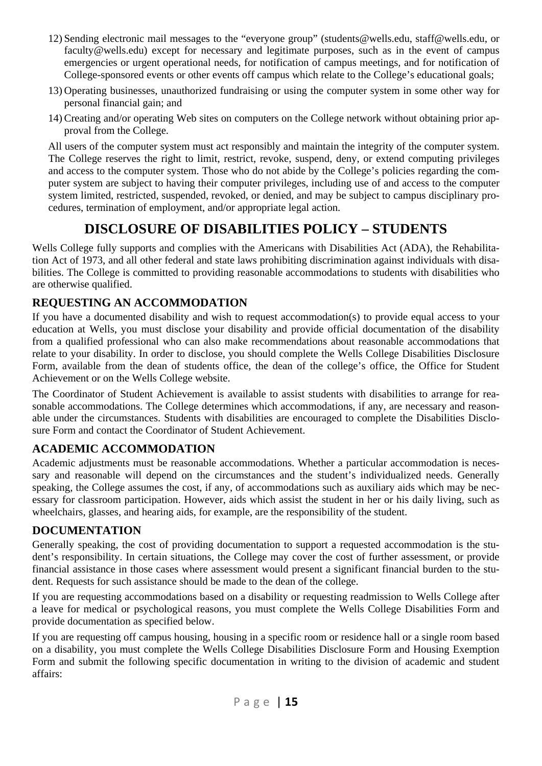- 12) Sending electronic mail messages to the "everyone group" (students@wells.edu, staff@wells.edu, or faculty@wells.edu) except for necessary and legitimate purposes, such as in the event of campus emergencies or urgent operational needs, for notification of campus meetings, and for notification of College-sponsored events or other events off campus which relate to the College's educational goals;
- 13) Operating businesses, unauthorized fundraising or using the computer system in some other way for personal financial gain; and
- 14) Creating and/or operating Web sites on computers on the College network without obtaining prior approval from the College.

 All users of the computer system must act responsibly and maintain the integrity of the computer system. The College reserves the right to limit, restrict, revoke, suspend, deny, or extend computing privileges and access to the computer system. Those who do not abide by the College's policies regarding the computer system are subject to having their computer privileges, including use of and access to the computer system limited, restricted, suspended, revoked, or denied, and may be subject to campus disciplinary procedures, termination of employment, and/or appropriate legal action.

# **DISCLOSURE OF DISABILITIES POLICY – STUDENTS**

Wells College fully supports and complies with the Americans with Disabilities Act (ADA), the Rehabilitation Act of 1973, and all other federal and state laws prohibiting discrimination against individuals with disabilities. The College is committed to providing reasonable accommodations to students with disabilities who are otherwise qualified.

## **REQUESTING AN ACCOMMODATION**

If you have a documented disability and wish to request accommodation(s) to provide equal access to your education at Wells, you must disclose your disability and provide official documentation of the disability from a qualified professional who can also make recommendations about reasonable accommodations that relate to your disability. In order to disclose, you should complete the Wells College Disabilities Disclosure Form, available from the dean of students office, the dean of the college's office, the Office for Student Achievement or on the Wells College website.

The Coordinator of Student Achievement is available to assist students with disabilities to arrange for reasonable accommodations. The College determines which accommodations, if any, are necessary and reasonable under the circumstances. Students with disabilities are encouraged to complete the Disabilities Disclosure Form and contact the Coordinator of Student Achievement.

### **ACADEMIC ACCOMMODATION**

Academic adjustments must be reasonable accommodations. Whether a particular accommodation is necessary and reasonable will depend on the circumstances and the student's individualized needs. Generally speaking, the College assumes the cost, if any, of accommodations such as auxiliary aids which may be necessary for classroom participation. However, aids which assist the student in her or his daily living, such as wheelchairs, glasses, and hearing aids, for example, are the responsibility of the student.

### **DOCUMENTATION**

Generally speaking, the cost of providing documentation to support a requested accommodation is the student's responsibility. In certain situations, the College may cover the cost of further assessment, or provide financial assistance in those cases where assessment would present a significant financial burden to the student. Requests for such assistance should be made to the dean of the college.

If you are requesting accommodations based on a disability or requesting readmission to Wells College after a leave for medical or psychological reasons, you must complete the Wells College Disabilities Form and provide documentation as specified below.

If you are requesting off campus housing, housing in a specific room or residence hall or a single room based on a disability, you must complete the Wells College Disabilities Disclosure Form and Housing Exemption Form and submit the following specific documentation in writing to the division of academic and student affairs: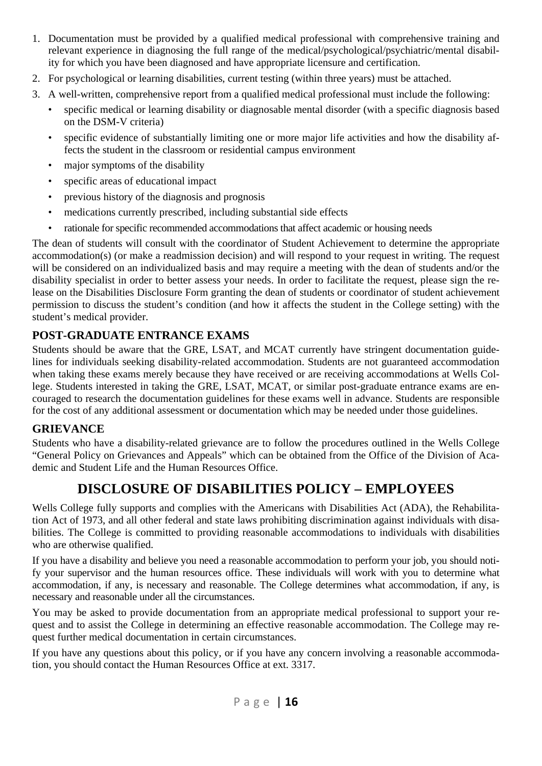- 1. Documentation must be provided by a qualified medical professional with comprehensive training and relevant experience in diagnosing the full range of the medical/psychological/psychiatric/mental disability for which you have been diagnosed and have appropriate licensure and certification.
- 2. For psychological or learning disabilities, current testing (within three years) must be attached.
- 3. A well-written, comprehensive report from a qualified medical professional must include the following:
	- specific medical or learning disability or diagnosable mental disorder (with a specific diagnosis based on the DSM-V criteria)
	- specific evidence of substantially limiting one or more major life activities and how the disability affects the student in the classroom or residential campus environment
	- major symptoms of the disability
	- specific areas of educational impact
	- previous history of the diagnosis and prognosis
	- medications currently prescribed, including substantial side effects
	- rationale for specific recommended accommodations that affect academic or housing needs

The dean of students will consult with the coordinator of Student Achievement to determine the appropriate accommodation(s) (or make a readmission decision) and will respond to your request in writing. The request will be considered on an individualized basis and may require a meeting with the dean of students and/or the disability specialist in order to better assess your needs. In order to facilitate the request, please sign the release on the Disabilities Disclosure Form granting the dean of students or coordinator of student achievement permission to discuss the student's condition (and how it affects the student in the College setting) with the student's medical provider.

### **POST-GRADUATE ENTRANCE EXAMS**

Students should be aware that the GRE, LSAT, and MCAT currently have stringent documentation guidelines for individuals seeking disability-related accommodation. Students are not guaranteed accommodation when taking these exams merely because they have received or are receiving accommodations at Wells College. Students interested in taking the GRE, LSAT, MCAT, or similar post-graduate entrance exams are encouraged to research the documentation guidelines for these exams well in advance. Students are responsible for the cost of any additional assessment or documentation which may be needed under those guidelines.

### **GRIEVANCE**

Students who have a disability-related grievance are to follow the procedures outlined in the Wells College "General Policy on Grievances and Appeals" which can be obtained from the Office of the Division of Academic and Student Life and the Human Resources Office.

# **DISCLOSURE OF DISABILITIES POLICY – EMPLOYEES**

Wells College fully supports and complies with the Americans with Disabilities Act (ADA), the Rehabilitation Act of 1973, and all other federal and state laws prohibiting discrimination against individuals with disabilities. The College is committed to providing reasonable accommodations to individuals with disabilities who are otherwise qualified.

If you have a disability and believe you need a reasonable accommodation to perform your job, you should notify your supervisor and the human resources office. These individuals will work with you to determine what accommodation, if any, is necessary and reasonable. The College determines what accommodation, if any, is necessary and reasonable under all the circumstances.

You may be asked to provide documentation from an appropriate medical professional to support your request and to assist the College in determining an effective reasonable accommodation. The College may request further medical documentation in certain circumstances.

If you have any questions about this policy, or if you have any concern involving a reasonable accommodation, you should contact the Human Resources Office at ext. 3317.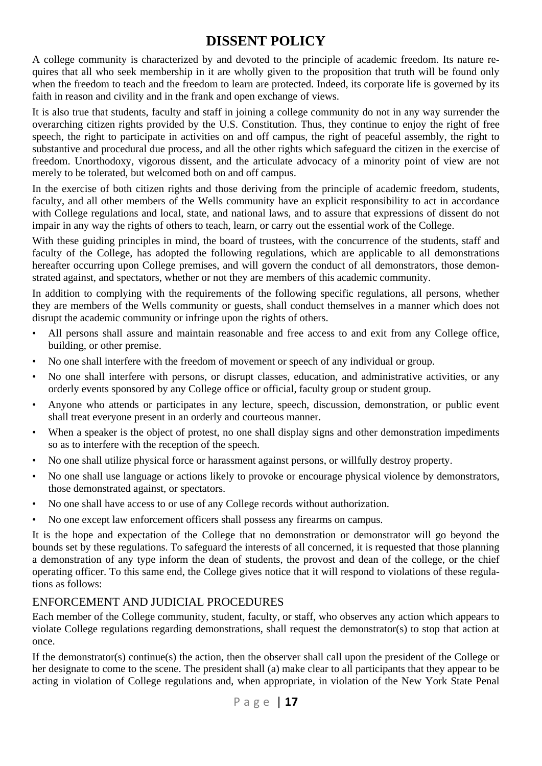# **DISSENT POLICY**

A college community is characterized by and devoted to the principle of academic freedom. Its nature requires that all who seek membership in it are wholly given to the proposition that truth will be found only when the freedom to teach and the freedom to learn are protected. Indeed, its corporate life is governed by its faith in reason and civility and in the frank and open exchange of views.

It is also true that students, faculty and staff in joining a college community do not in any way surrender the overarching citizen rights provided by the U.S. Constitution. Thus, they continue to enjoy the right of free speech, the right to participate in activities on and off campus, the right of peaceful assembly, the right to substantive and procedural due process, and all the other rights which safeguard the citizen in the exercise of freedom. Unorthodoxy, vigorous dissent, and the articulate advocacy of a minority point of view are not merely to be tolerated, but welcomed both on and off campus.

In the exercise of both citizen rights and those deriving from the principle of academic freedom, students, faculty, and all other members of the Wells community have an explicit responsibility to act in accordance with College regulations and local, state, and national laws, and to assure that expressions of dissent do not impair in any way the rights of others to teach, learn, or carry out the essential work of the College.

With these guiding principles in mind, the board of trustees, with the concurrence of the students, staff and faculty of the College, has adopted the following regulations, which are applicable to all demonstrations hereafter occurring upon College premises, and will govern the conduct of all demonstrators, those demonstrated against, and spectators, whether or not they are members of this academic community.

In addition to complying with the requirements of the following specific regulations, all persons, whether they are members of the Wells community or guests, shall conduct themselves in a manner which does not disrupt the academic community or infringe upon the rights of others.

- All persons shall assure and maintain reasonable and free access to and exit from any College office, building, or other premise.
- No one shall interfere with the freedom of movement or speech of any individual or group.
- No one shall interfere with persons, or disrupt classes, education, and administrative activities, or any orderly events sponsored by any College office or official, faculty group or student group.
- Anyone who attends or participates in any lecture, speech, discussion, demonstration, or public event shall treat everyone present in an orderly and courteous manner.
- When a speaker is the object of protest, no one shall display signs and other demonstration impediments so as to interfere with the reception of the speech.
- No one shall utilize physical force or harassment against persons, or willfully destroy property.
- No one shall use language or actions likely to provoke or encourage physical violence by demonstrators, those demonstrated against, or spectators.
- No one shall have access to or use of any College records without authorization.
- No one except law enforcement officers shall possess any firearms on campus.

It is the hope and expectation of the College that no demonstration or demonstrator will go beyond the bounds set by these regulations. To safeguard the interests of all concerned, it is requested that those planning a demonstration of any type inform the dean of students, the provost and dean of the college, or the chief operating officer. To this same end, the College gives notice that it will respond to violations of these regulations as follows:

#### ENFORCEMENT AND JUDICIAL PROCEDURES

Each member of the College community, student, faculty, or staff, who observes any action which appears to violate College regulations regarding demonstrations, shall request the demonstrator(s) to stop that action at once.

If the demonstrator(s) continue(s) the action, then the observer shall call upon the president of the College or her designate to come to the scene. The president shall (a) make clear to all participants that they appear to be acting in violation of College regulations and, when appropriate, in violation of the New York State Penal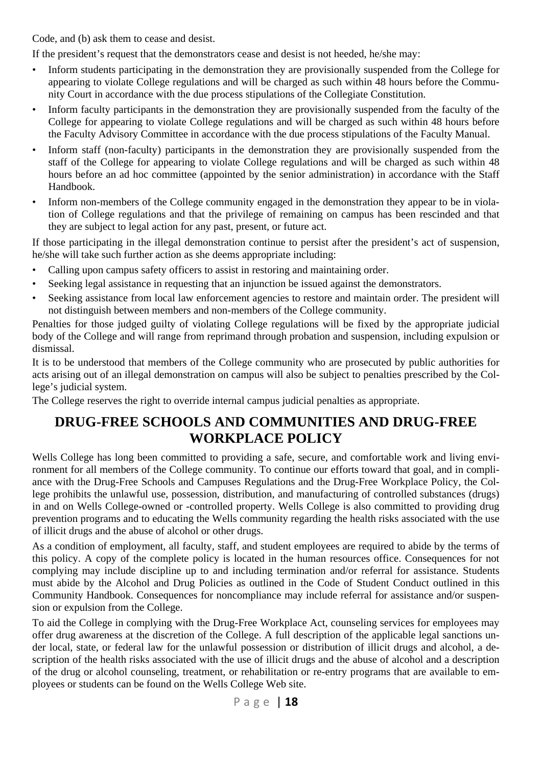Code, and (b) ask them to cease and desist.

If the president's request that the demonstrators cease and desist is not heeded, he/she may:

- Inform students participating in the demonstration they are provisionally suspended from the College for appearing to violate College regulations and will be charged as such within 48 hours before the Community Court in accordance with the due process stipulations of the Collegiate Constitution.
- Inform faculty participants in the demonstration they are provisionally suspended from the faculty of the College for appearing to violate College regulations and will be charged as such within 48 hours before the Faculty Advisory Committee in accordance with the due process stipulations of the Faculty Manual.
- Inform staff (non-faculty) participants in the demonstration they are provisionally suspended from the staff of the College for appearing to violate College regulations and will be charged as such within 48 hours before an ad hoc committee (appointed by the senior administration) in accordance with the Staff Handbook.
- Inform non-members of the College community engaged in the demonstration they appear to be in violation of College regulations and that the privilege of remaining on campus has been rescinded and that they are subject to legal action for any past, present, or future act.

If those participating in the illegal demonstration continue to persist after the president's act of suspension, he/she will take such further action as she deems appropriate including:

- Calling upon campus safety officers to assist in restoring and maintaining order.
- Seeking legal assistance in requesting that an injunction be issued against the demonstrators.
- Seeking assistance from local law enforcement agencies to restore and maintain order. The president will not distinguish between members and non-members of the College community.

Penalties for those judged guilty of violating College regulations will be fixed by the appropriate judicial body of the College and will range from reprimand through probation and suspension, including expulsion or dismissal.

It is to be understood that members of the College community who are prosecuted by public authorities for acts arising out of an illegal demonstration on campus will also be subject to penalties prescribed by the College's judicial system.

The College reserves the right to override internal campus judicial penalties as appropriate.

# **DRUG-FREE SCHOOLS AND COMMUNITIES AND DRUG-FREE WORKPLACE POLICY**

Wells College has long been committed to providing a safe, secure, and comfortable work and living environment for all members of the College community. To continue our efforts toward that goal, and in compliance with the Drug-Free Schools and Campuses Regulations and the Drug-Free Workplace Policy, the College prohibits the unlawful use, possession, distribution, and manufacturing of controlled substances (drugs) in and on Wells College-owned or -controlled property. Wells College is also committed to providing drug prevention programs and to educating the Wells community regarding the health risks associated with the use of illicit drugs and the abuse of alcohol or other drugs.

As a condition of employment, all faculty, staff, and student employees are required to abide by the terms of this policy. A copy of the complete policy is located in the human resources office. Consequences for not complying may include discipline up to and including termination and/or referral for assistance. Students must abide by the Alcohol and Drug Policies as outlined in the Code of Student Conduct outlined in this Community Handbook. Consequences for noncompliance may include referral for assistance and/or suspension or expulsion from the College.

To aid the College in complying with the Drug-Free Workplace Act, counseling services for employees may offer drug awareness at the discretion of the College. A full description of the applicable legal sanctions under local, state, or federal law for the unlawful possession or distribution of illicit drugs and alcohol, a description of the health risks associated with the use of illicit drugs and the abuse of alcohol and a description of the drug or alcohol counseling, treatment, or rehabilitation or re-entry programs that are available to employees or students can be found on the Wells College Web site.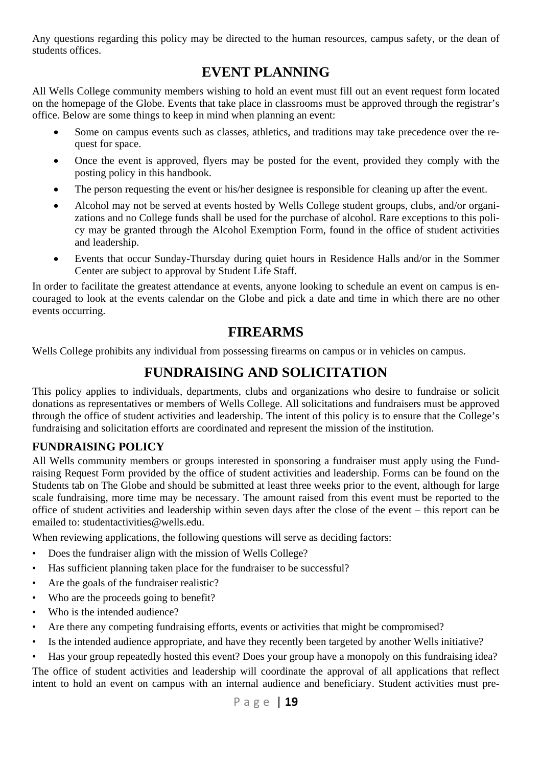Any questions regarding this policy may be directed to the human resources, campus safety, or the dean of students offices.

# **EVENT PLANNING**

All Wells College community members wishing to hold an event must fill out an event request form located on the homepage of the Globe. Events that take place in classrooms must be approved through the registrar's office. Below are some things to keep in mind when planning an event:

- Some on campus events such as classes, athletics, and traditions may take precedence over the request for space.
- Once the event is approved, flyers may be posted for the event, provided they comply with the posting policy in this handbook.
- The person requesting the event or his/her designee is responsible for cleaning up after the event.
- Alcohol may not be served at events hosted by Wells College student groups, clubs, and/or organizations and no College funds shall be used for the purchase of alcohol. Rare exceptions to this policy may be granted through the Alcohol Exemption Form, found in the office of student activities and leadership.
- Events that occur Sunday-Thursday during quiet hours in Residence Halls and/or in the Sommer Center are subject to approval by Student Life Staff.

In order to facilitate the greatest attendance at events, anyone looking to schedule an event on campus is encouraged to look at the events calendar on the Globe and pick a date and time in which there are no other events occurring.

# **FIREARMS**

Wells College prohibits any individual from possessing firearms on campus or in vehicles on campus.

# **FUNDRAISING AND SOLICITATION**

This policy applies to individuals, departments, clubs and organizations who desire to fundraise or solicit donations as representatives or members of Wells College. All solicitations and fundraisers must be approved through the office of student activities and leadership. The intent of this policy is to ensure that the College's fundraising and solicitation efforts are coordinated and represent the mission of the institution.

### **FUNDRAISING POLICY**

All Wells community members or groups interested in sponsoring a fundraiser must apply using the Fundraising Request Form provided by the office of student activities and leadership. Forms can be found on the Students tab on The Globe and should be submitted at least three weeks prior to the event, although for large scale fundraising, more time may be necessary. The amount raised from this event must be reported to the office of student activities and leadership within seven days after the close of the event – this report can be emailed to: studentactivities@wells.edu.

When reviewing applications, the following questions will serve as deciding factors:

- Does the fundraiser align with the mission of Wells College?
- Has sufficient planning taken place for the fundraiser to be successful?
- Are the goals of the fundraiser realistic?
- Who are the proceeds going to benefit?
- Who is the intended audience?
- Are there any competing fundraising efforts, events or activities that might be compromised?
- Is the intended audience appropriate, and have they recently been targeted by another Wells initiative?
- Has your group repeatedly hosted this event? Does your group have a monopoly on this fundraising idea?

The office of student activities and leadership will coordinate the approval of all applications that reflect intent to hold an event on campus with an internal audience and beneficiary. Student activities must pre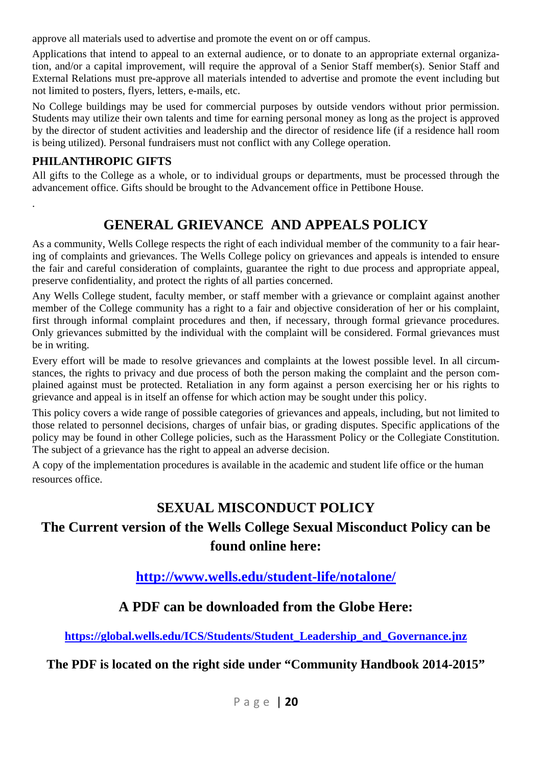approve all materials used to advertise and promote the event on or off campus.

Applications that intend to appeal to an external audience, or to donate to an appropriate external organization, and/or a capital improvement, will require the approval of a Senior Staff member(s). Senior Staff and External Relations must pre-approve all materials intended to advertise and promote the event including but not limited to posters, flyers, letters, e-mails, etc.

No College buildings may be used for commercial purposes by outside vendors without prior permission. Students may utilize their own talents and time for earning personal money as long as the project is approved by the director of student activities and leadership and the director of residence life (if a residence hall room is being utilized). Personal fundraisers must not conflict with any College operation.

### **PHILANTHROPIC GIFTS**

.

All gifts to the College as a whole, or to individual groups or departments, must be processed through the advancement office. Gifts should be brought to the Advancement office in Pettibone House.

# **GENERAL GRIEVANCE AND APPEALS POLICY**

As a community, Wells College respects the right of each individual member of the community to a fair hearing of complaints and grievances. The Wells College policy on grievances and appeals is intended to ensure the fair and careful consideration of complaints, guarantee the right to due process and appropriate appeal, preserve confidentiality, and protect the rights of all parties concerned.

Any Wells College student, faculty member, or staff member with a grievance or complaint against another member of the College community has a right to a fair and objective consideration of her or his complaint, first through informal complaint procedures and then, if necessary, through formal grievance procedures. Only grievances submitted by the individual with the complaint will be considered. Formal grievances must be in writing.

Every effort will be made to resolve grievances and complaints at the lowest possible level. In all circumstances, the rights to privacy and due process of both the person making the complaint and the person complained against must be protected. Retaliation in any form against a person exercising her or his rights to grievance and appeal is in itself an offense for which action may be sought under this policy.

This policy covers a wide range of possible categories of grievances and appeals, including, but not limited to those related to personnel decisions, charges of unfair bias, or grading disputes. Specific applications of the policy may be found in other College policies, such as the Harassment Policy or the Collegiate Constitution. The subject of a grievance has the right to appeal an adverse decision.

A copy of the implementation procedures is available in the academic and student life office or the human resources office.

# **SEXUAL MISCONDUCT POLICY**

# **The Current version of the Wells College Sexual Misconduct Policy can be found online here:**

**http://www.wells.edu/student-life/notalone/** 

# **A PDF can be downloaded from the Globe Here:**

**https://global.wells.edu/ICS/Students/Student\_Leadership\_and\_Governance.jnz** 

**The PDF is located on the right side under "Community Handbook 2014-2015"**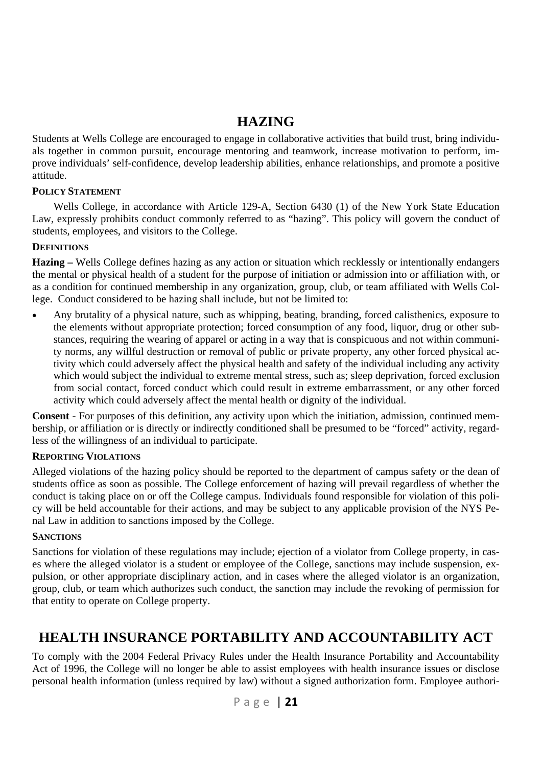# **HAZING**

Students at Wells College are encouraged to engage in collaborative activities that build trust, bring individuals together in common pursuit, encourage mentoring and teamwork, increase motivation to perform, improve individuals' self-confidence, develop leadership abilities, enhance relationships, and promote a positive attitude.

#### **POLICY STATEMENT**

Wells College, in accordance with Article 129-A, Section 6430 (1) of the New York State Education Law, expressly prohibits conduct commonly referred to as "hazing". This policy will govern the conduct of students, employees, and visitors to the College.

#### **DEFINITIONS**

**Hazing –** Wells College defines hazing as any action or situation which recklessly or intentionally endangers the mental or physical health of a student for the purpose of initiation or admission into or affiliation with, or as a condition for continued membership in any organization, group, club, or team affiliated with Wells College. Conduct considered to be hazing shall include, but not be limited to:

 Any brutality of a physical nature, such as whipping, beating, branding, forced calisthenics, exposure to the elements without appropriate protection; forced consumption of any food, liquor, drug or other substances, requiring the wearing of apparel or acting in a way that is conspicuous and not within community norms, any willful destruction or removal of public or private property, any other forced physical activity which could adversely affect the physical health and safety of the individual including any activity which would subject the individual to extreme mental stress, such as; sleep deprivation, forced exclusion from social contact, forced conduct which could result in extreme embarrassment, or any other forced activity which could adversely affect the mental health or dignity of the individual.

**Consent** - For purposes of this definition, any activity upon which the initiation, admission, continued membership, or affiliation or is directly or indirectly conditioned shall be presumed to be "forced" activity, regardless of the willingness of an individual to participate.

#### **REPORTING VIOLATIONS**

Alleged violations of the hazing policy should be reported to the department of campus safety or the dean of students office as soon as possible. The College enforcement of hazing will prevail regardless of whether the conduct is taking place on or off the College campus. Individuals found responsible for violation of this policy will be held accountable for their actions, and may be subject to any applicable provision of the NYS Penal Law in addition to sanctions imposed by the College.

#### **SANCTIONS**

Sanctions for violation of these regulations may include; ejection of a violator from College property, in cases where the alleged violator is a student or employee of the College, sanctions may include suspension, expulsion, or other appropriate disciplinary action, and in cases where the alleged violator is an organization, group, club, or team which authorizes such conduct, the sanction may include the revoking of permission for that entity to operate on College property.

# **HEALTH INSURANCE PORTABILITY AND ACCOUNTABILITY ACT**

To comply with the 2004 Federal Privacy Rules under the Health Insurance Portability and Accountability Act of 1996, the College will no longer be able to assist employees with health insurance issues or disclose personal health information (unless required by law) without a signed authorization form. Employee authori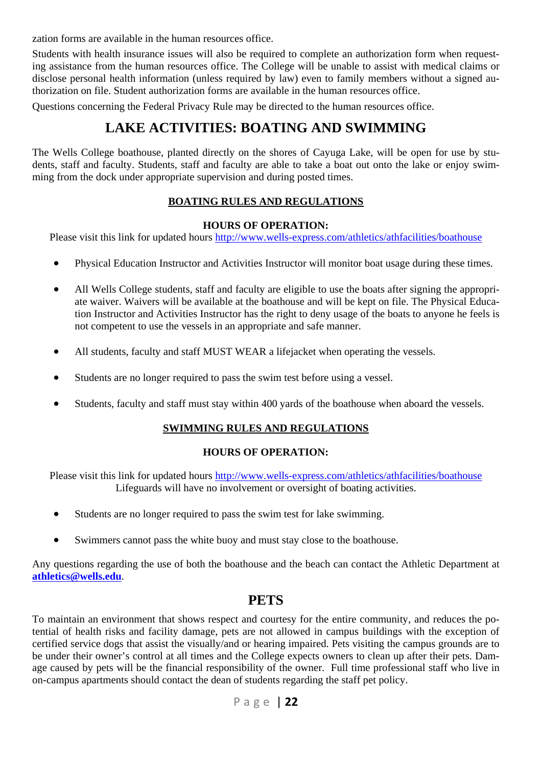zation forms are available in the human resources office.

Students with health insurance issues will also be required to complete an authorization form when requesting assistance from the human resources office. The College will be unable to assist with medical claims or disclose personal health information (unless required by law) even to family members without a signed authorization on file. Student authorization forms are available in the human resources office.

Questions concerning the Federal Privacy Rule may be directed to the human resources office.

# **LAKE ACTIVITIES: BOATING AND SWIMMING**

The Wells College boathouse, planted directly on the shores of Cayuga Lake, will be open for use by students, staff and faculty. Students, staff and faculty are able to take a boat out onto the lake or enjoy swimming from the dock under appropriate supervision and during posted times.

#### **BOATING RULES AND REGULATIONS**

#### **HOURS OF OPERATION:**

Please visit this link for updated hours http://www.wells-express.com/athletics/athfacilities/boathouse

- Physical Education Instructor and Activities Instructor will monitor boat usage during these times.
- All Wells College students, staff and faculty are eligible to use the boats after signing the appropriate waiver. Waivers will be available at the boathouse and will be kept on file. The Physical Education Instructor and Activities Instructor has the right to deny usage of the boats to anyone he feels is not competent to use the vessels in an appropriate and safe manner.
- All students, faculty and staff MUST WEAR a lifejacket when operating the vessels.
- Students are no longer required to pass the swim test before using a vessel.
- Students, faculty and staff must stay within 400 yards of the boathouse when aboard the vessels.

#### **SWIMMING RULES AND REGULATIONS**

#### **HOURS OF OPERATION:**

Please visit this link for updated hours http://www.wells-express.com/athletics/athfacilities/boathouse Lifeguards will have no involvement or oversight of boating activities.

- Students are no longer required to pass the swim test for lake swimming.
- Swimmers cannot pass the white buoy and must stay close to the boathouse.

Any questions regarding the use of both the boathouse and the beach can contact the Athletic Department at **athletics@wells.edu**.

### **PETS**

To maintain an environment that shows respect and courtesy for the entire community, and reduces the potential of health risks and facility damage, pets are not allowed in campus buildings with the exception of certified service dogs that assist the visually/and or hearing impaired. Pets visiting the campus grounds are to be under their owner's control at all times and the College expects owners to clean up after their pets. Damage caused by pets will be the financial responsibility of the owner. Full time professional staff who live in on-campus apartments should contact the dean of students regarding the staff pet policy.

$$
P \text{ a } g \text{ e } | \text{ 22}
$$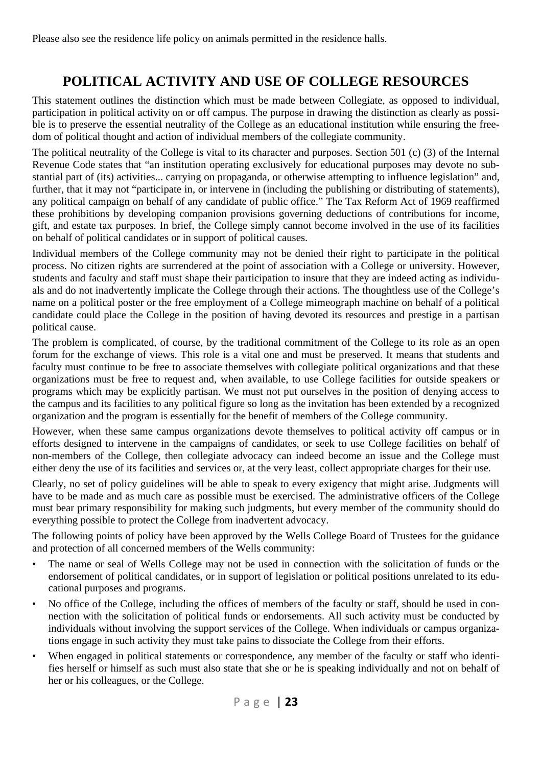# **POLITICAL ACTIVITY AND USE OF COLLEGE RESOURCES**

This statement outlines the distinction which must be made between Collegiate, as opposed to individual, participation in political activity on or off campus. The purpose in drawing the distinction as clearly as possible is to preserve the essential neutrality of the College as an educational institution while ensuring the freedom of political thought and action of individual members of the collegiate community.

The political neutrality of the College is vital to its character and purposes. Section 501 (c) (3) of the Internal Revenue Code states that "an institution operating exclusively for educational purposes may devote no substantial part of (its) activities... carrying on propaganda, or otherwise attempting to influence legislation" and, further, that it may not "participate in, or intervene in (including the publishing or distributing of statements), any political campaign on behalf of any candidate of public office." The Tax Reform Act of 1969 reaffirmed these prohibitions by developing companion provisions governing deductions of contributions for income, gift, and estate tax purposes. In brief, the College simply cannot become involved in the use of its facilities on behalf of political candidates or in support of political causes.

Individual members of the College community may not be denied their right to participate in the political process. No citizen rights are surrendered at the point of association with a College or university. However, students and faculty and staff must shape their participation to insure that they are indeed acting as individuals and do not inadvertently implicate the College through their actions. The thoughtless use of the College's name on a political poster or the free employment of a College mimeograph machine on behalf of a political candidate could place the College in the position of having devoted its resources and prestige in a partisan political cause.

The problem is complicated, of course, by the traditional commitment of the College to its role as an open forum for the exchange of views. This role is a vital one and must be preserved. It means that students and faculty must continue to be free to associate themselves with collegiate political organizations and that these organizations must be free to request and, when available, to use College facilities for outside speakers or programs which may be explicitly partisan. We must not put ourselves in the position of denying access to the campus and its facilities to any political figure so long as the invitation has been extended by a recognized organization and the program is essentially for the benefit of members of the College community.

However, when these same campus organizations devote themselves to political activity off campus or in efforts designed to intervene in the campaigns of candidates, or seek to use College facilities on behalf of non-members of the College, then collegiate advocacy can indeed become an issue and the College must either deny the use of its facilities and services or, at the very least, collect appropriate charges for their use.

Clearly, no set of policy guidelines will be able to speak to every exigency that might arise. Judgments will have to be made and as much care as possible must be exercised. The administrative officers of the College must bear primary responsibility for making such judgments, but every member of the community should do everything possible to protect the College from inadvertent advocacy.

The following points of policy have been approved by the Wells College Board of Trustees for the guidance and protection of all concerned members of the Wells community:

- The name or seal of Wells College may not be used in connection with the solicitation of funds or the endorsement of political candidates, or in support of legislation or political positions unrelated to its educational purposes and programs.
- No office of the College, including the offices of members of the faculty or staff, should be used in connection with the solicitation of political funds or endorsements. All such activity must be conducted by individuals without involving the support services of the College. When individuals or campus organizations engage in such activity they must take pains to dissociate the College from their efforts.
- When engaged in political statements or correspondence, any member of the faculty or staff who identifies herself or himself as such must also state that she or he is speaking individually and not on behalf of her or his colleagues, or the College.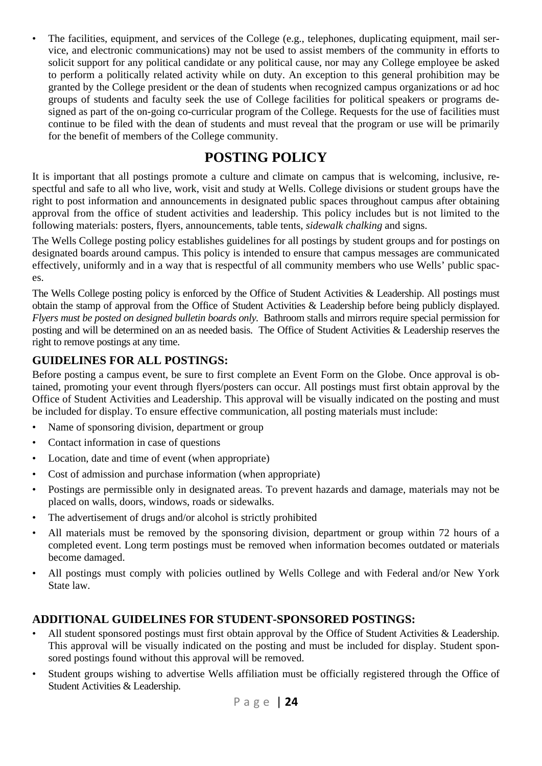The facilities, equipment, and services of the College (e.g., telephones, duplicating equipment, mail service, and electronic communications) may not be used to assist members of the community in efforts to solicit support for any political candidate or any political cause, nor may any College employee be asked to perform a politically related activity while on duty. An exception to this general prohibition may be granted by the College president or the dean of students when recognized campus organizations or ad hoc groups of students and faculty seek the use of College facilities for political speakers or programs designed as part of the on-going co-curricular program of the College. Requests for the use of facilities must continue to be filed with the dean of students and must reveal that the program or use will be primarily for the benefit of members of the College community.

# **POSTING POLICY**

It is important that all postings promote a culture and climate on campus that is welcoming, inclusive, respectful and safe to all who live, work, visit and study at Wells. College divisions or student groups have the right to post information and announcements in designated public spaces throughout campus after obtaining approval from the office of student activities and leadership. This policy includes but is not limited to the following materials: posters, flyers, announcements, table tents, *sidewalk chalking* and signs.

The Wells College posting policy establishes guidelines for all postings by student groups and for postings on designated boards around campus. This policy is intended to ensure that campus messages are communicated effectively, uniformly and in a way that is respectful of all community members who use Wells' public spaces.

The Wells College posting policy is enforced by the Office of Student Activities & Leadership. All postings must obtain the stamp of approval from the Office of Student Activities & Leadership before being publicly displayed. *Flyers must be posted on designed bulletin boards only.* Bathroom stalls and mirrors require special permission for posting and will be determined on an as needed basis. The Office of Student Activities & Leadership reserves the right to remove postings at any time.

### **GUIDELINES FOR ALL POSTINGS:**

Before posting a campus event, be sure to first complete an Event Form on the Globe. Once approval is obtained, promoting your event through flyers/posters can occur. All postings must first obtain approval by the Office of Student Activities and Leadership. This approval will be visually indicated on the posting and must be included for display. To ensure effective communication, all posting materials must include:

- Name of sponsoring division, department or group
- Contact information in case of questions
- Location, date and time of event (when appropriate)
- Cost of admission and purchase information (when appropriate)
- Postings are permissible only in designated areas. To prevent hazards and damage, materials may not be placed on walls, doors, windows, roads or sidewalks.
- The advertisement of drugs and/or alcohol is strictly prohibited
- All materials must be removed by the sponsoring division, department or group within 72 hours of a completed event. Long term postings must be removed when information becomes outdated or materials become damaged.
- All postings must comply with policies outlined by Wells College and with Federal and/or New York State law.

### **ADDITIONAL GUIDELINES FOR STUDENT-SPONSORED POSTINGS:**

- All student sponsored postings must first obtain approval by the Office of Student Activities & Leadership. This approval will be visually indicated on the posting and must be included for display. Student sponsored postings found without this approval will be removed.
- Student groups wishing to advertise Wells affiliation must be officially registered through the Office of Student Activities & Leadership.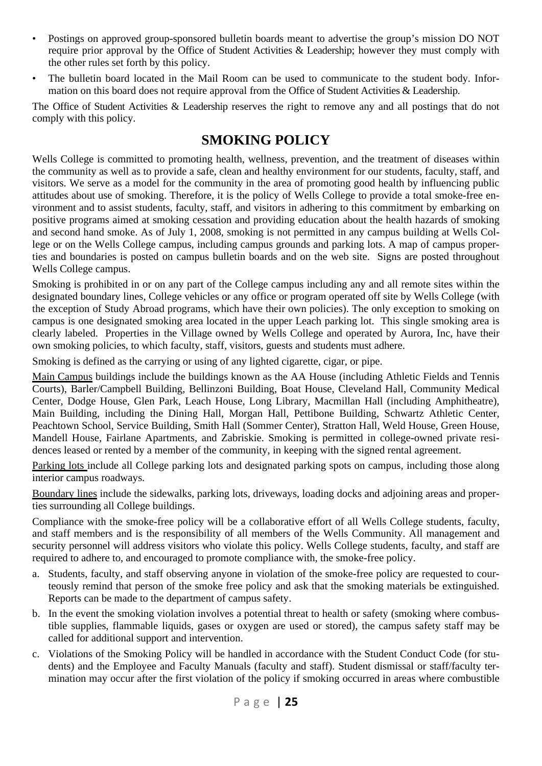- Postings on approved group-sponsored bulletin boards meant to advertise the group's mission DO NOT require prior approval by the Office of Student Activities & Leadership; however they must comply with the other rules set forth by this policy.
- The bulletin board located in the Mail Room can be used to communicate to the student body. Information on this board does not require approval from the Office of Student Activities & Leadership.

The Office of Student Activities & Leadership reserves the right to remove any and all postings that do not comply with this policy.

## **SMOKING POLICY**

Wells College is committed to promoting health, wellness, prevention, and the treatment of diseases within the community as well as to provide a safe, clean and healthy environment for our students, faculty, staff, and visitors. We serve as a model for the community in the area of promoting good health by influencing public attitudes about use of smoking. Therefore, it is the policy of Wells College to provide a total smoke-free environment and to assist students, faculty, staff, and visitors in adhering to this commitment by embarking on positive programs aimed at smoking cessation and providing education about the health hazards of smoking and second hand smoke. As of July 1, 2008, smoking is not permitted in any campus building at Wells College or on the Wells College campus, including campus grounds and parking lots. A map of campus properties and boundaries is posted on campus bulletin boards and on the web site. Signs are posted throughout Wells College campus.

Smoking is prohibited in or on any part of the College campus including any and all remote sites within the designated boundary lines, College vehicles or any office or program operated off site by Wells College (with the exception of Study Abroad programs, which have their own policies). The only exception to smoking on campus is one designated smoking area located in the upper Leach parking lot. This single smoking area is clearly labeled. Properties in the Village owned by Wells College and operated by Aurora, Inc, have their own smoking policies, to which faculty, staff, visitors, guests and students must adhere.

Smoking is defined as the carrying or using of any lighted cigarette, cigar, or pipe.

Main Campus buildings include the buildings known as the AA House (including Athletic Fields and Tennis Courts), Barler/Campbell Building, Bellinzoni Building, Boat House, Cleveland Hall, Community Medical Center, Dodge House, Glen Park, Leach House, Long Library, Macmillan Hall (including Amphitheatre), Main Building, including the Dining Hall, Morgan Hall, Pettibone Building, Schwartz Athletic Center, Peachtown School, Service Building, Smith Hall (Sommer Center), Stratton Hall, Weld House, Green House, Mandell House, Fairlane Apartments, and Zabriskie. Smoking is permitted in college-owned private residences leased or rented by a member of the community, in keeping with the signed rental agreement.

Parking lots include all College parking lots and designated parking spots on campus, including those along interior campus roadways.

Boundary lines include the sidewalks, parking lots, driveways, loading docks and adjoining areas and properties surrounding all College buildings.

Compliance with the smoke-free policy will be a collaborative effort of all Wells College students, faculty, and staff members and is the responsibility of all members of the Wells Community. All management and security personnel will address visitors who violate this policy. Wells College students, faculty, and staff are required to adhere to, and encouraged to promote compliance with, the smoke-free policy.

- a. Students, faculty, and staff observing anyone in violation of the smoke-free policy are requested to courteously remind that person of the smoke free policy and ask that the smoking materials be extinguished. Reports can be made to the department of campus safety.
- b. In the event the smoking violation involves a potential threat to health or safety (smoking where combustible supplies, flammable liquids, gases or oxygen are used or stored), the campus safety staff may be called for additional support and intervention.
- c. Violations of the Smoking Policy will be handled in accordance with the Student Conduct Code (for students) and the Employee and Faculty Manuals (faculty and staff). Student dismissal or staff/faculty termination may occur after the first violation of the policy if smoking occurred in areas where combustible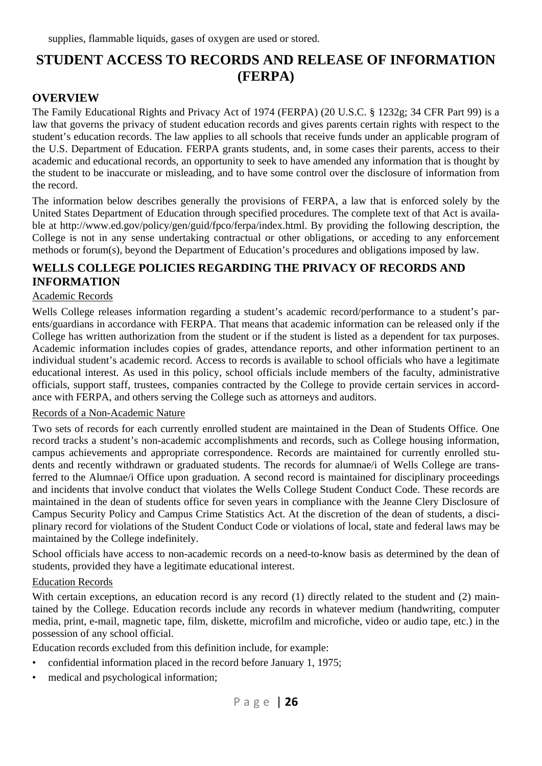# **STUDENT ACCESS TO RECORDS AND RELEASE OF INFORMATION (FERPA)**

### **OVERVIEW**

The Family Educational Rights and Privacy Act of 1974 (FERPA) (20 U.S.C. § 1232g; 34 CFR Part 99) is a law that governs the privacy of student education records and gives parents certain rights with respect to the student's education records. The law applies to all schools that receive funds under an applicable program of the U.S. Department of Education. FERPA grants students, and, in some cases their parents, access to their academic and educational records, an opportunity to seek to have amended any information that is thought by the student to be inaccurate or misleading, and to have some control over the disclosure of information from the record.

The information below describes generally the provisions of FERPA, a law that is enforced solely by the United States Department of Education through specified procedures. The complete text of that Act is available at http://www.ed.gov/policy/gen/guid/fpco/ferpa/index.html. By providing the following description, the College is not in any sense undertaking contractual or other obligations, or acceding to any enforcement methods or forum(s), beyond the Department of Education's procedures and obligations imposed by law.

### **WELLS COLLEGE POLICIES REGARDING THE PRIVACY OF RECORDS AND INFORMATION**

#### Academic Records

Wells College releases information regarding a student's academic record/performance to a student's parents/guardians in accordance with FERPA. That means that academic information can be released only if the College has written authorization from the student or if the student is listed as a dependent for tax purposes. Academic information includes copies of grades, attendance reports, and other information pertinent to an individual student's academic record. Access to records is available to school officials who have a legitimate educational interest. As used in this policy, school officials include members of the faculty, administrative officials, support staff, trustees, companies contracted by the College to provide certain services in accordance with FERPA, and others serving the College such as attorneys and auditors.

#### Records of a Non-Academic Nature

Two sets of records for each currently enrolled student are maintained in the Dean of Students Office. One record tracks a student's non-academic accomplishments and records, such as College housing information, campus achievements and appropriate correspondence. Records are maintained for currently enrolled students and recently withdrawn or graduated students. The records for alumnae/i of Wells College are transferred to the Alumnae/i Office upon graduation. A second record is maintained for disciplinary proceedings and incidents that involve conduct that violates the Wells College Student Conduct Code. These records are maintained in the dean of students office for seven years in compliance with the Jeanne Clery Disclosure of Campus Security Policy and Campus Crime Statistics Act. At the discretion of the dean of students, a disciplinary record for violations of the Student Conduct Code or violations of local, state and federal laws may be maintained by the College indefinitely.

School officials have access to non-academic records on a need-to-know basis as determined by the dean of students, provided they have a legitimate educational interest.

#### Education Records

With certain exceptions, an education record is any record (1) directly related to the student and (2) maintained by the College. Education records include any records in whatever medium (handwriting, computer media, print, e-mail, magnetic tape, film, diskette, microfilm and microfiche, video or audio tape, etc.) in the possession of any school official.

Education records excluded from this definition include, for example:

- confidential information placed in the record before January 1, 1975;
- medical and psychological information;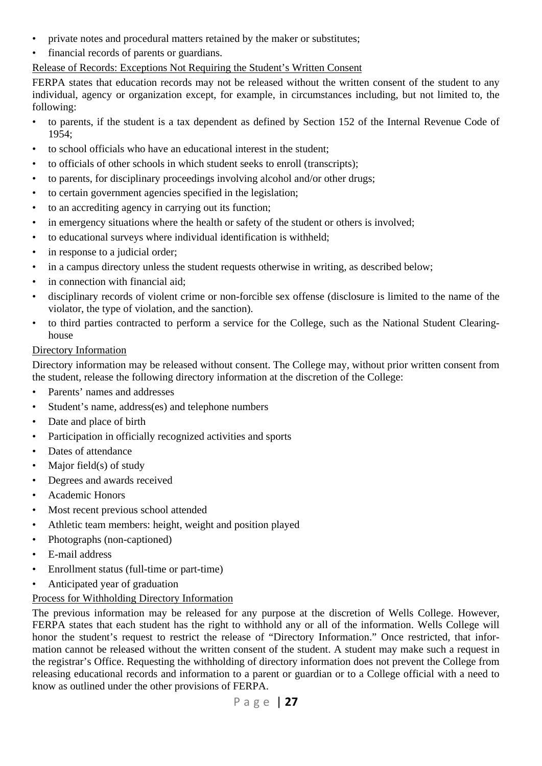- private notes and procedural matters retained by the maker or substitutes;
- financial records of parents or guardians.

### Release of Records: Exceptions Not Requiring the Student's Written Consent

FERPA states that education records may not be released without the written consent of the student to any individual, agency or organization except, for example, in circumstances including, but not limited to, the following:

- to parents, if the student is a tax dependent as defined by Section 152 of the Internal Revenue Code of 1954;
- to school officials who have an educational interest in the student;
- to officials of other schools in which student seeks to enroll (transcripts);
- to parents, for disciplinary proceedings involving alcohol and/or other drugs;
- to certain government agencies specified in the legislation;
- to an accrediting agency in carrying out its function;
- in emergency situations where the health or safety of the student or others is involved;
- to educational surveys where individual identification is withheld;
- in response to a judicial order;
- in a campus directory unless the student requests otherwise in writing, as described below;
- in connection with financial aid:
- disciplinary records of violent crime or non-forcible sex offense (disclosure is limited to the name of the violator, the type of violation, and the sanction).
- to third parties contracted to perform a service for the College, such as the National Student Clearinghouse

#### Directory Information

Directory information may be released without consent. The College may, without prior written consent from the student, release the following directory information at the discretion of the College:

- Parents' names and addresses
- Student's name, address(es) and telephone numbers
- Date and place of birth
- Participation in officially recognized activities and sports
- Dates of attendance
- Major field( $s$ ) of study
- Degrees and awards received
- Academic Honors
- Most recent previous school attended
- Athletic team members: height, weight and position played
- Photographs (non-captioned)
- E-mail address
- Enrollment status (full-time or part-time)
- Anticipated year of graduation

#### Process for Withholding Directory Information

The previous information may be released for any purpose at the discretion of Wells College. However, FERPA states that each student has the right to withhold any or all of the information. Wells College will honor the student's request to restrict the release of "Directory Information." Once restricted, that information cannot be released without the written consent of the student. A student may make such a request in the registrar's Office. Requesting the withholding of directory information does not prevent the College from releasing educational records and information to a parent or guardian or to a College official with a need to know as outlined under the other provisions of FERPA.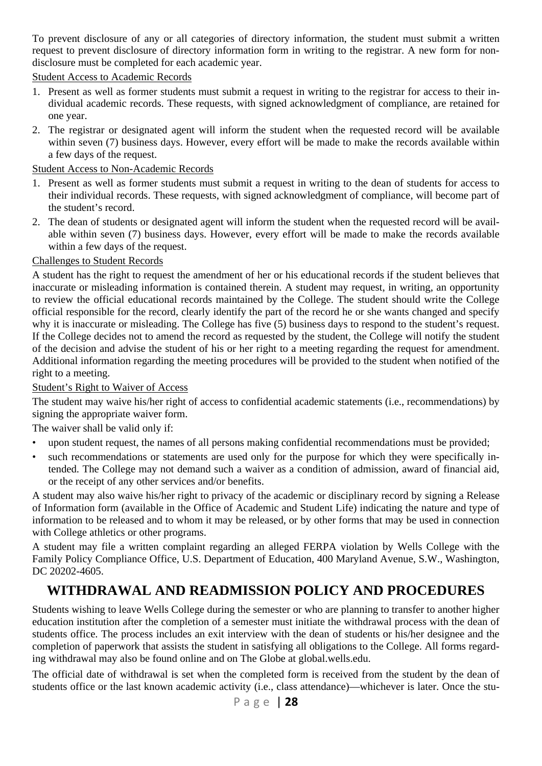To prevent disclosure of any or all categories of directory information, the student must submit a written request to prevent disclosure of directory information form in writing to the registrar. A new form for nondisclosure must be completed for each academic year.

Student Access to Academic Records

- 1. Present as well as former students must submit a request in writing to the registrar for access to their individual academic records. These requests, with signed acknowledgment of compliance, are retained for one year.
- 2. The registrar or designated agent will inform the student when the requested record will be available within seven (7) business days. However, every effort will be made to make the records available within a few days of the request.

#### Student Access to Non-Academic Records

- 1. Present as well as former students must submit a request in writing to the dean of students for access to their individual records. These requests, with signed acknowledgment of compliance, will become part of the student's record.
- 2. The dean of students or designated agent will inform the student when the requested record will be available within seven (7) business days. However, every effort will be made to make the records available within a few days of the request.

### Challenges to Student Records

A student has the right to request the amendment of her or his educational records if the student believes that inaccurate or misleading information is contained therein. A student may request, in writing, an opportunity to review the official educational records maintained by the College. The student should write the College official responsible for the record, clearly identify the part of the record he or she wants changed and specify why it is inaccurate or misleading. The College has five (5) business days to respond to the student's request. If the College decides not to amend the record as requested by the student, the College will notify the student of the decision and advise the student of his or her right to a meeting regarding the request for amendment. Additional information regarding the meeting procedures will be provided to the student when notified of the right to a meeting.

#### Student's Right to Waiver of Access

The student may waive his/her right of access to confidential academic statements (i.e., recommendations) by signing the appropriate waiver form.

The waiver shall be valid only if:

- upon student request, the names of all persons making confidential recommendations must be provided;
- such recommendations or statements are used only for the purpose for which they were specifically intended. The College may not demand such a waiver as a condition of admission, award of financial aid, or the receipt of any other services and/or benefits.

A student may also waive his/her right to privacy of the academic or disciplinary record by signing a Release of Information form (available in the Office of Academic and Student Life) indicating the nature and type of information to be released and to whom it may be released, or by other forms that may be used in connection with College athletics or other programs.

A student may file a written complaint regarding an alleged FERPA violation by Wells College with the Family Policy Compliance Office, U.S. Department of Education, 400 Maryland Avenue, S.W., Washington, DC 20202-4605.

# **WITHDRAWAL AND READMISSION POLICY AND PROCEDURES**

Students wishing to leave Wells College during the semester or who are planning to transfer to another higher education institution after the completion of a semester must initiate the withdrawal process with the dean of students office. The process includes an exit interview with the dean of students or his/her designee and the completion of paperwork that assists the student in satisfying all obligations to the College. All forms regarding withdrawal may also be found online and on The Globe at global.wells.edu.

The official date of withdrawal is set when the completed form is received from the student by the dean of students office or the last known academic activity (i.e., class attendance)—whichever is later. Once the stu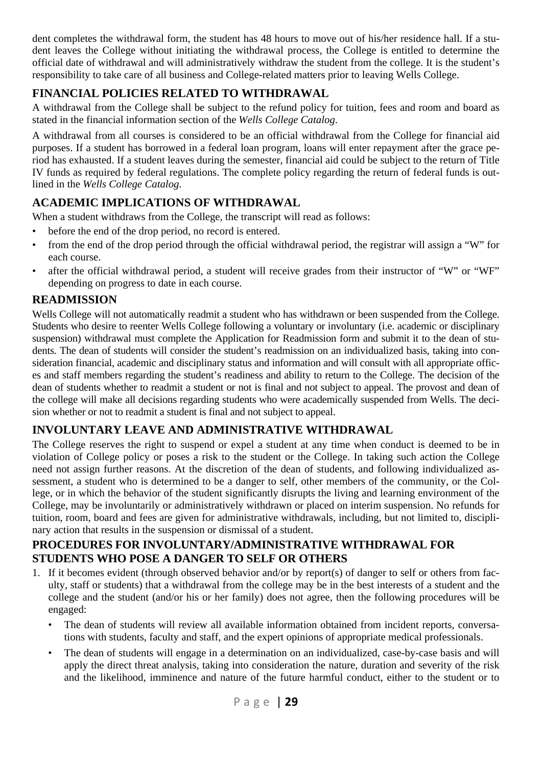dent completes the withdrawal form, the student has 48 hours to move out of his/her residence hall. If a student leaves the College without initiating the withdrawal process, the College is entitled to determine the official date of withdrawal and will administratively withdraw the student from the college. It is the student's responsibility to take care of all business and College-related matters prior to leaving Wells College.

## **FINANCIAL POLICIES RELATED TO WITHDRAWAL**

A withdrawal from the College shall be subject to the refund policy for tuition, fees and room and board as stated in the financial information section of the *Wells College Catalog*.

A withdrawal from all courses is considered to be an official withdrawal from the College for financial aid purposes. If a student has borrowed in a federal loan program, loans will enter repayment after the grace period has exhausted. If a student leaves during the semester, financial aid could be subject to the return of Title IV funds as required by federal regulations. The complete policy regarding the return of federal funds is outlined in the *Wells College Catalog*.

# **ACADEMIC IMPLICATIONS OF WITHDRAWAL**

When a student withdraws from the College, the transcript will read as follows:

- before the end of the drop period, no record is entered.
- from the end of the drop period through the official withdrawal period, the registrar will assign a "W" for each course.
- after the official withdrawal period, a student will receive grades from their instructor of "W" or "WF" depending on progress to date in each course.

### **READMISSION**

Wells College will not automatically readmit a student who has withdrawn or been suspended from the College. Students who desire to reenter Wells College following a voluntary or involuntary (i.e. academic or disciplinary suspension) withdrawal must complete the Application for Readmission form and submit it to the dean of students. The dean of students will consider the student's readmission on an individualized basis, taking into consideration financial, academic and disciplinary status and information and will consult with all appropriate offices and staff members regarding the student's readiness and ability to return to the College. The decision of the dean of students whether to readmit a student or not is final and not subject to appeal. The provost and dean of the college will make all decisions regarding students who were academically suspended from Wells. The decision whether or not to readmit a student is final and not subject to appeal.

### **INVOLUNTARY LEAVE AND ADMINISTRATIVE WITHDRAWAL**

The College reserves the right to suspend or expel a student at any time when conduct is deemed to be in violation of College policy or poses a risk to the student or the College. In taking such action the College need not assign further reasons. At the discretion of the dean of students, and following individualized assessment, a student who is determined to be a danger to self, other members of the community, or the College, or in which the behavior of the student significantly disrupts the living and learning environment of the College, may be involuntarily or administratively withdrawn or placed on interim suspension. No refunds for tuition, room, board and fees are given for administrative withdrawals, including, but not limited to, disciplinary action that results in the suspension or dismissal of a student.

### **PROCEDURES FOR INVOLUNTARY/ADMINISTRATIVE WITHDRAWAL FOR STUDENTS WHO POSE A DANGER TO SELF OR OTHERS**

- 1. If it becomes evident (through observed behavior and/or by report(s) of danger to self or others from faculty, staff or students) that a withdrawal from the college may be in the best interests of a student and the college and the student (and/or his or her family) does not agree, then the following procedures will be engaged:
	- The dean of students will review all available information obtained from incident reports, conversations with students, faculty and staff, and the expert opinions of appropriate medical professionals.
	- The dean of students will engage in a determination on an individualized, case-by-case basis and will apply the direct threat analysis, taking into consideration the nature, duration and severity of the risk and the likelihood, imminence and nature of the future harmful conduct, either to the student or to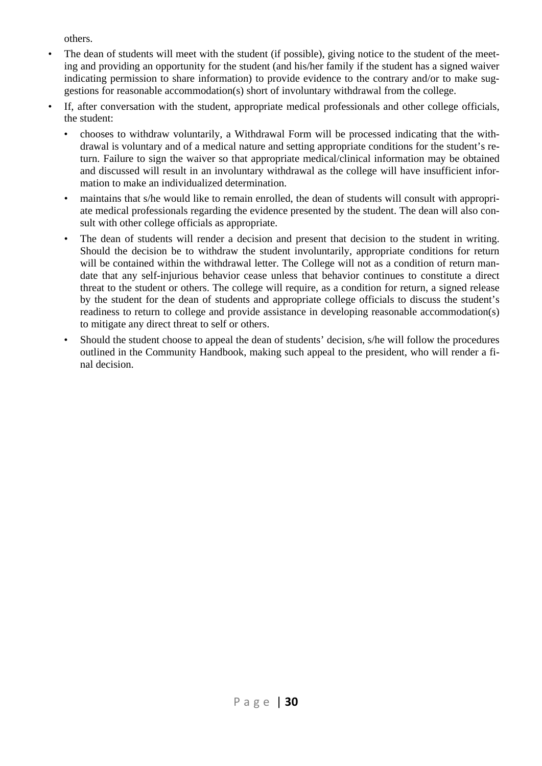others.

- The dean of students will meet with the student (if possible), giving notice to the student of the meeting and providing an opportunity for the student (and his/her family if the student has a signed waiver indicating permission to share information) to provide evidence to the contrary and/or to make suggestions for reasonable accommodation(s) short of involuntary withdrawal from the college.
- If, after conversation with the student, appropriate medical professionals and other college officials, the student:
	- chooses to withdraw voluntarily, a Withdrawal Form will be processed indicating that the withdrawal is voluntary and of a medical nature and setting appropriate conditions for the student's return. Failure to sign the waiver so that appropriate medical/clinical information may be obtained and discussed will result in an involuntary withdrawal as the college will have insufficient information to make an individualized determination.
	- maintains that s/he would like to remain enrolled, the dean of students will consult with appropriate medical professionals regarding the evidence presented by the student. The dean will also consult with other college officials as appropriate.
	- The dean of students will render a decision and present that decision to the student in writing. Should the decision be to withdraw the student involuntarily, appropriate conditions for return will be contained within the withdrawal letter. The College will not as a condition of return mandate that any self-injurious behavior cease unless that behavior continues to constitute a direct threat to the student or others. The college will require, as a condition for return, a signed release by the student for the dean of students and appropriate college officials to discuss the student's readiness to return to college and provide assistance in developing reasonable accommodation(s) to mitigate any direct threat to self or others.
	- Should the student choose to appeal the dean of students' decision, s/he will follow the procedures outlined in the Community Handbook, making such appeal to the president, who will render a final decision.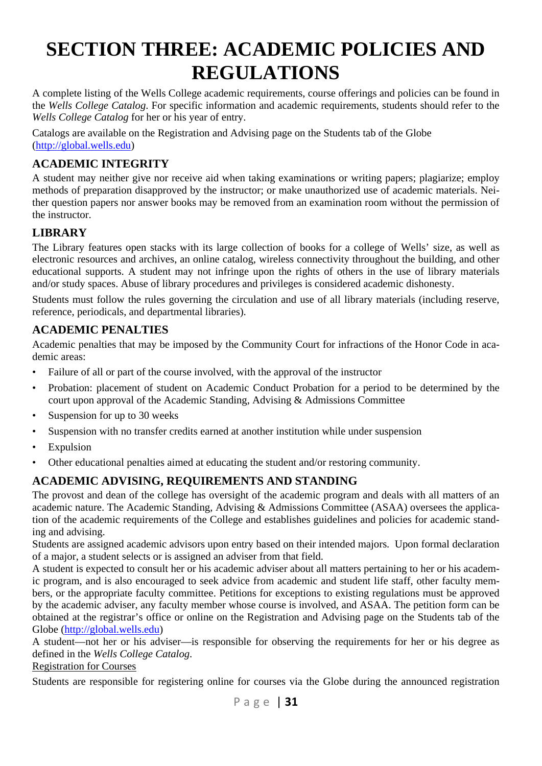# **SECTION THREE: ACADEMIC POLICIES AND REGULATIONS**

A complete listing of the Wells College academic requirements, course offerings and policies can be found in the *Wells College Catalog*. For specific information and academic requirements, students should refer to the *Wells College Catalog* for her or his year of entry.

Catalogs are available on the Registration and Advising page on the Students tab of the Globe (http://global.wells.edu)

### **ACADEMIC INTEGRITY**

A student may neither give nor receive aid when taking examinations or writing papers; plagiarize; employ methods of preparation disapproved by the instructor; or make unauthorized use of academic materials. Neither question papers nor answer books may be removed from an examination room without the permission of the instructor.

### **LIBRARY**

The Library features open stacks with its large collection of books for a college of Wells' size, as well as electronic resources and archives, an online catalog, wireless connectivity throughout the building, and other educational supports. A student may not infringe upon the rights of others in the use of library materials and/or study spaces. Abuse of library procedures and privileges is considered academic dishonesty.

Students must follow the rules governing the circulation and use of all library materials (including reserve, reference, periodicals, and departmental libraries).

### **ACADEMIC PENALTIES**

Academic penalties that may be imposed by the Community Court for infractions of the Honor Code in academic areas:

- Failure of all or part of the course involved, with the approval of the instructor
- Probation: placement of student on Academic Conduct Probation for a period to be determined by the court upon approval of the Academic Standing, Advising & Admissions Committee
- Suspension for up to 30 weeks
- Suspension with no transfer credits earned at another institution while under suspension
- **Expulsion**
- Other educational penalties aimed at educating the student and/or restoring community.

### **ACADEMIC ADVISING, REQUIREMENTS AND STANDING**

The provost and dean of the college has oversight of the academic program and deals with all matters of an academic nature. The Academic Standing, Advising & Admissions Committee (ASAA) oversees the application of the academic requirements of the College and establishes guidelines and policies for academic standing and advising.

Students are assigned academic advisors upon entry based on their intended majors. Upon formal declaration of a major, a student selects or is assigned an adviser from that field.

A student is expected to consult her or his academic adviser about all matters pertaining to her or his academic program, and is also encouraged to seek advice from academic and student life staff, other faculty members, or the appropriate faculty committee. Petitions for exceptions to existing regulations must be approved by the academic adviser, any faculty member whose course is involved, and ASAA. The petition form can be obtained at the registrar's office or online on the Registration and Advising page on the Students tab of the Globe (http://global.wells.edu)

A student—not her or his adviser—is responsible for observing the requirements for her or his degree as defined in the *Wells College Catalog*.

Registration for Courses

Students are responsible for registering online for courses via the Globe during the announced registration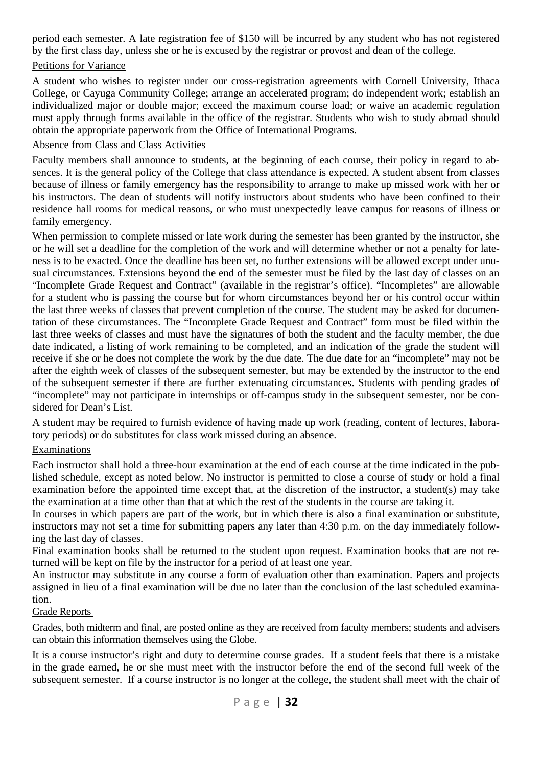period each semester. A late registration fee of \$150 will be incurred by any student who has not registered by the first class day, unless she or he is excused by the registrar or provost and dean of the college.

### Petitions for Variance

A student who wishes to register under our cross-registration agreements with Cornell University, Ithaca College, or Cayuga Community College; arrange an accelerated program; do independent work; establish an individualized major or double major; exceed the maximum course load; or waive an academic regulation must apply through forms available in the office of the registrar. Students who wish to study abroad should obtain the appropriate paperwork from the Office of International Programs.

#### Absence from Class and Class Activities

Faculty members shall announce to students, at the beginning of each course, their policy in regard to absences. It is the general policy of the College that class attendance is expected. A student absent from classes because of illness or family emergency has the responsibility to arrange to make up missed work with her or his instructors. The dean of students will notify instructors about students who have been confined to their residence hall rooms for medical reasons, or who must unexpectedly leave campus for reasons of illness or family emergency.

When permission to complete missed or late work during the semester has been granted by the instructor, she or he will set a deadline for the completion of the work and will determine whether or not a penalty for lateness is to be exacted. Once the deadline has been set, no further extensions will be allowed except under unusual circumstances. Extensions beyond the end of the semester must be filed by the last day of classes on an "Incomplete Grade Request and Contract" (available in the registrar's office). "Incompletes" are allowable for a student who is passing the course but for whom circumstances beyond her or his control occur within the last three weeks of classes that prevent completion of the course. The student may be asked for documentation of these circumstances. The "Incomplete Grade Request and Contract" form must be filed within the last three weeks of classes and must have the signatures of both the student and the faculty member, the due date indicated, a listing of work remaining to be completed, and an indication of the grade the student will receive if she or he does not complete the work by the due date. The due date for an "incomplete" may not be after the eighth week of classes of the subsequent semester, but may be extended by the instructor to the end of the subsequent semester if there are further extenuating circumstances. Students with pending grades of "incomplete" may not participate in internships or off-campus study in the subsequent semester, nor be considered for Dean's List.

A student may be required to furnish evidence of having made up work (reading, content of lectures, laboratory periods) or do substitutes for class work missed during an absence.

#### Examinations

Each instructor shall hold a three-hour examination at the end of each course at the time indicated in the published schedule, except as noted below. No instructor is permitted to close a course of study or hold a final examination before the appointed time except that, at the discretion of the instructor, a student(s) may take the examination at a time other than that at which the rest of the students in the course are taking it.

In courses in which papers are part of the work, but in which there is also a final examination or substitute, instructors may not set a time for submitting papers any later than 4:30 p.m. on the day immediately following the last day of classes.

Final examination books shall be returned to the student upon request. Examination books that are not returned will be kept on file by the instructor for a period of at least one year.

An instructor may substitute in any course a form of evaluation other than examination. Papers and projects assigned in lieu of a final examination will be due no later than the conclusion of the last scheduled examination.

#### Grade Reports

Grades, both midterm and final, are posted online as they are received from faculty members; students and advisers can obtain this information themselves using the Globe.

It is a course instructor's right and duty to determine course grades. If a student feels that there is a mistake in the grade earned, he or she must meet with the instructor before the end of the second full week of the subsequent semester. If a course instructor is no longer at the college, the student shall meet with the chair of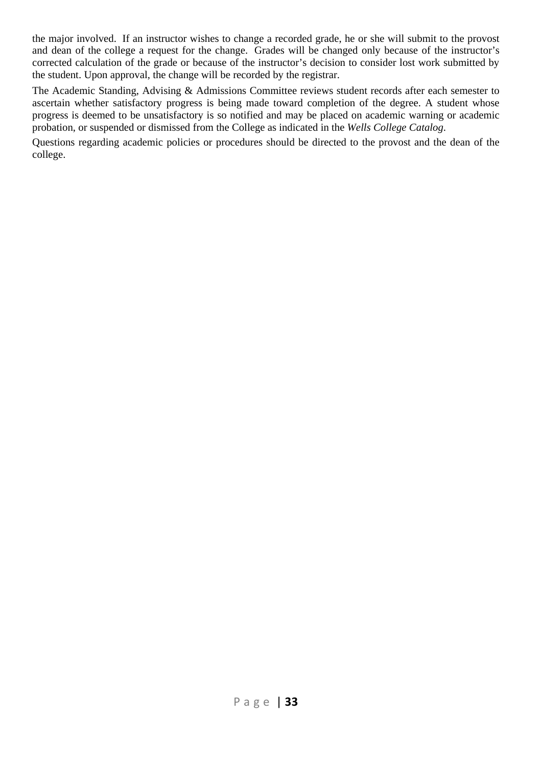the major involved. If an instructor wishes to change a recorded grade, he or she will submit to the provost and dean of the college a request for the change. Grades will be changed only because of the instructor's corrected calculation of the grade or because of the instructor's decision to consider lost work submitted by the student. Upon approval, the change will be recorded by the registrar.

The Academic Standing, Advising & Admissions Committee reviews student records after each semester to ascertain whether satisfactory progress is being made toward completion of the degree. A student whose progress is deemed to be unsatisfactory is so notified and may be placed on academic warning or academic probation, or suspended or dismissed from the College as indicated in the *Wells College Catalog*.

Questions regarding academic policies or procedures should be directed to the provost and the dean of the college.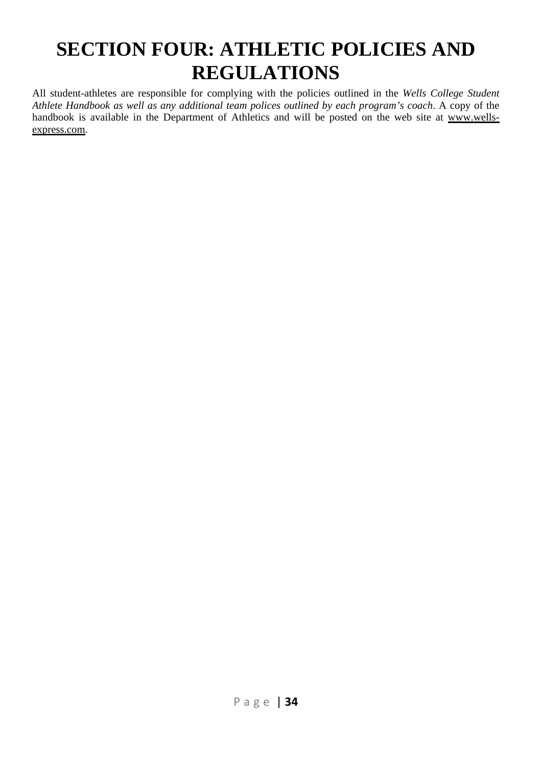# **SECTION FOUR: ATHLETIC POLICIES AND REGULATIONS**

All student-athletes are responsible for complying with the policies outlined in the *Wells College Student Athlete Handbook as well as any additional team polices outlined by each program's coach*. A copy of the handbook is available in the Department of Athletics and will be posted on the web site at www.wellsexpress.com.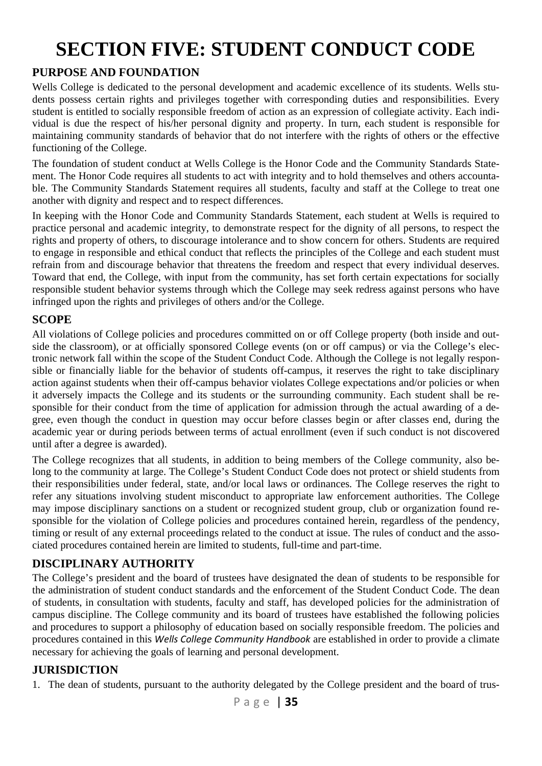# **SECTION FIVE: STUDENT CONDUCT CODE**

### **PURPOSE AND FOUNDATION**

Wells College is dedicated to the personal development and academic excellence of its students. Wells students possess certain rights and privileges together with corresponding duties and responsibilities. Every student is entitled to socially responsible freedom of action as an expression of collegiate activity. Each individual is due the respect of his/her personal dignity and property. In turn, each student is responsible for maintaining community standards of behavior that do not interfere with the rights of others or the effective functioning of the College.

The foundation of student conduct at Wells College is the Honor Code and the Community Standards Statement. The Honor Code requires all students to act with integrity and to hold themselves and others accountable. The Community Standards Statement requires all students, faculty and staff at the College to treat one another with dignity and respect and to respect differences.

In keeping with the Honor Code and Community Standards Statement, each student at Wells is required to practice personal and academic integrity, to demonstrate respect for the dignity of all persons, to respect the rights and property of others, to discourage intolerance and to show concern for others. Students are required to engage in responsible and ethical conduct that reflects the principles of the College and each student must refrain from and discourage behavior that threatens the freedom and respect that every individual deserves. Toward that end, the College, with input from the community, has set forth certain expectations for socially responsible student behavior systems through which the College may seek redress against persons who have infringed upon the rights and privileges of others and/or the College.

### **SCOPE**

All violations of College policies and procedures committed on or off College property (both inside and outside the classroom), or at officially sponsored College events (on or off campus) or via the College's electronic network fall within the scope of the Student Conduct Code. Although the College is not legally responsible or financially liable for the behavior of students off-campus, it reserves the right to take disciplinary action against students when their off-campus behavior violates College expectations and/or policies or when it adversely impacts the College and its students or the surrounding community. Each student shall be responsible for their conduct from the time of application for admission through the actual awarding of a degree, even though the conduct in question may occur before classes begin or after classes end, during the academic year or during periods between terms of actual enrollment (even if such conduct is not discovered until after a degree is awarded).

The College recognizes that all students, in addition to being members of the College community, also belong to the community at large. The College's Student Conduct Code does not protect or shield students from their responsibilities under federal, state, and/or local laws or ordinances. The College reserves the right to refer any situations involving student misconduct to appropriate law enforcement authorities. The College may impose disciplinary sanctions on a student or recognized student group, club or organization found responsible for the violation of College policies and procedures contained herein, regardless of the pendency, timing or result of any external proceedings related to the conduct at issue. The rules of conduct and the associated procedures contained herein are limited to students, full-time and part-time.

### **DISCIPLINARY AUTHORITY**

The College's president and the board of trustees have designated the dean of students to be responsible for the administration of student conduct standards and the enforcement of the Student Conduct Code. The dean of students, in consultation with students, faculty and staff, has developed policies for the administration of campus discipline. The College community and its board of trustees have established the following policies and procedures to support a philosophy of education based on socially responsible freedom. The policies and procedures contained in this *Wells College Community Handbook* are established in order to provide a climate necessary for achieving the goals of learning and personal development.

### **JURISDICTION**

1. The dean of students, pursuant to the authority delegated by the College president and the board of trus-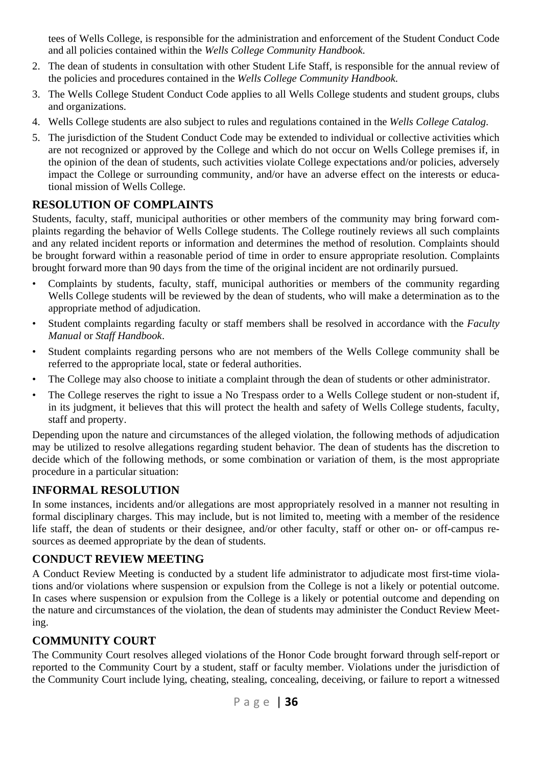tees of Wells College, is responsible for the administration and enforcement of the Student Conduct Code and all policies contained within the *Wells College Community Handbook*.

- 2. The dean of students in consultation with other Student Life Staff, is responsible for the annual review of the policies and procedures contained in the *Wells College Community Handbook*.
- 3. The Wells College Student Conduct Code applies to all Wells College students and student groups, clubs and organizations.
- 4. Wells College students are also subject to rules and regulations contained in the *Wells College Catalog*.
- 5. The jurisdiction of the Student Conduct Code may be extended to individual or collective activities which are not recognized or approved by the College and which do not occur on Wells College premises if, in the opinion of the dean of students, such activities violate College expectations and/or policies, adversely impact the College or surrounding community, and/or have an adverse effect on the interests or educational mission of Wells College.

### **RESOLUTION OF COMPLAINTS**

Students, faculty, staff, municipal authorities or other members of the community may bring forward complaints regarding the behavior of Wells College students. The College routinely reviews all such complaints and any related incident reports or information and determines the method of resolution. Complaints should be brought forward within a reasonable period of time in order to ensure appropriate resolution. Complaints brought forward more than 90 days from the time of the original incident are not ordinarily pursued.

- Complaints by students, faculty, staff, municipal authorities or members of the community regarding Wells College students will be reviewed by the dean of students, who will make a determination as to the appropriate method of adjudication.
- Student complaints regarding faculty or staff members shall be resolved in accordance with the *Faculty Manual* or *Staff Handbook*.
- Student complaints regarding persons who are not members of the Wells College community shall be referred to the appropriate local, state or federal authorities.
- The College may also choose to initiate a complaint through the dean of students or other administrator.
- The College reserves the right to issue a No Trespass order to a Wells College student or non-student if, in its judgment, it believes that this will protect the health and safety of Wells College students, faculty, staff and property.

Depending upon the nature and circumstances of the alleged violation, the following methods of adjudication may be utilized to resolve allegations regarding student behavior. The dean of students has the discretion to decide which of the following methods, or some combination or variation of them, is the most appropriate procedure in a particular situation:

### **INFORMAL RESOLUTION**

In some instances, incidents and/or allegations are most appropriately resolved in a manner not resulting in formal disciplinary charges. This may include, but is not limited to, meeting with a member of the residence life staff, the dean of students or their designee, and/or other faculty, staff or other on- or off-campus resources as deemed appropriate by the dean of students.

### **CONDUCT REVIEW MEETING**

A Conduct Review Meeting is conducted by a student life administrator to adjudicate most first-time violations and/or violations where suspension or expulsion from the College is not a likely or potential outcome. In cases where suspension or expulsion from the College is a likely or potential outcome and depending on the nature and circumstances of the violation, the dean of students may administer the Conduct Review Meeting.

### **COMMUNITY COURT**

The Community Court resolves alleged violations of the Honor Code brought forward through self-report or reported to the Community Court by a student, staff or faculty member. Violations under the jurisdiction of the Community Court include lying, cheating, stealing, concealing, deceiving, or failure to report a witnessed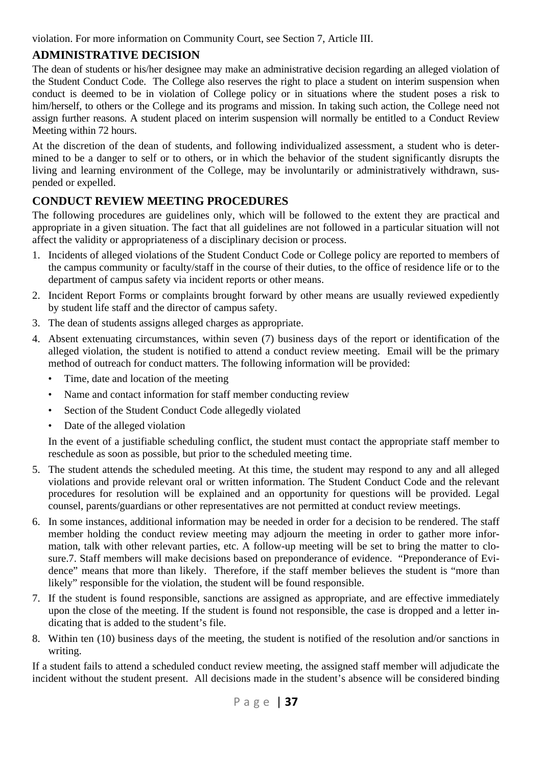violation. For more information on Community Court, see Section 7, Article III.

## **ADMINISTRATIVE DECISION**

The dean of students or his/her designee may make an administrative decision regarding an alleged violation of the Student Conduct Code. The College also reserves the right to place a student on interim suspension when conduct is deemed to be in violation of College policy or in situations where the student poses a risk to him/herself, to others or the College and its programs and mission. In taking such action, the College need not assign further reasons. A student placed on interim suspension will normally be entitled to a Conduct Review Meeting within 72 hours.

At the discretion of the dean of students, and following individualized assessment, a student who is determined to be a danger to self or to others, or in which the behavior of the student significantly disrupts the living and learning environment of the College, may be involuntarily or administratively withdrawn, suspended or expelled.

## **CONDUCT REVIEW MEETING PROCEDURES**

The following procedures are guidelines only, which will be followed to the extent they are practical and appropriate in a given situation. The fact that all guidelines are not followed in a particular situation will not affect the validity or appropriateness of a disciplinary decision or process.

- 1. Incidents of alleged violations of the Student Conduct Code or College policy are reported to members of the campus community or faculty/staff in the course of their duties, to the office of residence life or to the department of campus safety via incident reports or other means.
- 2. Incident Report Forms or complaints brought forward by other means are usually reviewed expediently by student life staff and the director of campus safety.
- 3. The dean of students assigns alleged charges as appropriate.
- 4. Absent extenuating circumstances, within seven (7) business days of the report or identification of the alleged violation, the student is notified to attend a conduct review meeting. Email will be the primary method of outreach for conduct matters. The following information will be provided:
	- Time, date and location of the meeting
	- Name and contact information for staff member conducting review
	- Section of the Student Conduct Code allegedly violated
	- Date of the alleged violation

 In the event of a justifiable scheduling conflict, the student must contact the appropriate staff member to reschedule as soon as possible, but prior to the scheduled meeting time.

- 5. The student attends the scheduled meeting. At this time, the student may respond to any and all alleged violations and provide relevant oral or written information. The Student Conduct Code and the relevant procedures for resolution will be explained and an opportunity for questions will be provided. Legal counsel, parents/guardians or other representatives are not permitted at conduct review meetings.
- 6. In some instances, additional information may be needed in order for a decision to be rendered. The staff member holding the conduct review meeting may adjourn the meeting in order to gather more information, talk with other relevant parties, etc. A follow-up meeting will be set to bring the matter to closure.7. Staff members will make decisions based on preponderance of evidence. "Preponderance of Evidence" means that more than likely. Therefore, if the staff member believes the student is "more than likely" responsible for the violation, the student will be found responsible.
- 7. If the student is found responsible, sanctions are assigned as appropriate, and are effective immediately upon the close of the meeting. If the student is found not responsible, the case is dropped and a letter indicating that is added to the student's file.
- 8. Within ten (10) business days of the meeting, the student is notified of the resolution and/or sanctions in writing.

If a student fails to attend a scheduled conduct review meeting, the assigned staff member will adjudicate the incident without the student present. All decisions made in the student's absence will be considered binding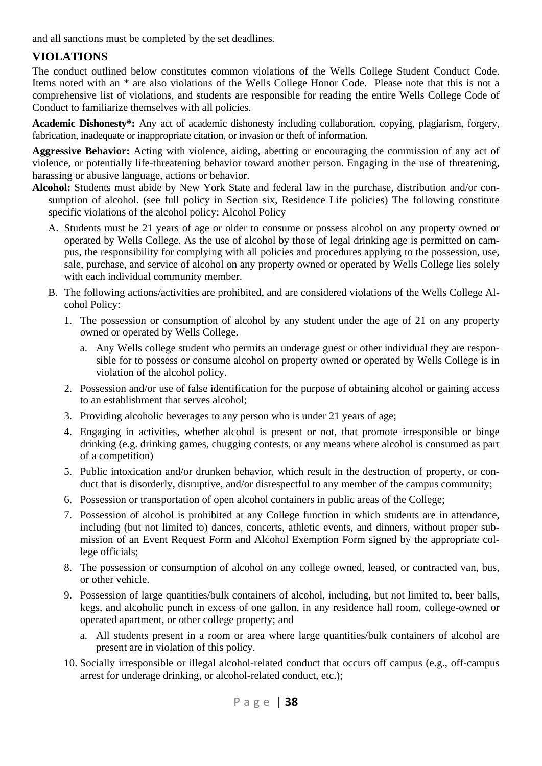and all sanctions must be completed by the set deadlines.

### **VIOLATIONS**

The conduct outlined below constitutes common violations of the Wells College Student Conduct Code. Items noted with an \* are also violations of the Wells College Honor Code. Please note that this is not a comprehensive list of violations, and students are responsible for reading the entire Wells College Code of Conduct to familiarize themselves with all policies.

**Academic Dishonesty\*:** Any act of academic dishonesty including collaboration, copying, plagiarism, forgery, fabrication, inadequate or inappropriate citation, or invasion or theft of information.

**Aggressive Behavior:** Acting with violence, aiding, abetting or encouraging the commission of any act of violence, or potentially life-threatening behavior toward another person. Engaging in the use of threatening, harassing or abusive language, actions or behavior.

- **Alcohol:** Students must abide by New York State and federal law in the purchase, distribution and/or consumption of alcohol. (see full policy in Section six, Residence Life policies) The following constitute specific violations of the alcohol policy: Alcohol Policy
	- A. Students must be 21 years of age or older to consume or possess alcohol on any property owned or operated by Wells College. As the use of alcohol by those of legal drinking age is permitted on campus, the responsibility for complying with all policies and procedures applying to the possession, use, sale, purchase, and service of alcohol on any property owned or operated by Wells College lies solely with each individual community member.
	- B. The following actions/activities are prohibited, and are considered violations of the Wells College Alcohol Policy:
		- 1. The possession or consumption of alcohol by any student under the age of 21 on any property owned or operated by Wells College.
			- a. Any Wells college student who permits an underage guest or other individual they are responsible for to possess or consume alcohol on property owned or operated by Wells College is in violation of the alcohol policy.
		- 2. Possession and/or use of false identification for the purpose of obtaining alcohol or gaining access to an establishment that serves alcohol;
		- 3. Providing alcoholic beverages to any person who is under 21 years of age;
		- 4. Engaging in activities, whether alcohol is present or not, that promote irresponsible or binge drinking (e.g. drinking games, chugging contests, or any means where alcohol is consumed as part of a competition)
		- 5. Public intoxication and/or drunken behavior, which result in the destruction of property, or conduct that is disorderly, disruptive, and/or disrespectful to any member of the campus community;
		- 6. Possession or transportation of open alcohol containers in public areas of the College;
		- 7. Possession of alcohol is prohibited at any College function in which students are in attendance, including (but not limited to) dances, concerts, athletic events, and dinners, without proper submission of an Event Request Form and Alcohol Exemption Form signed by the appropriate college officials;
		- 8. The possession or consumption of alcohol on any college owned, leased, or contracted van, bus, or other vehicle.
		- 9. Possession of large quantities/bulk containers of alcohol, including, but not limited to, beer balls, kegs, and alcoholic punch in excess of one gallon, in any residence hall room, college-owned or operated apartment, or other college property; and
			- a. All students present in a room or area where large quantities/bulk containers of alcohol are present are in violation of this policy.
		- 10. Socially irresponsible or illegal alcohol-related conduct that occurs off campus (e.g., off-campus arrest for underage drinking, or alcohol-related conduct, etc.);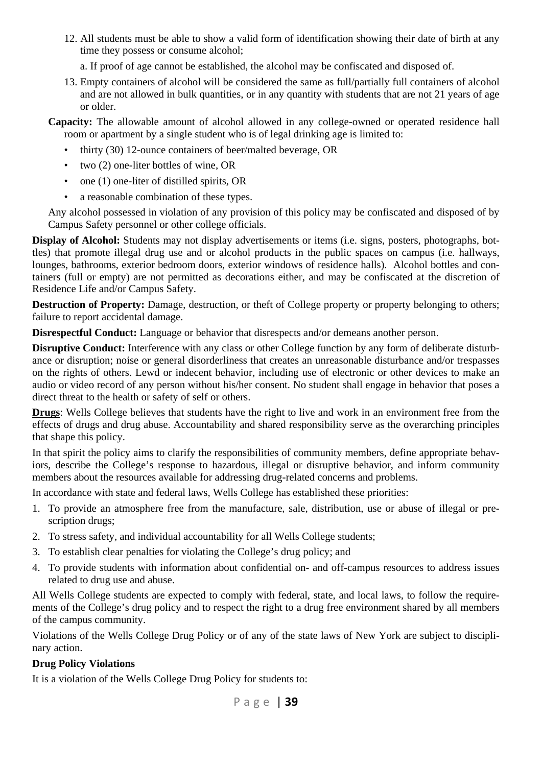12. All students must be able to show a valid form of identification showing their date of birth at any time they possess or consume alcohol;

a. If proof of age cannot be established, the alcohol may be confiscated and disposed of.

13. Empty containers of alcohol will be considered the same as full/partially full containers of alcohol and are not allowed in bulk quantities, or in any quantity with students that are not 21 years of age or older.

**Capacity:** The allowable amount of alcohol allowed in any college-owned or operated residence hall room or apartment by a single student who is of legal drinking age is limited to:

- thirty (30) 12-ounce containers of beer/malted beverage, OR
- two (2) one-liter bottles of wine, OR
- one (1) one-liter of distilled spirits, OR
- a reasonable combination of these types.

Any alcohol possessed in violation of any provision of this policy may be confiscated and disposed of by Campus Safety personnel or other college officials.

**Display of Alcohol:** Students may not display advertisements or items (i.e. signs, posters, photographs, bottles) that promote illegal drug use and or alcohol products in the public spaces on campus (i.e. hallways, lounges, bathrooms, exterior bedroom doors, exterior windows of residence halls). Alcohol bottles and containers (full or empty) are not permitted as decorations either, and may be confiscated at the discretion of Residence Life and/or Campus Safety.

**Destruction of Property:** Damage, destruction, or theft of College property or property belonging to others; failure to report accidental damage.

**Disrespectful Conduct:** Language or behavior that disrespects and/or demeans another person.

**Disruptive Conduct:** Interference with any class or other College function by any form of deliberate disturbance or disruption; noise or general disorderliness that creates an unreasonable disturbance and/or trespasses on the rights of others. Lewd or indecent behavior, including use of electronic or other devices to make an audio or video record of any person without his/her consent. No student shall engage in behavior that poses a direct threat to the health or safety of self or others.

**Drugs**: Wells College believes that students have the right to live and work in an environment free from the effects of drugs and drug abuse. Accountability and shared responsibility serve as the overarching principles that shape this policy.

In that spirit the policy aims to clarify the responsibilities of community members, define appropriate behaviors, describe the College's response to hazardous, illegal or disruptive behavior, and inform community members about the resources available for addressing drug-related concerns and problems.

In accordance with state and federal laws, Wells College has established these priorities:

- 1. To provide an atmosphere free from the manufacture, sale, distribution, use or abuse of illegal or prescription drugs;
- 2. To stress safety, and individual accountability for all Wells College students;
- 3. To establish clear penalties for violating the College's drug policy; and
- 4. To provide students with information about confidential on- and off-campus resources to address issues related to drug use and abuse.

All Wells College students are expected to comply with federal, state, and local laws, to follow the requirements of the College's drug policy and to respect the right to a drug free environment shared by all members of the campus community.

Violations of the Wells College Drug Policy or of any of the state laws of New York are subject to disciplinary action.

#### **Drug Policy Violations**

It is a violation of the Wells College Drug Policy for students to: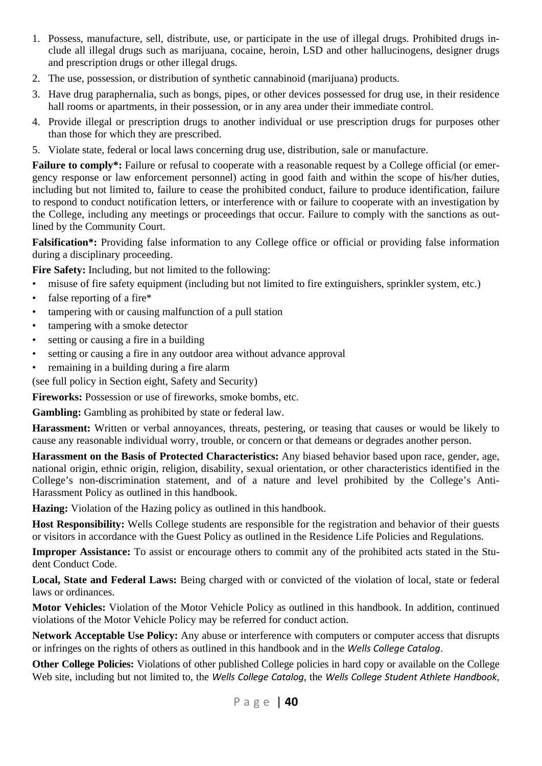- 1. Possess, manufacture, sell, distribute, use, or participate in the use of illegal drugs. Prohibited drugs include all illegal drugs such as marijuana, cocaine, heroin, LSD and other hallucinogens, designer drugs and prescription drugs or other illegal drugs.
- 2. The use, possession, or distribution of synthetic cannabinoid (marijuana) products.
- 3. Have drug paraphernalia, such as bongs, pipes, or other devices possessed for drug use, in their residence hall rooms or apartments, in their possession, or in any area under their immediate control.
- 4. Provide illegal or prescription drugs to another individual or use prescription drugs for purposes other than those for which they are prescribed.
- 5. Violate state, federal or local laws concerning drug use, distribution, sale or manufacture.

**Failure to comply<sup>\*</sup>:** Failure or refusal to cooperate with a reasonable request by a College official (or emergency response or law enforcement personnel) acting in good faith and within the scope of his/her duties, including but not limited to, failure to cease the prohibited conduct, failure to produce identification, failure to respond to conduct notification letters, or interference with or failure to cooperate with an investigation by the College, including any meetings or proceedings that occur. Failure to comply with the sanctions as outlined by the Community Court.

**Falsification\*:** Providing false information to any College office or official or providing false information during a disciplinary proceeding.

**Fire Safety:** Including, but not limited to the following:

- misuse of fire safety equipment (including but not limited to fire extinguishers, sprinkler system, etc.)
- false reporting of a fire\*
- tampering with or causing malfunction of a pull station
- tampering with a smoke detector
- setting or causing a fire in a building
- setting or causing a fire in any outdoor area without advance approval
- remaining in a building during a fire alarm

(see full policy in Section eight, Safety and Security)

**Fireworks:** Possession or use of fireworks, smoke bombs, etc.

**Gambling:** Gambling as prohibited by state or federal law.

**Harassment:** Written or verbal annoyances, threats, pestering, or teasing that causes or would be likely to cause any reasonable individual worry, trouble, or concern or that demeans or degrades another person.

**Harassment on the Basis of Protected Characteristics:** Any biased behavior based upon race, gender, age, national origin, ethnic origin, religion, disability, sexual orientation, or other characteristics identified in the College's non-discrimination statement, and of a nature and level prohibited by the College's Anti-Harassment Policy as outlined in this handbook.

**Hazing:** Violation of the Hazing policy as outlined in this handbook.

**Host Responsibility:** Wells College students are responsible for the registration and behavior of their guests or visitors in accordance with the Guest Policy as outlined in the Residence Life Policies and Regulations.

**Improper Assistance:** To assist or encourage others to commit any of the prohibited acts stated in the Student Conduct Code.

**Local, State and Federal Laws:** Being charged with or convicted of the violation of local, state or federal laws or ordinances.

**Motor Vehicles:** Violation of the Motor Vehicle Policy as outlined in this handbook. In addition, continued violations of the Motor Vehicle Policy may be referred for conduct action.

**Network Acceptable Use Policy:** Any abuse or interference with computers or computer access that disrupts or infringes on the rights of others as outlined in this handbook and in the *Wells College Catalog*.

**Other College Policies:** Violations of other published College policies in hard copy or available on the College Web site, including but not limited to, the *Wells College Catalog*, the *Wells College Student Athlete Handbook*,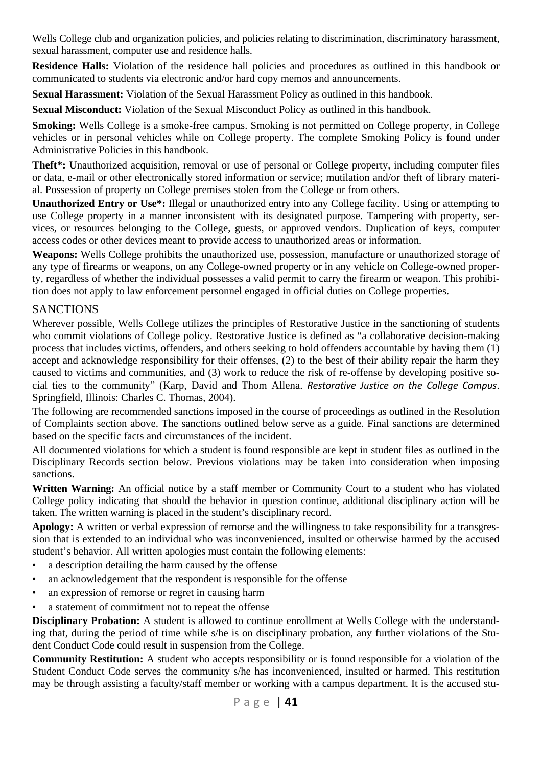Wells College club and organization policies, and policies relating to discrimination, discriminatory harassment, sexual harassment, computer use and residence halls.

**Residence Halls:** Violation of the residence hall policies and procedures as outlined in this handbook or communicated to students via electronic and/or hard copy memos and announcements.

**Sexual Harassment:** Violation of the Sexual Harassment Policy as outlined in this handbook.

**Sexual Misconduct:** Violation of the Sexual Misconduct Policy as outlined in this handbook.

**Smoking:** Wells College is a smoke-free campus. Smoking is not permitted on College property, in College vehicles or in personal vehicles while on College property. The complete Smoking Policy is found under Administrative Policies in this handbook.

**Theft\*:** Unauthorized acquisition, removal or use of personal or College property, including computer files or data, e-mail or other electronically stored information or service; mutilation and/or theft of library material. Possession of property on College premises stolen from the College or from others.

**Unauthorized Entry or Use\*:** Illegal or unauthorized entry into any College facility. Using or attempting to use College property in a manner inconsistent with its designated purpose. Tampering with property, services, or resources belonging to the College, guests, or approved vendors. Duplication of keys, computer access codes or other devices meant to provide access to unauthorized areas or information.

**Weapons:** Wells College prohibits the unauthorized use, possession, manufacture or unauthorized storage of any type of firearms or weapons, on any College-owned property or in any vehicle on College-owned property, regardless of whether the individual possesses a valid permit to carry the firearm or weapon. This prohibition does not apply to law enforcement personnel engaged in official duties on College properties.

#### **SANCTIONS**

Wherever possible, Wells College utilizes the principles of Restorative Justice in the sanctioning of students who commit violations of College policy. Restorative Justice is defined as "a collaborative decision-making process that includes victims, offenders, and others seeking to hold offenders accountable by having them (1) accept and acknowledge responsibility for their offenses, (2) to the best of their ability repair the harm they caused to victims and communities, and (3) work to reduce the risk of re-offense by developing positive social ties to the community" (Karp, David and Thom Allena. *Restorative Justice on the College Campus*. Springfield, Illinois: Charles C. Thomas, 2004).

The following are recommended sanctions imposed in the course of proceedings as outlined in the Resolution of Complaints section above. The sanctions outlined below serve as a guide. Final sanctions are determined based on the specific facts and circumstances of the incident.

All documented violations for which a student is found responsible are kept in student files as outlined in the Disciplinary Records section below. Previous violations may be taken into consideration when imposing sanctions.

**Written Warning:** An official notice by a staff member or Community Court to a student who has violated College policy indicating that should the behavior in question continue, additional disciplinary action will be taken. The written warning is placed in the student's disciplinary record.

**Apology:** A written or verbal expression of remorse and the willingness to take responsibility for a transgression that is extended to an individual who was inconvenienced, insulted or otherwise harmed by the accused student's behavior. All written apologies must contain the following elements:

- a description detailing the harm caused by the offense
- an acknowledgement that the respondent is responsible for the offense
- an expression of remorse or regret in causing harm
- a statement of commitment not to repeat the offense

**Disciplinary Probation:** A student is allowed to continue enrollment at Wells College with the understanding that, during the period of time while s/he is on disciplinary probation, any further violations of the Student Conduct Code could result in suspension from the College.

**Community Restitution:** A student who accepts responsibility or is found responsible for a violation of the Student Conduct Code serves the community s/he has inconvenienced, insulted or harmed. This restitution may be through assisting a faculty/staff member or working with a campus department. It is the accused stu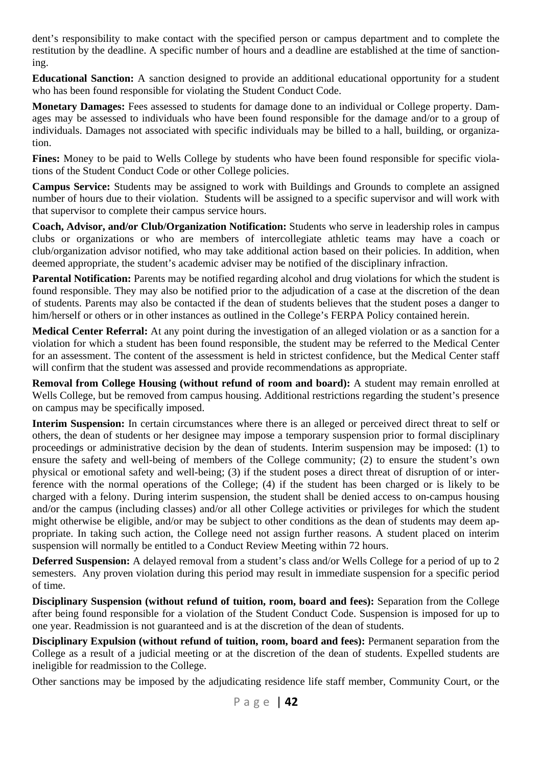dent's responsibility to make contact with the specified person or campus department and to complete the restitution by the deadline. A specific number of hours and a deadline are established at the time of sanctioning.

**Educational Sanction:** A sanction designed to provide an additional educational opportunity for a student who has been found responsible for violating the Student Conduct Code.

**Monetary Damages:** Fees assessed to students for damage done to an individual or College property. Damages may be assessed to individuals who have been found responsible for the damage and/or to a group of individuals. Damages not associated with specific individuals may be billed to a hall, building, or organization.

**Fines:** Money to be paid to Wells College by students who have been found responsible for specific violations of the Student Conduct Code or other College policies.

**Campus Service:** Students may be assigned to work with Buildings and Grounds to complete an assigned number of hours due to their violation. Students will be assigned to a specific supervisor and will work with that supervisor to complete their campus service hours.

**Coach, Advisor, and/or Club/Organization Notification:** Students who serve in leadership roles in campus clubs or organizations or who are members of intercollegiate athletic teams may have a coach or club/organization advisor notified, who may take additional action based on their policies. In addition, when deemed appropriate, the student's academic adviser may be notified of the disciplinary infraction.

**Parental Notification:** Parents may be notified regarding alcohol and drug violations for which the student is found responsible. They may also be notified prior to the adjudication of a case at the discretion of the dean of students. Parents may also be contacted if the dean of students believes that the student poses a danger to him/herself or others or in other instances as outlined in the College's FERPA Policy contained herein.

**Medical Center Referral:** At any point during the investigation of an alleged violation or as a sanction for a violation for which a student has been found responsible, the student may be referred to the Medical Center for an assessment. The content of the assessment is held in strictest confidence, but the Medical Center staff will confirm that the student was assessed and provide recommendations as appropriate.

**Removal from College Housing (without refund of room and board):** A student may remain enrolled at Wells College, but be removed from campus housing. Additional restrictions regarding the student's presence on campus may be specifically imposed.

**Interim Suspension:** In certain circumstances where there is an alleged or perceived direct threat to self or others, the dean of students or her designee may impose a temporary suspension prior to formal disciplinary proceedings or administrative decision by the dean of students. Interim suspension may be imposed: (1) to ensure the safety and well-being of members of the College community; (2) to ensure the student's own physical or emotional safety and well-being; (3) if the student poses a direct threat of disruption of or interference with the normal operations of the College; (4) if the student has been charged or is likely to be charged with a felony. During interim suspension, the student shall be denied access to on-campus housing and/or the campus (including classes) and/or all other College activities or privileges for which the student might otherwise be eligible, and/or may be subject to other conditions as the dean of students may deem appropriate. In taking such action, the College need not assign further reasons. A student placed on interim suspension will normally be entitled to a Conduct Review Meeting within 72 hours.

**Deferred Suspension:** A delayed removal from a student's class and/or Wells College for a period of up to 2 semesters. Any proven violation during this period may result in immediate suspension for a specific period of time.

**Disciplinary Suspension (without refund of tuition, room, board and fees):** Separation from the College after being found responsible for a violation of the Student Conduct Code. Suspension is imposed for up to one year. Readmission is not guaranteed and is at the discretion of the dean of students.

**Disciplinary Expulsion (without refund of tuition, room, board and fees):** Permanent separation from the College as a result of a judicial meeting or at the discretion of the dean of students. Expelled students are ineligible for readmission to the College.

Other sanctions may be imposed by the adjudicating residence life staff member, Community Court, or the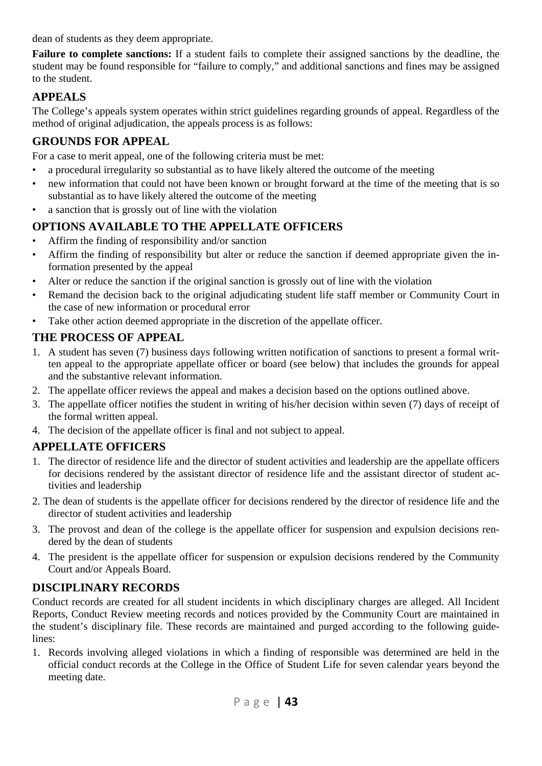dean of students as they deem appropriate.

**Failure to complete sanctions:** If a student fails to complete their assigned sanctions by the deadline, the student may be found responsible for "failure to comply," and additional sanctions and fines may be assigned to the student.

## **APPEALS**

The College's appeals system operates within strict guidelines regarding grounds of appeal. Regardless of the method of original adjudication, the appeals process is as follows:

### **GROUNDS FOR APPEAL**

For a case to merit appeal, one of the following criteria must be met:

- a procedural irregularity so substantial as to have likely altered the outcome of the meeting
- new information that could not have been known or brought forward at the time of the meeting that is so substantial as to have likely altered the outcome of the meeting
- a sanction that is grossly out of line with the violation

## **OPTIONS AVAILABLE TO THE APPELLATE OFFICERS**

- Affirm the finding of responsibility and/or sanction
- Affirm the finding of responsibility but alter or reduce the sanction if deemed appropriate given the information presented by the appeal
- Alter or reduce the sanction if the original sanction is grossly out of line with the violation
- Remand the decision back to the original adjudicating student life staff member or Community Court in the case of new information or procedural error
- Take other action deemed appropriate in the discretion of the appellate officer.

## **THE PROCESS OF APPEAL**

- 1. A student has seven (7) business days following written notification of sanctions to present a formal written appeal to the appropriate appellate officer or board (see below) that includes the grounds for appeal and the substantive relevant information.
- 2. The appellate officer reviews the appeal and makes a decision based on the options outlined above.
- 3. The appellate officer notifies the student in writing of his/her decision within seven (7) days of receipt of the formal written appeal.
- 4. The decision of the appellate officer is final and not subject to appeal.

## **APPELLATE OFFICERS**

- 1. The director of residence life and the director of student activities and leadership are the appellate officers for decisions rendered by the assistant director of residence life and the assistant director of student activities and leadership
- 2. The dean of students is the appellate officer for decisions rendered by the director of residence life and the director of student activities and leadership
- 3. The provost and dean of the college is the appellate officer for suspension and expulsion decisions rendered by the dean of students
- 4. The president is the appellate officer for suspension or expulsion decisions rendered by the Community Court and/or Appeals Board.

## **DISCIPLINARY RECORDS**

Conduct records are created for all student incidents in which disciplinary charges are alleged. All Incident Reports, Conduct Review meeting records and notices provided by the Community Court are maintained in the student's disciplinary file. These records are maintained and purged according to the following guidelines:

1. Records involving alleged violations in which a finding of responsible was determined are held in the official conduct records at the College in the Office of Student Life for seven calendar years beyond the meeting date.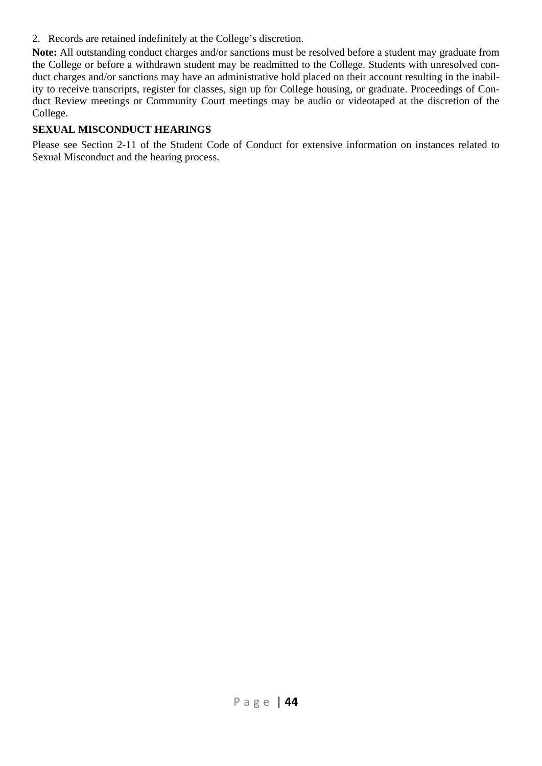2. Records are retained indefinitely at the College's discretion.

**Note:** All outstanding conduct charges and/or sanctions must be resolved before a student may graduate from the College or before a withdrawn student may be readmitted to the College. Students with unresolved conduct charges and/or sanctions may have an administrative hold placed on their account resulting in the inability to receive transcripts, register for classes, sign up for College housing, or graduate. Proceedings of Conduct Review meetings or Community Court meetings may be audio or videotaped at the discretion of the College.

#### **SEXUAL MISCONDUCT HEARINGS**

Please see Section 2-11 of the Student Code of Conduct for extensive information on instances related to Sexual Misconduct and the hearing process.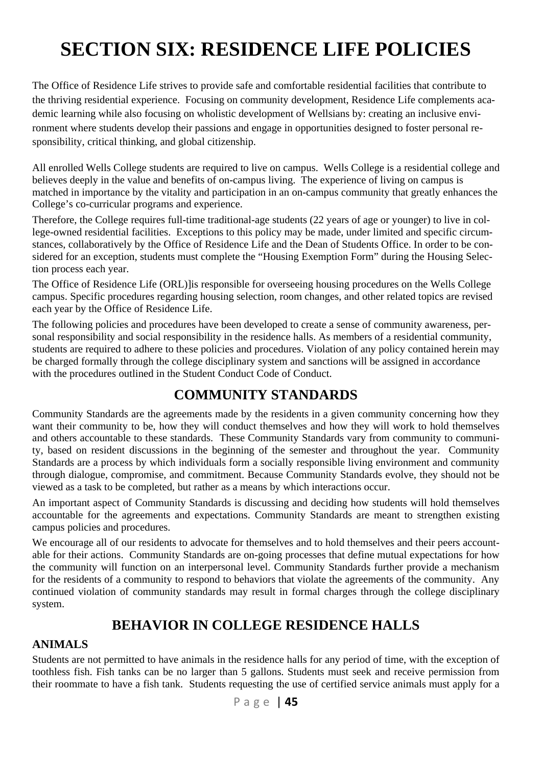# **SECTION SIX: RESIDENCE LIFE POLICIES**

The Office of Residence Life strives to provide safe and comfortable residential facilities that contribute to the thriving residential experience. Focusing on community development, Residence Life complements academic learning while also focusing on wholistic development of Wellsians by: creating an inclusive environment where students develop their passions and engage in opportunities designed to foster personal responsibility, critical thinking, and global citizenship.

All enrolled Wells College students are required to live on campus. Wells College is a residential college and believes deeply in the value and benefits of on-campus living. The experience of living on campus is matched in importance by the vitality and participation in an on-campus community that greatly enhances the College's co-curricular programs and experience.

Therefore, the College requires full-time traditional-age students (22 years of age or younger) to live in college-owned residential facilities. Exceptions to this policy may be made, under limited and specific circumstances, collaboratively by the Office of Residence Life and the Dean of Students Office. In order to be considered for an exception, students must complete the "Housing Exemption Form" during the Housing Selection process each year.

The Office of Residence Life (ORL)]is responsible for overseeing housing procedures on the Wells College campus. Specific procedures regarding housing selection, room changes, and other related topics are revised each year by the Office of Residence Life.

The following policies and procedures have been developed to create a sense of community awareness, personal responsibility and social responsibility in the residence halls. As members of a residential community, students are required to adhere to these policies and procedures. Violation of any policy contained herein may be charged formally through the college disciplinary system and sanctions will be assigned in accordance with the procedures outlined in the Student Conduct Code of Conduct.

## **COMMUNITY STANDARDS**

Community Standards are the agreements made by the residents in a given community concerning how they want their community to be, how they will conduct themselves and how they will work to hold themselves and others accountable to these standards. These Community Standards vary from community to community, based on resident discussions in the beginning of the semester and throughout the year. Community Standards are a process by which individuals form a socially responsible living environment and community through dialogue, compromise, and commitment. Because Community Standards evolve, they should not be viewed as a task to be completed, but rather as a means by which interactions occur.

An important aspect of Community Standards is discussing and deciding how students will hold themselves accountable for the agreements and expectations. Community Standards are meant to strengthen existing campus policies and procedures.

We encourage all of our residents to advocate for themselves and to hold themselves and their peers accountable for their actions. Community Standards are on-going processes that define mutual expectations for how the community will function on an interpersonal level. Community Standards further provide a mechanism for the residents of a community to respond to behaviors that violate the agreements of the community. Any continued violation of community standards may result in formal charges through the college disciplinary system.

## **BEHAVIOR IN COLLEGE RESIDENCE HALLS**

#### **ANIMALS**

Students are not permitted to have animals in the residence halls for any period of time, with the exception of toothless fish. Fish tanks can be no larger than 5 gallons. Students must seek and receive permission from their roommate to have a fish tank. Students requesting the use of certified service animals must apply for a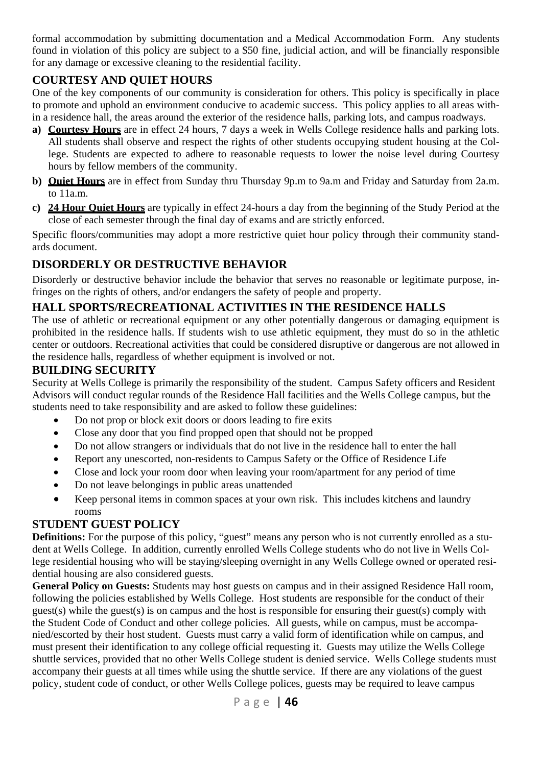formal accommodation by submitting documentation and a Medical Accommodation Form. Any students found in violation of this policy are subject to a \$50 fine, judicial action, and will be financially responsible for any damage or excessive cleaning to the residential facility.

## **COURTESY AND QUIET HOURS**

One of the key components of our community is consideration for others. This policy is specifically in place to promote and uphold an environment conducive to academic success. This policy applies to all areas within a residence hall, the areas around the exterior of the residence halls, parking lots, and campus roadways.

- **a) Courtesy Hours** are in effect 24 hours, 7 days a week in Wells College residence halls and parking lots. All students shall observe and respect the rights of other students occupying student housing at the College. Students are expected to adhere to reasonable requests to lower the noise level during Courtesy hours by fellow members of the community.
- **b) Quiet Hours** are in effect from Sunday thru Thursday 9p.m to 9a.m and Friday and Saturday from 2a.m. to 11a.m.
- **c) 24 Hour Quiet Hours** are typically in effect 24-hours a day from the beginning of the Study Period at the close of each semester through the final day of exams and are strictly enforced.

Specific floors/communities may adopt a more restrictive quiet hour policy through their community standards document.

## **DISORDERLY OR DESTRUCTIVE BEHAVIOR**

Disorderly or destructive behavior include the behavior that serves no reasonable or legitimate purpose, infringes on the rights of others, and/or endangers the safety of people and property.

#### **HALL SPORTS/RECREATIONAL ACTIVITIES IN THE RESIDENCE HALLS**

The use of athletic or recreational equipment or any other potentially dangerous or damaging equipment is prohibited in the residence halls. If students wish to use athletic equipment, they must do so in the athletic center or outdoors. Recreational activities that could be considered disruptive or dangerous are not allowed in the residence halls, regardless of whether equipment is involved or not.

#### **BUILDING SECURITY**

Security at Wells College is primarily the responsibility of the student. Campus Safety officers and Resident Advisors will conduct regular rounds of the Residence Hall facilities and the Wells College campus, but the students need to take responsibility and are asked to follow these guidelines:

- Do not prop or block exit doors or doors leading to fire exits
- Close any door that you find propped open that should not be propped
- Do not allow strangers or individuals that do not live in the residence hall to enter the hall
- Report any unescorted, non-residents to Campus Safety or the Office of Residence Life
- Close and lock your room door when leaving your room/apartment for any period of time
- Do not leave belongings in public areas unattended
- Keep personal items in common spaces at your own risk. This includes kitchens and laundry rooms

#### **STUDENT GUEST POLICY**

**Definitions:** For the purpose of this policy, "guest" means any person who is not currently enrolled as a student at Wells College. In addition, currently enrolled Wells College students who do not live in Wells College residential housing who will be staying/sleeping overnight in any Wells College owned or operated residential housing are also considered guests.

**General Policy on Guests:** Students may host guests on campus and in their assigned Residence Hall room, following the policies established by Wells College. Host students are responsible for the conduct of their guest(s) while the guest(s) is on campus and the host is responsible for ensuring their guest(s) comply with the Student Code of Conduct and other college policies. All guests, while on campus, must be accompanied/escorted by their host student. Guests must carry a valid form of identification while on campus, and must present their identification to any college official requesting it. Guests may utilize the Wells College shuttle services, provided that no other Wells College student is denied service. Wells College students must accompany their guests at all times while using the shuttle service. If there are any violations of the guest policy, student code of conduct, or other Wells College polices, guests may be required to leave campus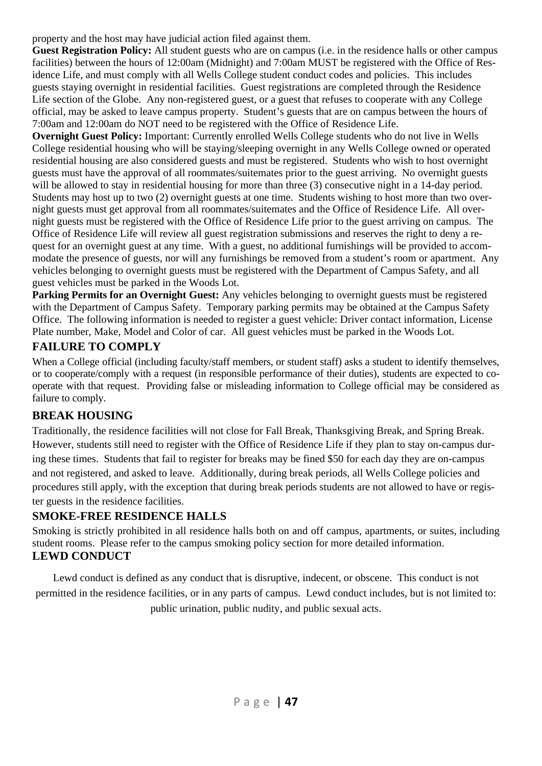property and the host may have judicial action filed against them.

**Guest Registration Policy:** All student guests who are on campus (i.e. in the residence halls or other campus facilities) between the hours of 12:00am (Midnight) and 7:00am MUST be registered with the Office of Residence Life, and must comply with all Wells College student conduct codes and policies. This includes guests staying overnight in residential facilities. Guest registrations are completed through the Residence Life section of the Globe. Any non-registered guest, or a guest that refuses to cooperate with any College official, may be asked to leave campus property. Student's guests that are on campus between the hours of 7:00am and 12:00am do NOT need to be registered with the Office of Residence Life.

**Overnight Guest Policy:** Important: Currently enrolled Wells College students who do not live in Wells College residential housing who will be staying/sleeping overnight in any Wells College owned or operated residential housing are also considered guests and must be registered. Students who wish to host overnight guests must have the approval of all roommates/suitemates prior to the guest arriving. No overnight guests will be allowed to stay in residential housing for more than three (3) consecutive night in a 14-day period. Students may host up to two (2) overnight guests at one time. Students wishing to host more than two overnight guests must get approval from all roommates/suitemates and the Office of Residence Life. All overnight guests must be registered with the Office of Residence Life prior to the guest arriving on campus. The Office of Residence Life will review all guest registration submissions and reserves the right to deny a request for an overnight guest at any time. With a guest, no additional furnishings will be provided to accommodate the presence of guests, nor will any furnishings be removed from a student's room or apartment. Any vehicles belonging to overnight guests must be registered with the Department of Campus Safety, and all guest vehicles must be parked in the Woods Lot.

**Parking Permits for an Overnight Guest:** Any vehicles belonging to overnight guests must be registered with the Department of Campus Safety. Temporary parking permits may be obtained at the Campus Safety Office. The following information is needed to register a guest vehicle: Driver contact information, License Plate number, Make, Model and Color of car. All guest vehicles must be parked in the Woods Lot.

#### **FAILURE TO COMPLY**

When a College official (including faculty/staff members, or student staff) asks a student to identify themselves, or to cooperate/comply with a request (in responsible performance of their duties), students are expected to cooperate with that request. Providing false or misleading information to College official may be considered as failure to comply.

#### **BREAK HOUSING**

Traditionally, the residence facilities will not close for Fall Break, Thanksgiving Break, and Spring Break. However, students still need to register with the Office of Residence Life if they plan to stay on-campus during these times. Students that fail to register for breaks may be fined \$50 for each day they are on-campus and not registered, and asked to leave. Additionally, during break periods, all Wells College policies and procedures still apply, with the exception that during break periods students are not allowed to have or register guests in the residence facilities.

#### **SMOKE-FREE RESIDENCE HALLS**

Smoking is strictly prohibited in all residence halls both on and off campus, apartments, or suites, including student rooms. Please refer to the campus smoking policy section for more detailed information. **LEWD CONDUCT** 

Lewd conduct is defined as any conduct that is disruptive, indecent, or obscene. This conduct is not permitted in the residence facilities, or in any parts of campus. Lewd conduct includes, but is not limited to: public urination, public nudity, and public sexual acts.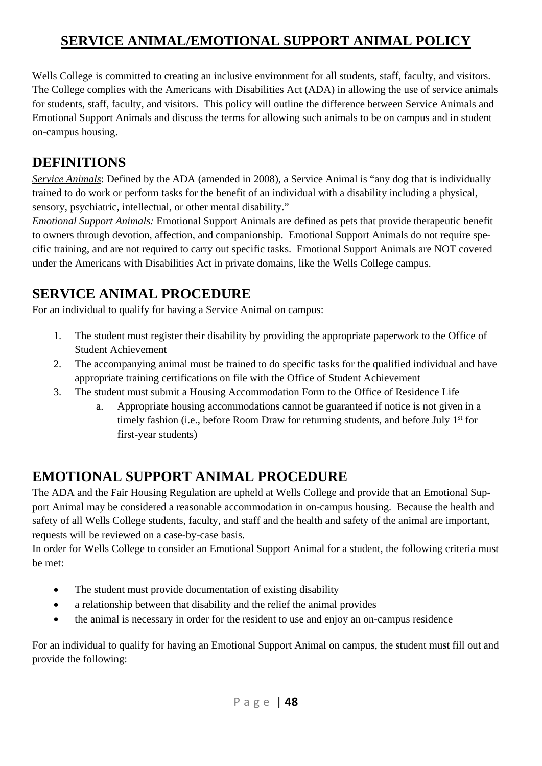## **SERVICE ANIMAL/EMOTIONAL SUPPORT ANIMAL POLICY**

Wells College is committed to creating an inclusive environment for all students, staff, faculty, and visitors. The College complies with the Americans with Disabilities Act (ADA) in allowing the use of service animals for students, staff, faculty, and visitors. This policy will outline the difference between Service Animals and Emotional Support Animals and discuss the terms for allowing such animals to be on campus and in student on-campus housing.

## **DEFINITIONS**

*Service Animals*: Defined by the ADA (amended in 2008), a Service Animal is "any dog that is individually trained to do work or perform tasks for the benefit of an individual with a disability including a physical, sensory, psychiatric, intellectual, or other mental disability."

*Emotional Support Animals:* Emotional Support Animals are defined as pets that provide therapeutic benefit to owners through devotion, affection, and companionship. Emotional Support Animals do not require specific training, and are not required to carry out specific tasks. Emotional Support Animals are NOT covered under the Americans with Disabilities Act in private domains, like the Wells College campus.

## **SERVICE ANIMAL PROCEDURE**

For an individual to qualify for having a Service Animal on campus:

- 1. The student must register their disability by providing the appropriate paperwork to the Office of Student Achievement
- 2. The accompanying animal must be trained to do specific tasks for the qualified individual and have appropriate training certifications on file with the Office of Student Achievement
- 3. The student must submit a Housing Accommodation Form to the Office of Residence Life
	- a. Appropriate housing accommodations cannot be guaranteed if notice is not given in a timely fashion (i.e., before Room Draw for returning students, and before July 1<sup>st</sup> for first-year students)

## **EMOTIONAL SUPPORT ANIMAL PROCEDURE**

The ADA and the Fair Housing Regulation are upheld at Wells College and provide that an Emotional Support Animal may be considered a reasonable accommodation in on-campus housing. Because the health and safety of all Wells College students, faculty, and staff and the health and safety of the animal are important, requests will be reviewed on a case-by-case basis.

In order for Wells College to consider an Emotional Support Animal for a student, the following criteria must be met:

- The student must provide documentation of existing disability
- a relationship between that disability and the relief the animal provides
- the animal is necessary in order for the resident to use and enjoy an on-campus residence

For an individual to qualify for having an Emotional Support Animal on campus, the student must fill out and provide the following: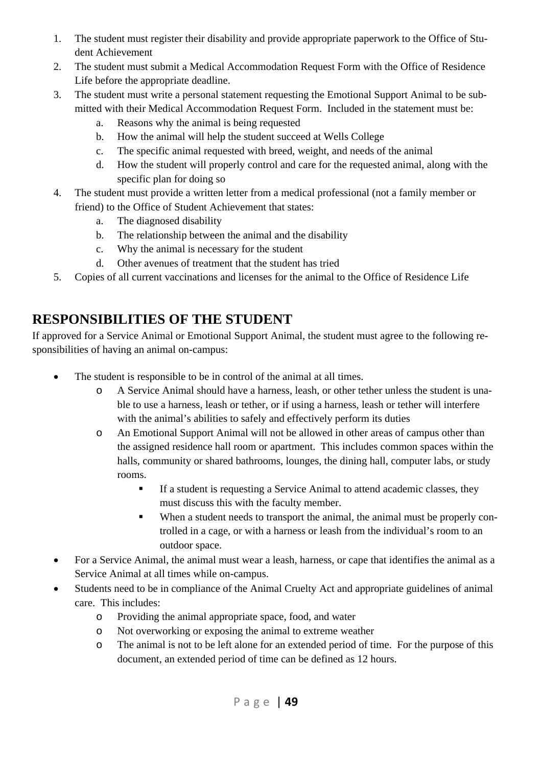- 1. The student must register their disability and provide appropriate paperwork to the Office of Student Achievement
- 2. The student must submit a Medical Accommodation Request Form with the Office of Residence Life before the appropriate deadline.
- 3. The student must write a personal statement requesting the Emotional Support Animal to be submitted with their Medical Accommodation Request Form. Included in the statement must be:
	- a. Reasons why the animal is being requested
	- b. How the animal will help the student succeed at Wells College
	- c. The specific animal requested with breed, weight, and needs of the animal
	- d. How the student will properly control and care for the requested animal, along with the specific plan for doing so
- 4. The student must provide a written letter from a medical professional (not a family member or friend) to the Office of Student Achievement that states:
	- a. The diagnosed disability
	- b. The relationship between the animal and the disability
	- c. Why the animal is necessary for the student
	- d. Other avenues of treatment that the student has tried
- 5. Copies of all current vaccinations and licenses for the animal to the Office of Residence Life

## **RESPONSIBILITIES OF THE STUDENT**

If approved for a Service Animal or Emotional Support Animal, the student must agree to the following responsibilities of having an animal on-campus:

- The student is responsible to be in control of the animal at all times.
	- o A Service Animal should have a harness, leash, or other tether unless the student is unable to use a harness, leash or tether, or if using a harness, leash or tether will interfere with the animal's abilities to safely and effectively perform its duties
	- o An Emotional Support Animal will not be allowed in other areas of campus other than the assigned residence hall room or apartment. This includes common spaces within the halls, community or shared bathrooms, lounges, the dining hall, computer labs, or study rooms.
		- If a student is requesting a Service Animal to attend academic classes, they must discuss this with the faculty member.
		- When a student needs to transport the animal, the animal must be properly controlled in a cage, or with a harness or leash from the individual's room to an outdoor space.
- For a Service Animal, the animal must wear a leash, harness, or cape that identifies the animal as a Service Animal at all times while on-campus.
- Students need to be in compliance of the Animal Cruelty Act and appropriate guidelines of animal care. This includes:
	- o Providing the animal appropriate space, food, and water
	- o Not overworking or exposing the animal to extreme weather
	- o The animal is not to be left alone for an extended period of time. For the purpose of this document, an extended period of time can be defined as 12 hours.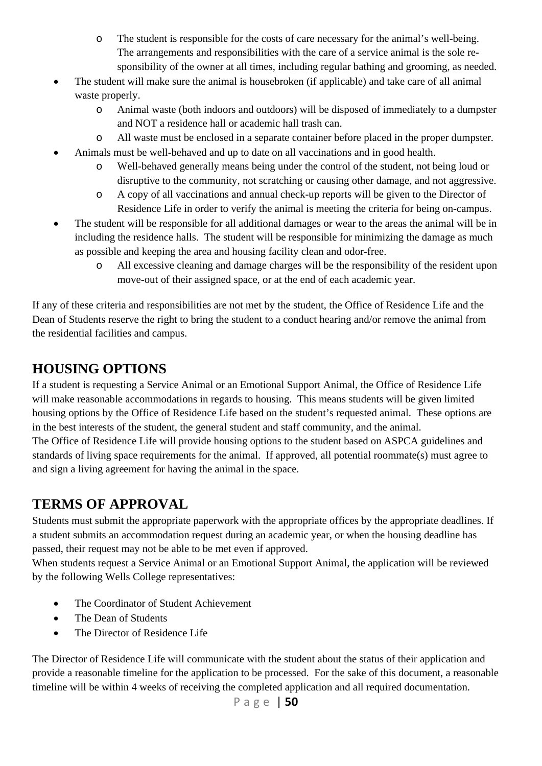- o The student is responsible for the costs of care necessary for the animal's well-being. The arrangements and responsibilities with the care of a service animal is the sole responsibility of the owner at all times, including regular bathing and grooming, as needed.
- The student will make sure the animal is housebroken (if applicable) and take care of all animal waste properly.
	- o Animal waste (both indoors and outdoors) will be disposed of immediately to a dumpster and NOT a residence hall or academic hall trash can.
	- o All waste must be enclosed in a separate container before placed in the proper dumpster.
- Animals must be well-behaved and up to date on all vaccinations and in good health.
	- o Well-behaved generally means being under the control of the student, not being loud or disruptive to the community, not scratching or causing other damage, and not aggressive.
	- o A copy of all vaccinations and annual check-up reports will be given to the Director of Residence Life in order to verify the animal is meeting the criteria for being on-campus.
- The student will be responsible for all additional damages or wear to the areas the animal will be in including the residence halls. The student will be responsible for minimizing the damage as much as possible and keeping the area and housing facility clean and odor-free.
	- o All excessive cleaning and damage charges will be the responsibility of the resident upon move-out of their assigned space, or at the end of each academic year.

If any of these criteria and responsibilities are not met by the student, the Office of Residence Life and the Dean of Students reserve the right to bring the student to a conduct hearing and/or remove the animal from the residential facilities and campus.

## **HOUSING OPTIONS**

If a student is requesting a Service Animal or an Emotional Support Animal, the Office of Residence Life will make reasonable accommodations in regards to housing. This means students will be given limited housing options by the Office of Residence Life based on the student's requested animal. These options are in the best interests of the student, the general student and staff community, and the animal. The Office of Residence Life will provide housing options to the student based on ASPCA guidelines and standards of living space requirements for the animal. If approved, all potential roommate(s) must agree to and sign a living agreement for having the animal in the space.

## **TERMS OF APPROVAL**

Students must submit the appropriate paperwork with the appropriate offices by the appropriate deadlines. If a student submits an accommodation request during an academic year, or when the housing deadline has passed, their request may not be able to be met even if approved.

When students request a Service Animal or an Emotional Support Animal, the application will be reviewed by the following Wells College representatives:

- The Coordinator of Student Achievement
- The Dean of Students
- The Director of Residence Life

The Director of Residence Life will communicate with the student about the status of their application and provide a reasonable timeline for the application to be processed. For the sake of this document, a reasonable timeline will be within 4 weeks of receiving the completed application and all required documentation.

$$
\texttt{Page} \mid \textbf{50}
$$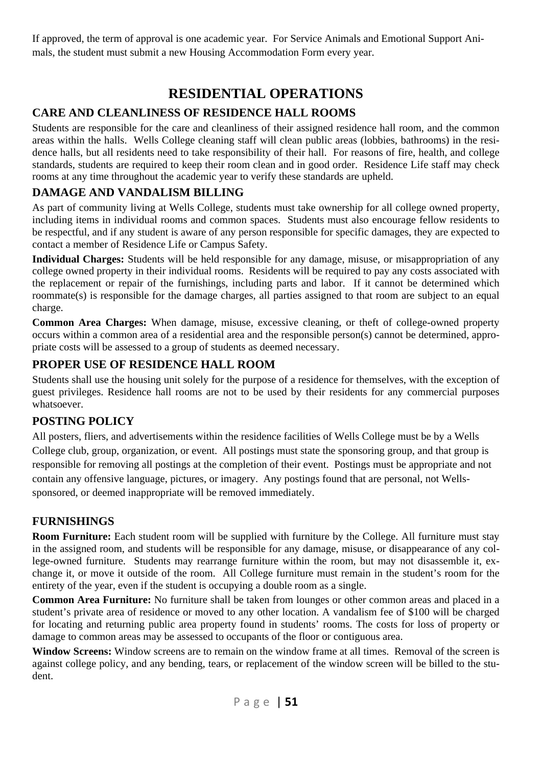If approved, the term of approval is one academic year. For Service Animals and Emotional Support Animals, the student must submit a new Housing Accommodation Form every year.

## **RESIDENTIAL OPERATIONS**

### **CARE AND CLEANLINESS OF RESIDENCE HALL ROOMS**

Students are responsible for the care and cleanliness of their assigned residence hall room, and the common areas within the halls. Wells College cleaning staff will clean public areas (lobbies, bathrooms) in the residence halls, but all residents need to take responsibility of their hall. For reasons of fire, health, and college standards, students are required to keep their room clean and in good order. Residence Life staff may check rooms at any time throughout the academic year to verify these standards are upheld.

## **DAMAGE AND VANDALISM BILLING**

As part of community living at Wells College, students must take ownership for all college owned property, including items in individual rooms and common spaces. Students must also encourage fellow residents to be respectful, and if any student is aware of any person responsible for specific damages, they are expected to contact a member of Residence Life or Campus Safety.

**Individual Charges:** Students will be held responsible for any damage, misuse, or misappropriation of any college owned property in their individual rooms. Residents will be required to pay any costs associated with the replacement or repair of the furnishings, including parts and labor. If it cannot be determined which roommate(s) is responsible for the damage charges, all parties assigned to that room are subject to an equal charge.

**Common Area Charges:** When damage, misuse, excessive cleaning, or theft of college-owned property occurs within a common area of a residential area and the responsible person(s) cannot be determined, appropriate costs will be assessed to a group of students as deemed necessary.

#### **PROPER USE OF RESIDENCE HALL ROOM**

Students shall use the housing unit solely for the purpose of a residence for themselves, with the exception of guest privileges. Residence hall rooms are not to be used by their residents for any commercial purposes whatsoever.

#### **POSTING POLICY**

All posters, fliers, and advertisements within the residence facilities of Wells College must be by a Wells College club, group, organization, or event. All postings must state the sponsoring group, and that group is responsible for removing all postings at the completion of their event. Postings must be appropriate and not contain any offensive language, pictures, or imagery. Any postings found that are personal, not Wellssponsored, or deemed inappropriate will be removed immediately.

#### **FURNISHINGS**

**Room Furniture:** Each student room will be supplied with furniture by the College. All furniture must stay in the assigned room, and students will be responsible for any damage, misuse, or disappearance of any college-owned furniture. Students may rearrange furniture within the room, but may not disassemble it, exchange it, or move it outside of the room. All College furniture must remain in the student's room for the entirety of the year, even if the student is occupying a double room as a single.

**Common Area Furniture:** No furniture shall be taken from lounges or other common areas and placed in a student's private area of residence or moved to any other location. A vandalism fee of \$100 will be charged for locating and returning public area property found in students' rooms. The costs for loss of property or damage to common areas may be assessed to occupants of the floor or contiguous area.

**Window Screens:** Window screens are to remain on the window frame at all times. Removal of the screen is against college policy, and any bending, tears, or replacement of the window screen will be billed to the student.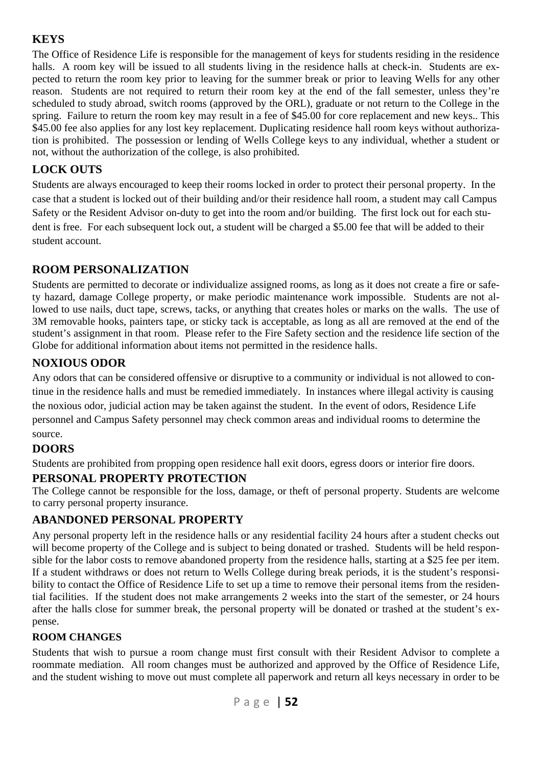## **KEYS**

The Office of Residence Life is responsible for the management of keys for students residing in the residence halls. A room key will be issued to all students living in the residence halls at check-in. Students are expected to return the room key prior to leaving for the summer break or prior to leaving Wells for any other reason. Students are not required to return their room key at the end of the fall semester, unless they're scheduled to study abroad, switch rooms (approved by the ORL), graduate or not return to the College in the spring. Failure to return the room key may result in a fee of \$45.00 for core replacement and new keys.. This \$45.00 fee also applies for any lost key replacement. Duplicating residence hall room keys without authorization is prohibited. The possession or lending of Wells College keys to any individual, whether a student or not, without the authorization of the college, is also prohibited.

## **LOCK OUTS**

Students are always encouraged to keep their rooms locked in order to protect their personal property. In the case that a student is locked out of their building and/or their residence hall room, a student may call Campus Safety or the Resident Advisor on-duty to get into the room and/or building. The first lock out for each student is free. For each subsequent lock out, a student will be charged a \$5.00 fee that will be added to their student account.

## **ROOM PERSONALIZATION**

Students are permitted to decorate or individualize assigned rooms, as long as it does not create a fire or safety hazard, damage College property, or make periodic maintenance work impossible. Students are not allowed to use nails, duct tape, screws, tacks, or anything that creates holes or marks on the walls. The use of 3M removable hooks, painters tape, or sticky tack is acceptable, as long as all are removed at the end of the student's assignment in that room. Please refer to the Fire Safety section and the residence life section of the Globe for additional information about items not permitted in the residence halls.

## **NOXIOUS ODOR**

Any odors that can be considered offensive or disruptive to a community or individual is not allowed to continue in the residence halls and must be remedied immediately. In instances where illegal activity is causing the noxious odor, judicial action may be taken against the student. In the event of odors, Residence Life personnel and Campus Safety personnel may check common areas and individual rooms to determine the source.

## **DOORS**

Students are prohibited from propping open residence hall exit doors, egress doors or interior fire doors.

## **PERSONAL PROPERTY PROTECTION**

The College cannot be responsible for the loss, damage, or theft of personal property. Students are welcome to carry personal property insurance.

## **ABANDONED PERSONAL PROPERTY**

Any personal property left in the residence halls or any residential facility 24 hours after a student checks out will become property of the College and is subject to being donated or trashed. Students will be held responsible for the labor costs to remove abandoned property from the residence halls, starting at a \$25 fee per item. If a student withdraws or does not return to Wells College during break periods, it is the student's responsibility to contact the Office of Residence Life to set up a time to remove their personal items from the residential facilities. If the student does not make arrangements 2 weeks into the start of the semester, or 24 hours after the halls close for summer break, the personal property will be donated or trashed at the student's expense.

#### **ROOM CHANGES**

Students that wish to pursue a room change must first consult with their Resident Advisor to complete a roommate mediation. All room changes must be authorized and approved by the Office of Residence Life, and the student wishing to move out must complete all paperwork and return all keys necessary in order to be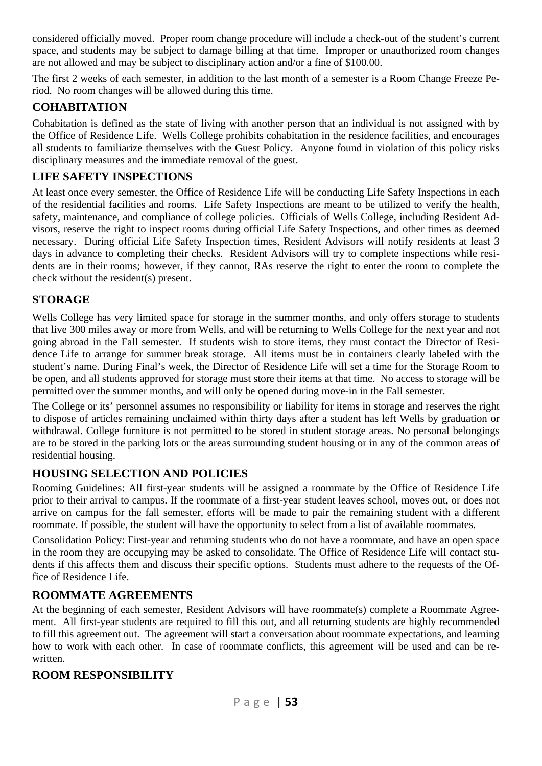considered officially moved. Proper room change procedure will include a check-out of the student's current space, and students may be subject to damage billing at that time. Improper or unauthorized room changes are not allowed and may be subject to disciplinary action and/or a fine of \$100.00.

The first 2 weeks of each semester, in addition to the last month of a semester is a Room Change Freeze Period. No room changes will be allowed during this time.

#### **COHABITATION**

Cohabitation is defined as the state of living with another person that an individual is not assigned with by the Office of Residence Life. Wells College prohibits cohabitation in the residence facilities, and encourages all students to familiarize themselves with the Guest Policy. Anyone found in violation of this policy risks disciplinary measures and the immediate removal of the guest.

### **LIFE SAFETY INSPECTIONS**

At least once every semester, the Office of Residence Life will be conducting Life Safety Inspections in each of the residential facilities and rooms. Life Safety Inspections are meant to be utilized to verify the health, safety, maintenance, and compliance of college policies. Officials of Wells College, including Resident Advisors, reserve the right to inspect rooms during official Life Safety Inspections, and other times as deemed necessary. During official Life Safety Inspection times, Resident Advisors will notify residents at least 3 days in advance to completing their checks. Resident Advisors will try to complete inspections while residents are in their rooms; however, if they cannot, RAs reserve the right to enter the room to complete the check without the resident(s) present.

#### **STORAGE**

Wells College has very limited space for storage in the summer months, and only offers storage to students that live 300 miles away or more from Wells, and will be returning to Wells College for the next year and not going abroad in the Fall semester. If students wish to store items, they must contact the Director of Residence Life to arrange for summer break storage. All items must be in containers clearly labeled with the student's name. During Final's week, the Director of Residence Life will set a time for the Storage Room to be open, and all students approved for storage must store their items at that time. No access to storage will be permitted over the summer months, and will only be opened during move-in in the Fall semester.

The College or its' personnel assumes no responsibility or liability for items in storage and reserves the right to dispose of articles remaining unclaimed within thirty days after a student has left Wells by graduation or withdrawal. College furniture is not permitted to be stored in student storage areas. No personal belongings are to be stored in the parking lots or the areas surrounding student housing or in any of the common areas of residential housing.

#### **HOUSING SELECTION AND POLICIES**

Rooming Guidelines: All first-year students will be assigned a roommate by the Office of Residence Life prior to their arrival to campus. If the roommate of a first-year student leaves school, moves out, or does not arrive on campus for the fall semester, efforts will be made to pair the remaining student with a different roommate. If possible, the student will have the opportunity to select from a list of available roommates.

Consolidation Policy: First-year and returning students who do not have a roommate, and have an open space in the room they are occupying may be asked to consolidate. The Office of Residence Life will contact students if this affects them and discuss their specific options. Students must adhere to the requests of the Office of Residence Life.

#### **ROOMMATE AGREEMENTS**

At the beginning of each semester, Resident Advisors will have roommate(s) complete a Roommate Agreement. All first-year students are required to fill this out, and all returning students are highly recommended to fill this agreement out. The agreement will start a conversation about roommate expectations, and learning how to work with each other. In case of roommate conflicts, this agreement will be used and can be rewritten.

#### **ROOM RESPONSIBILITY**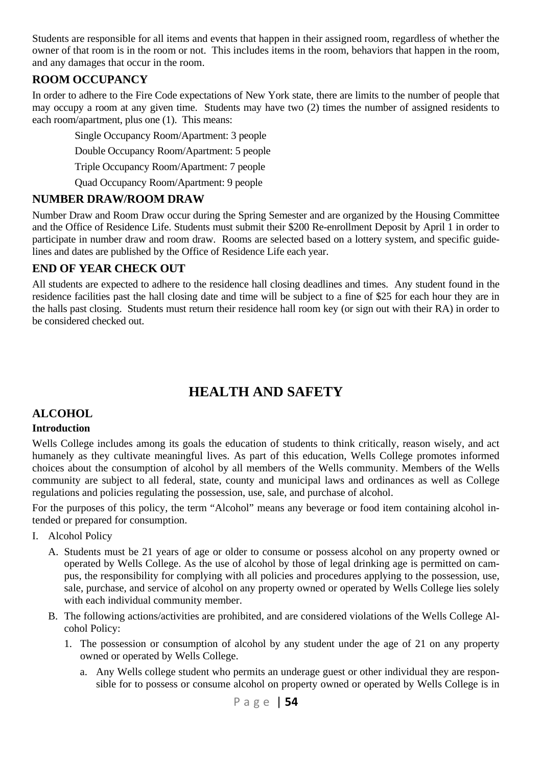Students are responsible for all items and events that happen in their assigned room, regardless of whether the owner of that room is in the room or not. This includes items in the room, behaviors that happen in the room, and any damages that occur in the room.

## **ROOM OCCUPANCY**

In order to adhere to the Fire Code expectations of New York state, there are limits to the number of people that may occupy a room at any given time. Students may have two (2) times the number of assigned residents to each room/apartment, plus one (1). This means:

Single Occupancy Room/Apartment: 3 people

Double Occupancy Room/Apartment: 5 people

Triple Occupancy Room/Apartment: 7 people

Quad Occupancy Room/Apartment: 9 people

#### **NUMBER DRAW/ROOM DRAW**

Number Draw and Room Draw occur during the Spring Semester and are organized by the Housing Committee and the Office of Residence Life. Students must submit their \$200 Re-enrollment Deposit by April 1 in order to participate in number draw and room draw. Rooms are selected based on a lottery system, and specific guidelines and dates are published by the Office of Residence Life each year.

#### **END OF YEAR CHECK OUT**

All students are expected to adhere to the residence hall closing deadlines and times. Any student found in the residence facilities past the hall closing date and time will be subject to a fine of \$25 for each hour they are in the halls past closing. Students must return their residence hall room key (or sign out with their RA) in order to be considered checked out.

## **HEALTH AND SAFETY**

## **ALCOHOL**

#### **Introduction**

Wells College includes among its goals the education of students to think critically, reason wisely, and act humanely as they cultivate meaningful lives. As part of this education, Wells College promotes informed choices about the consumption of alcohol by all members of the Wells community. Members of the Wells community are subject to all federal, state, county and municipal laws and ordinances as well as College regulations and policies regulating the possession, use, sale, and purchase of alcohol.

For the purposes of this policy, the term "Alcohol" means any beverage or food item containing alcohol intended or prepared for consumption.

- I. Alcohol Policy
	- A. Students must be 21 years of age or older to consume or possess alcohol on any property owned or operated by Wells College. As the use of alcohol by those of legal drinking age is permitted on campus, the responsibility for complying with all policies and procedures applying to the possession, use, sale, purchase, and service of alcohol on any property owned or operated by Wells College lies solely with each individual community member.
	- B. The following actions/activities are prohibited, and are considered violations of the Wells College Alcohol Policy:
		- 1. The possession or consumption of alcohol by any student under the age of 21 on any property owned or operated by Wells College.
			- a. Any Wells college student who permits an underage guest or other individual they are responsible for to possess or consume alcohol on property owned or operated by Wells College is in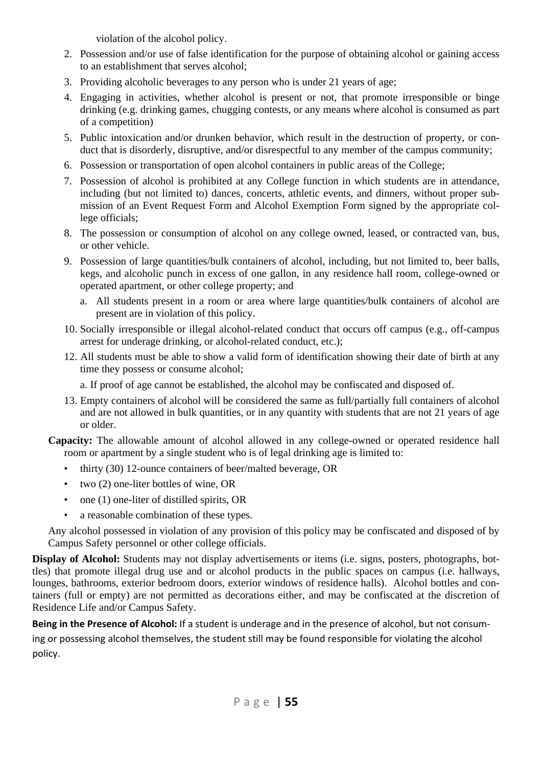violation of the alcohol policy.

- 2. Possession and/or use of false identification for the purpose of obtaining alcohol or gaining access to an establishment that serves alcohol;
- 3. Providing alcoholic beverages to any person who is under 21 years of age;
- 4. Engaging in activities, whether alcohol is present or not, that promote irresponsible or binge drinking (e.g. drinking games, chugging contests, or any means where alcohol is consumed as part of a competition)
- 5. Public intoxication and/or drunken behavior, which result in the destruction of property, or conduct that is disorderly, disruptive, and/or disrespectful to any member of the campus community;
- 6. Possession or transportation of open alcohol containers in public areas of the College;
- 7. Possession of alcohol is prohibited at any College function in which students are in attendance, including (but not limited to) dances, concerts, athletic events, and dinners, without proper submission of an Event Request Form and Alcohol Exemption Form signed by the appropriate college officials;
- 8. The possession or consumption of alcohol on any college owned, leased, or contracted van, bus, or other vehicle.
- 9. Possession of large quantities/bulk containers of alcohol, including, but not limited to, beer balls, kegs, and alcoholic punch in excess of one gallon, in any residence hall room, college-owned or operated apartment, or other college property; and
	- a. All students present in a room or area where large quantities/bulk containers of alcohol are present are in violation of this policy.
- 10. Socially irresponsible or illegal alcohol-related conduct that occurs off campus (e.g., off-campus arrest for underage drinking, or alcohol-related conduct, etc.);
- 12. All students must be able to show a valid form of identification showing their date of birth at any time they possess or consume alcohol;

a. If proof of age cannot be established, the alcohol may be confiscated and disposed of.

13. Empty containers of alcohol will be considered the same as full/partially full containers of alcohol and are not allowed in bulk quantities, or in any quantity with students that are not 21 years of age or older.

**Capacity:** The allowable amount of alcohol allowed in any college-owned or operated residence hall room or apartment by a single student who is of legal drinking age is limited to:

- thirty (30) 12-ounce containers of beer/malted beverage, OR
- two (2) one-liter bottles of wine, OR
- one (1) one-liter of distilled spirits, OR
- a reasonable combination of these types.

Any alcohol possessed in violation of any provision of this policy may be confiscated and disposed of by Campus Safety personnel or other college officials.

**Display of Alcohol:** Students may not display advertisements or items (i.e. signs, posters, photographs, bottles) that promote illegal drug use and or alcohol products in the public spaces on campus (i.e. hallways, lounges, bathrooms, exterior bedroom doors, exterior windows of residence halls). Alcohol bottles and containers (full or empty) are not permitted as decorations either, and may be confiscated at the discretion of Residence Life and/or Campus Safety.

**Being in the Presence of Alcohol:** If a student is underage and in the presence of alcohol, but not consum‐

ing or possessing alcohol themselves, the student still may be found responsible for violating the alcohol policy.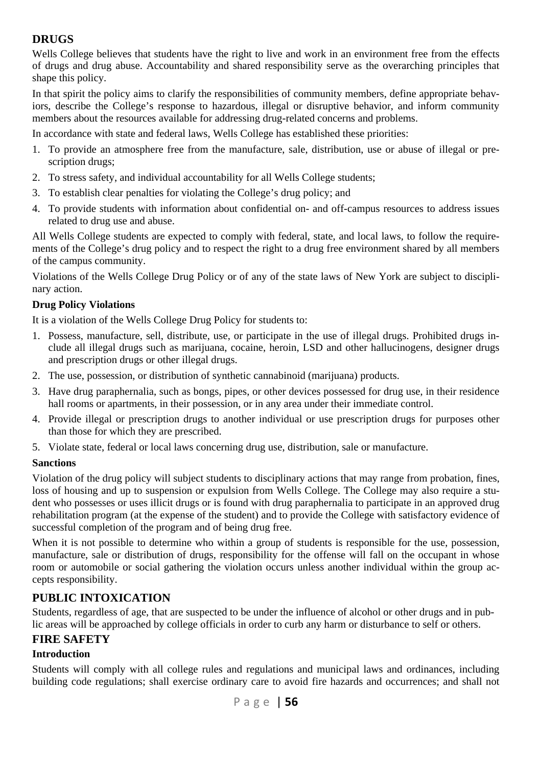## **DRUGS**

Wells College believes that students have the right to live and work in an environment free from the effects of drugs and drug abuse. Accountability and shared responsibility serve as the overarching principles that shape this policy.

In that spirit the policy aims to clarify the responsibilities of community members, define appropriate behaviors, describe the College's response to hazardous, illegal or disruptive behavior, and inform community members about the resources available for addressing drug-related concerns and problems.

In accordance with state and federal laws, Wells College has established these priorities:

- 1. To provide an atmosphere free from the manufacture, sale, distribution, use or abuse of illegal or prescription drugs;
- 2. To stress safety, and individual accountability for all Wells College students;
- 3. To establish clear penalties for violating the College's drug policy; and
- 4. To provide students with information about confidential on- and off-campus resources to address issues related to drug use and abuse.

All Wells College students are expected to comply with federal, state, and local laws, to follow the requirements of the College's drug policy and to respect the right to a drug free environment shared by all members of the campus community.

Violations of the Wells College Drug Policy or of any of the state laws of New York are subject to disciplinary action.

#### **Drug Policy Violations**

It is a violation of the Wells College Drug Policy for students to:

- 1. Possess, manufacture, sell, distribute, use, or participate in the use of illegal drugs. Prohibited drugs include all illegal drugs such as marijuana, cocaine, heroin, LSD and other hallucinogens, designer drugs and prescription drugs or other illegal drugs.
- 2. The use, possession, or distribution of synthetic cannabinoid (marijuana) products.
- 3. Have drug paraphernalia, such as bongs, pipes, or other devices possessed for drug use, in their residence hall rooms or apartments, in their possession, or in any area under their immediate control.
- 4. Provide illegal or prescription drugs to another individual or use prescription drugs for purposes other than those for which they are prescribed.
- 5. Violate state, federal or local laws concerning drug use, distribution, sale or manufacture.

#### **Sanctions**

Violation of the drug policy will subject students to disciplinary actions that may range from probation, fines, loss of housing and up to suspension or expulsion from Wells College. The College may also require a student who possesses or uses illicit drugs or is found with drug paraphernalia to participate in an approved drug rehabilitation program (at the expense of the student) and to provide the College with satisfactory evidence of successful completion of the program and of being drug free.

When it is not possible to determine who within a group of students is responsible for the use, possession, manufacture, sale or distribution of drugs, responsibility for the offense will fall on the occupant in whose room or automobile or social gathering the violation occurs unless another individual within the group accepts responsibility.

#### **PUBLIC INTOXICATION**

Students, regardless of age, that are suspected to be under the influence of alcohol or other drugs and in public areas will be approached by college officials in order to curb any harm or disturbance to self or others.

#### **FIRE SAFETY**

#### **Introduction**

Students will comply with all college rules and regulations and municipal laws and ordinances, including building code regulations; shall exercise ordinary care to avoid fire hazards and occurrences; and shall not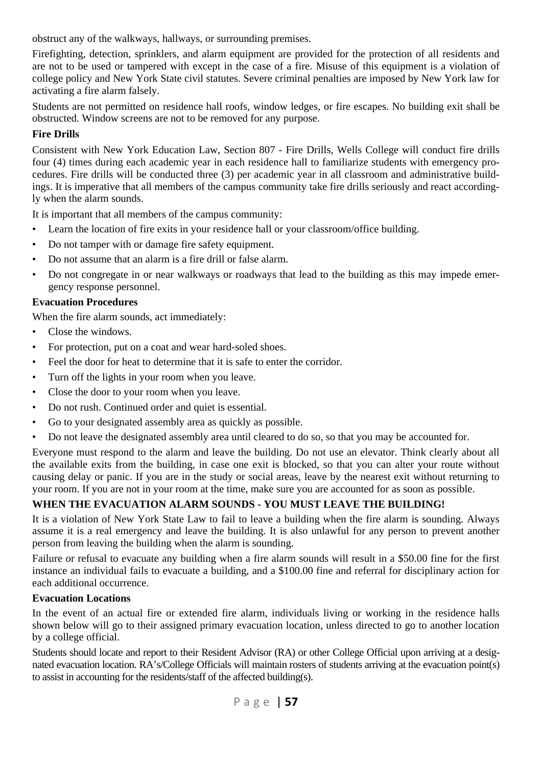obstruct any of the walkways, hallways, or surrounding premises.

Firefighting, detection, sprinklers, and alarm equipment are provided for the protection of all residents and are not to be used or tampered with except in the case of a fire. Misuse of this equipment is a violation of college policy and New York State civil statutes. Severe criminal penalties are imposed by New York law for activating a fire alarm falsely.

Students are not permitted on residence hall roofs, window ledges, or fire escapes. No building exit shall be obstructed. Window screens are not to be removed for any purpose.

#### **Fire Drills**

Consistent with New York Education Law, Section 807 - Fire Drills, Wells College will conduct fire drills four (4) times during each academic year in each residence hall to familiarize students with emergency procedures. Fire drills will be conducted three (3) per academic year in all classroom and administrative buildings. It is imperative that all members of the campus community take fire drills seriously and react accordingly when the alarm sounds.

It is important that all members of the campus community:

- Learn the location of fire exits in your residence hall or your classroom/office building.
- Do not tamper with or damage fire safety equipment.
- Do not assume that an alarm is a fire drill or false alarm.
- Do not congregate in or near walkways or roadways that lead to the building as this may impede emergency response personnel.

#### **Evacuation Procedures**

When the fire alarm sounds, act immediately:

- Close the windows.
- For protection, put on a coat and wear hard-soled shoes.
- Feel the door for heat to determine that it is safe to enter the corridor.
- Turn off the lights in your room when you leave.
- Close the door to your room when you leave.
- Do not rush. Continued order and quiet is essential.
- Go to your designated assembly area as quickly as possible.
- Do not leave the designated assembly area until cleared to do so, so that you may be accounted for.

Everyone must respond to the alarm and leave the building. Do not use an elevator. Think clearly about all the available exits from the building, in case one exit is blocked, so that you can alter your route without causing delay or panic. If you are in the study or social areas, leave by the nearest exit without returning to your room. If you are not in your room at the time, make sure you are accounted for as soon as possible.

#### **WHEN THE EVACUATION ALARM SOUNDS - YOU MUST LEAVE THE BUILDING!**

It is a violation of New York State Law to fail to leave a building when the fire alarm is sounding. Always assume it is a real emergency and leave the building. It is also unlawful for any person to prevent another person from leaving the building when the alarm is sounding.

Failure or refusal to evacuate any building when a fire alarm sounds will result in a \$50.00 fine for the first instance an individual fails to evacuate a building, and a \$100.00 fine and referral for disciplinary action for each additional occurrence.

#### **Evacuation Locations**

In the event of an actual fire or extended fire alarm, individuals living or working in the residence halls shown below will go to their assigned primary evacuation location, unless directed to go to another location by a college official.

Students should locate and report to their Resident Advisor (RA) or other College Official upon arriving at a designated evacuation location. RA's/College Officials will maintain rosters of students arriving at the evacuation point(s) to assist in accounting for the residents/staff of the affected building(s).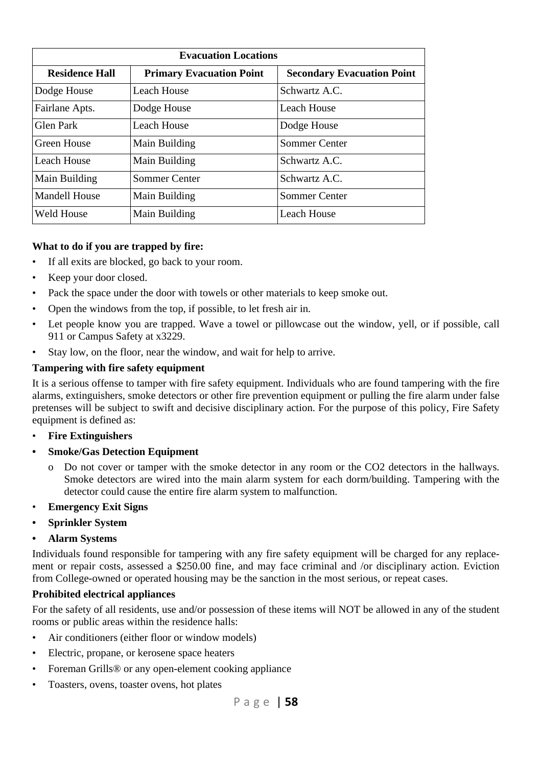| <b>Evacuation Locations</b> |                                 |                                   |
|-----------------------------|---------------------------------|-----------------------------------|
| <b>Residence Hall</b>       | <b>Primary Evacuation Point</b> | <b>Secondary Evacuation Point</b> |
| Dodge House                 | Leach House                     | Schwartz A.C.                     |
| Fairlane Apts.              | Dodge House                     | Leach House                       |
| Glen Park                   | Leach House                     | Dodge House                       |
| Green House                 | Main Building                   | Sommer Center                     |
| Leach House                 | Main Building                   | Schwartz A.C.                     |
| Main Building               | Sommer Center                   | Schwartz A.C.                     |
| Mandell House               | Main Building                   | Sommer Center                     |
| <b>Weld House</b>           | Main Building                   | Leach House                       |

#### **What to do if you are trapped by fire:**

- If all exits are blocked, go back to your room.
- Keep your door closed.
- Pack the space under the door with towels or other materials to keep smoke out.
- Open the windows from the top, if possible, to let fresh air in.
- Let people know you are trapped. Wave a towel or pillowcase out the window, yell, or if possible, call 911 or Campus Safety at x3229.
- Stay low, on the floor, near the window, and wait for help to arrive.

#### **Tampering with fire safety equipment**

It is a serious offense to tamper with fire safety equipment. Individuals who are found tampering with the fire alarms, extinguishers, smoke detectors or other fire prevention equipment or pulling the fire alarm under false pretenses will be subject to swift and decisive disciplinary action. For the purpose of this policy, Fire Safety equipment is defined as:

- • **Fire Extinguishers**
- **Smoke/Gas Detection Equipment** 
	- Do not cover or tamper with the smoke detector in any room or the CO2 detectors in the hallways. Smoke detectors are wired into the main alarm system for each dorm/building. Tampering with the detector could cause the entire fire alarm system to malfunction.
- • **Emergency Exit Signs**
- **Sprinkler System**
- **Alarm Systems**

Individuals found responsible for tampering with any fire safety equipment will be charged for any replacement or repair costs, assessed a \$250.00 fine, and may face criminal and /or disciplinary action. Eviction from College-owned or operated housing may be the sanction in the most serious, or repeat cases.

#### **Prohibited electrical appliances**

For the safety of all residents, use and/or possession of these items will NOT be allowed in any of the student rooms or public areas within the residence halls:

- Air conditioners (either floor or window models)
- Electric, propane, or kerosene space heaters
- Foreman Grills<sup>®</sup> or any open-element cooking appliance
- Toasters, ovens, toaster ovens, hot plates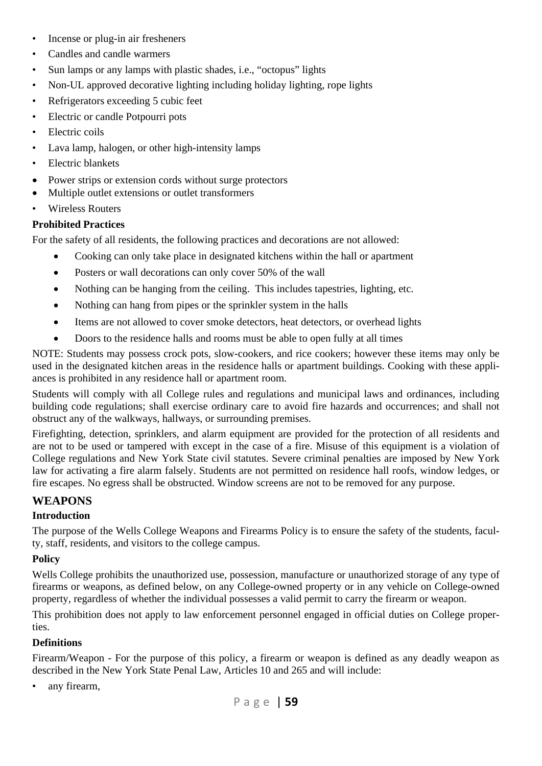- Incense or plug-in air fresheners
- Candles and candle warmers
- Sun lamps or any lamps with plastic shades, i.e., "octopus" lights
- Non-UL approved decorative lighting including holiday lighting, rope lights
- Refrigerators exceeding 5 cubic feet
- Electric or candle Potpourri pots
- Electric coils
- Lava lamp, halogen, or other high-intensity lamps
- Electric blankets
- Power strips or extension cords without surge protectors
- Multiple outlet extensions or outlet transformers
- Wireless Routers

### **Prohibited Practices**

For the safety of all residents, the following practices and decorations are not allowed:

- Cooking can only take place in designated kitchens within the hall or apartment
- Posters or wall decorations can only cover 50% of the wall
- Nothing can be hanging from the ceiling. This includes tapestries, lighting, etc.
- Nothing can hang from pipes or the sprinkler system in the halls
- Items are not allowed to cover smoke detectors, heat detectors, or overhead lights
- Doors to the residence halls and rooms must be able to open fully at all times

NOTE: Students may possess crock pots, slow-cookers, and rice cookers; however these items may only be used in the designated kitchen areas in the residence halls or apartment buildings. Cooking with these appliances is prohibited in any residence hall or apartment room.

Students will comply with all College rules and regulations and municipal laws and ordinances, including building code regulations; shall exercise ordinary care to avoid fire hazards and occurrences; and shall not obstruct any of the walkways, hallways, or surrounding premises.

Firefighting, detection, sprinklers, and alarm equipment are provided for the protection of all residents and are not to be used or tampered with except in the case of a fire. Misuse of this equipment is a violation of College regulations and New York State civil statutes. Severe criminal penalties are imposed by New York law for activating a fire alarm falsely. Students are not permitted on residence hall roofs, window ledges, or fire escapes. No egress shall be obstructed. Window screens are not to be removed for any purpose.

## **WEAPONS**

#### **Introduction**

The purpose of the Wells College Weapons and Firearms Policy is to ensure the safety of the students, faculty, staff, residents, and visitors to the college campus.

## **Policy**

Wells College prohibits the unauthorized use, possession, manufacture or unauthorized storage of any type of firearms or weapons, as defined below, on any College-owned property or in any vehicle on College-owned property, regardless of whether the individual possesses a valid permit to carry the firearm or weapon.

This prohibition does not apply to law enforcement personnel engaged in official duties on College properties.

## **Definitions**

Firearm/Weapon - For the purpose of this policy, a firearm or weapon is defined as any deadly weapon as described in the New York State Penal Law, Articles 10 and 265 and will include:

any firearm,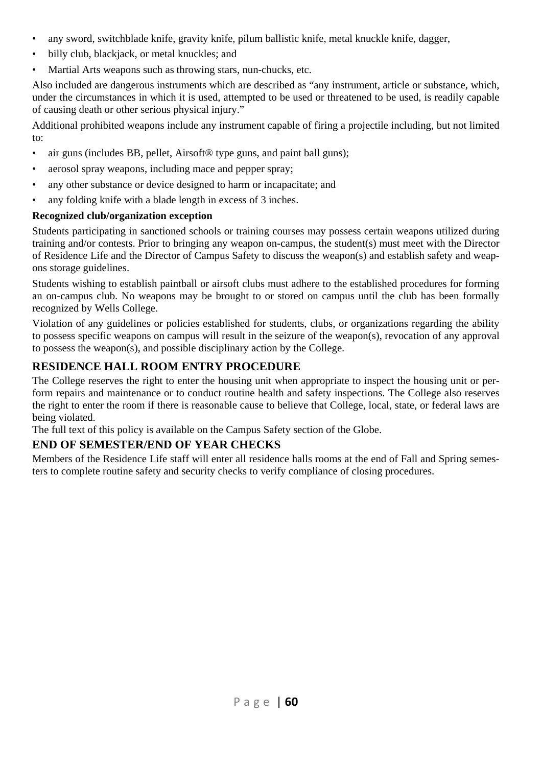- any sword, switchblade knife, gravity knife, pilum ballistic knife, metal knuckle knife, dagger,
- billy club, blackjack, or metal knuckles; and
- Martial Arts weapons such as throwing stars, nun-chucks, etc.

Also included are dangerous instruments which are described as "any instrument, article or substance, which, under the circumstances in which it is used, attempted to be used or threatened to be used, is readily capable of causing death or other serious physical injury."

Additional prohibited weapons include any instrument capable of firing a projectile including, but not limited to:

- air guns (includes BB, pellet, Airsoft® type guns, and paint ball guns);
- aerosol spray weapons, including mace and pepper spray;
- any other substance or device designed to harm or incapacitate; and
- any folding knife with a blade length in excess of 3 inches.

#### **Recognized club/organization exception**

Students participating in sanctioned schools or training courses may possess certain weapons utilized during training and/or contests. Prior to bringing any weapon on-campus, the student(s) must meet with the Director of Residence Life and the Director of Campus Safety to discuss the weapon(s) and establish safety and weapons storage guidelines.

Students wishing to establish paintball or airsoft clubs must adhere to the established procedures for forming an on-campus club. No weapons may be brought to or stored on campus until the club has been formally recognized by Wells College.

Violation of any guidelines or policies established for students, clubs, or organizations regarding the ability to possess specific weapons on campus will result in the seizure of the weapon(s), revocation of any approval to possess the weapon(s), and possible disciplinary action by the College.

## **RESIDENCE HALL ROOM ENTRY PROCEDURE**

The College reserves the right to enter the housing unit when appropriate to inspect the housing unit or perform repairs and maintenance or to conduct routine health and safety inspections. The College also reserves the right to enter the room if there is reasonable cause to believe that College, local, state, or federal laws are being violated.

The full text of this policy is available on the Campus Safety section of the Globe.

#### **END OF SEMESTER/END OF YEAR CHECKS**

Members of the Residence Life staff will enter all residence halls rooms at the end of Fall and Spring semesters to complete routine safety and security checks to verify compliance of closing procedures.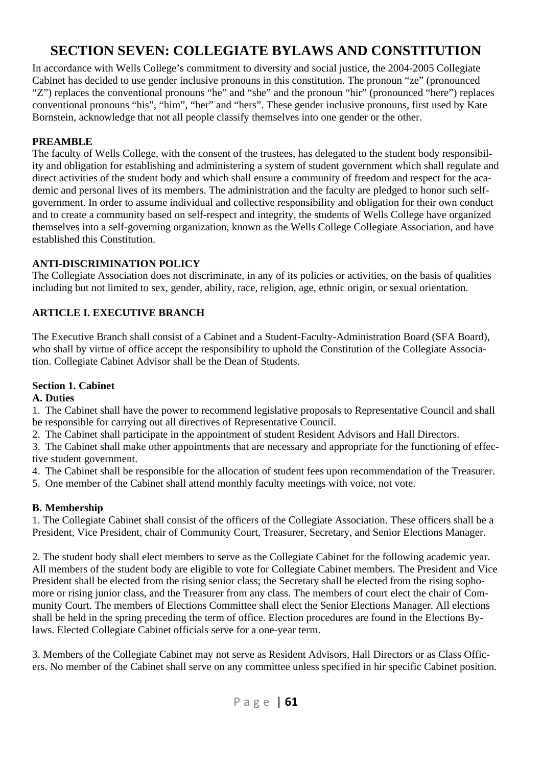## **SECTION SEVEN: COLLEGIATE BYLAWS AND CONSTITUTION**

In accordance with Wells College's commitment to diversity and social justice, the 2004-2005 Collegiate Cabinet has decided to use gender inclusive pronouns in this constitution. The pronoun "ze" (pronounced "Z") replaces the conventional pronouns "he" and "she" and the pronoun "hir" (pronounced "here") replaces conventional pronouns "his", "him", "her" and "hers". These gender inclusive pronouns, first used by Kate Bornstein, acknowledge that not all people classify themselves into one gender or the other.

#### **PREAMBLE**

The faculty of Wells College, with the consent of the trustees, has delegated to the student body responsibility and obligation for establishing and administering a system of student government which shall regulate and direct activities of the student body and which shall ensure a community of freedom and respect for the academic and personal lives of its members. The administration and the faculty are pledged to honor such selfgovernment. In order to assume individual and collective responsibility and obligation for their own conduct and to create a community based on self-respect and integrity, the students of Wells College have organized themselves into a self-governing organization, known as the Wells College Collegiate Association, and have established this Constitution.

#### **ANTI-DISCRIMINATION POLICY**

The Collegiate Association does not discriminate, in any of its policies or activities, on the basis of qualities including but not limited to sex, gender, ability, race, religion, age, ethnic origin, or sexual orientation.

#### **ARTICLE I. EXECUTIVE BRANCH**

The Executive Branch shall consist of a Cabinet and a Student-Faculty-Administration Board (SFA Board), who shall by virtue of office accept the responsibility to uphold the Constitution of the Collegiate Association. Collegiate Cabinet Advisor shall be the Dean of Students.

#### **Section 1. Cabinet**

#### **A. Duties**

1. The Cabinet shall have the power to recommend legislative proposals to Representative Council and shall be responsible for carrying out all directives of Representative Council.

2. The Cabinet shall participate in the appointment of student Resident Advisors and Hall Directors.

3. The Cabinet shall make other appointments that are necessary and appropriate for the functioning of effective student government.

4. The Cabinet shall be responsible for the allocation of student fees upon recommendation of the Treasurer.

5. One member of the Cabinet shall attend monthly faculty meetings with voice, not vote.

#### **B. Membership**

1. The Collegiate Cabinet shall consist of the officers of the Collegiate Association. These officers shall be a President, Vice President, chair of Community Court, Treasurer, Secretary, and Senior Elections Manager.

2. The student body shall elect members to serve as the Collegiate Cabinet for the following academic year. All members of the student body are eligible to vote for Collegiate Cabinet members. The President and Vice President shall be elected from the rising senior class; the Secretary shall be elected from the rising sophomore or rising junior class, and the Treasurer from any class. The members of court elect the chair of Community Court. The members of Elections Committee shall elect the Senior Elections Manager. All elections shall be held in the spring preceding the term of office. Election procedures are found in the Elections Bylaws. Elected Collegiate Cabinet officials serve for a one-year term.

3. Members of the Collegiate Cabinet may not serve as Resident Advisors, Hall Directors or as Class Officers. No member of the Cabinet shall serve on any committee unless specified in hir specific Cabinet position.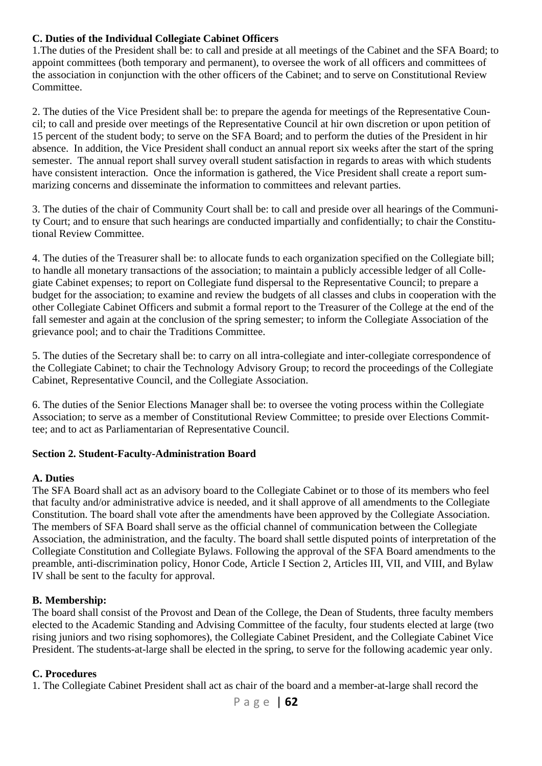#### **C. Duties of the Individual Collegiate Cabinet Officers**

1.The duties of the President shall be: to call and preside at all meetings of the Cabinet and the SFA Board; to appoint committees (both temporary and permanent), to oversee the work of all officers and committees of the association in conjunction with the other officers of the Cabinet; and to serve on Constitutional Review Committee.

2. The duties of the Vice President shall be: to prepare the agenda for meetings of the Representative Council; to call and preside over meetings of the Representative Council at hir own discretion or upon petition of 15 percent of the student body; to serve on the SFA Board; and to perform the duties of the President in hir absence. In addition, the Vice President shall conduct an annual report six weeks after the start of the spring semester. The annual report shall survey overall student satisfaction in regards to areas with which students have consistent interaction. Once the information is gathered, the Vice President shall create a report summarizing concerns and disseminate the information to committees and relevant parties.

3. The duties of the chair of Community Court shall be: to call and preside over all hearings of the Community Court; and to ensure that such hearings are conducted impartially and confidentially; to chair the Constitutional Review Committee.

4. The duties of the Treasurer shall be: to allocate funds to each organization specified on the Collegiate bill; to handle all monetary transactions of the association; to maintain a publicly accessible ledger of all Collegiate Cabinet expenses; to report on Collegiate fund dispersal to the Representative Council; to prepare a budget for the association; to examine and review the budgets of all classes and clubs in cooperation with the other Collegiate Cabinet Officers and submit a formal report to the Treasurer of the College at the end of the fall semester and again at the conclusion of the spring semester; to inform the Collegiate Association of the grievance pool; and to chair the Traditions Committee.

5. The duties of the Secretary shall be: to carry on all intra-collegiate and inter-collegiate correspondence of the Collegiate Cabinet; to chair the Technology Advisory Group; to record the proceedings of the Collegiate Cabinet, Representative Council, and the Collegiate Association.

6. The duties of the Senior Elections Manager shall be: to oversee the voting process within the Collegiate Association; to serve as a member of Constitutional Review Committee; to preside over Elections Committee; and to act as Parliamentarian of Representative Council.

#### **Section 2. Student-Faculty-Administration Board**

#### **A. Duties**

The SFA Board shall act as an advisory board to the Collegiate Cabinet or to those of its members who feel that faculty and/or administrative advice is needed, and it shall approve of all amendments to the Collegiate Constitution. The board shall vote after the amendments have been approved by the Collegiate Association. The members of SFA Board shall serve as the official channel of communication between the Collegiate Association, the administration, and the faculty. The board shall settle disputed points of interpretation of the Collegiate Constitution and Collegiate Bylaws. Following the approval of the SFA Board amendments to the preamble, anti-discrimination policy, Honor Code, Article I Section 2, Articles III, VII, and VIII, and Bylaw IV shall be sent to the faculty for approval.

#### **B. Membership:**

The board shall consist of the Provost and Dean of the College, the Dean of Students, three faculty members elected to the Academic Standing and Advising Committee of the faculty, four students elected at large (two rising juniors and two rising sophomores), the Collegiate Cabinet President, and the Collegiate Cabinet Vice President. The students-at-large shall be elected in the spring, to serve for the following academic year only.

#### **C. Procedures**

1. The Collegiate Cabinet President shall act as chair of the board and a member-at-large shall record the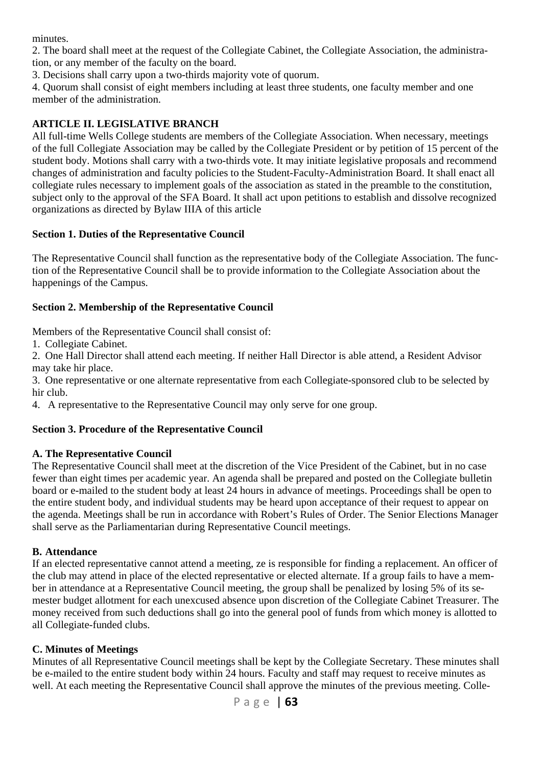minutes.

2. The board shall meet at the request of the Collegiate Cabinet, the Collegiate Association, the administration, or any member of the faculty on the board.

3. Decisions shall carry upon a two-thirds majority vote of quorum.

4. Quorum shall consist of eight members including at least three students, one faculty member and one member of the administration.

#### **ARTICLE II. LEGISLATIVE BRANCH**

All full-time Wells College students are members of the Collegiate Association. When necessary, meetings of the full Collegiate Association may be called by the Collegiate President or by petition of 15 percent of the student body. Motions shall carry with a two-thirds vote. It may initiate legislative proposals and recommend changes of administration and faculty policies to the Student-Faculty-Administration Board. It shall enact all collegiate rules necessary to implement goals of the association as stated in the preamble to the constitution, subject only to the approval of the SFA Board. It shall act upon petitions to establish and dissolve recognized organizations as directed by Bylaw IIIA of this article

#### **Section 1. Duties of the Representative Council**

The Representative Council shall function as the representative body of the Collegiate Association. The function of the Representative Council shall be to provide information to the Collegiate Association about the happenings of the Campus.

#### **Section 2. Membership of the Representative Council**

Members of the Representative Council shall consist of:

1. Collegiate Cabinet.

2. One Hall Director shall attend each meeting. If neither Hall Director is able attend, a Resident Advisor may take hir place.

3. One representative or one alternate representative from each Collegiate-sponsored club to be selected by hir club.

4. A representative to the Representative Council may only serve for one group.

#### **Section 3. Procedure of the Representative Council**

#### **A. The Representative Council**

The Representative Council shall meet at the discretion of the Vice President of the Cabinet, but in no case fewer than eight times per academic year. An agenda shall be prepared and posted on the Collegiate bulletin board or e-mailed to the student body at least 24 hours in advance of meetings. Proceedings shall be open to the entire student body, and individual students may be heard upon acceptance of their request to appear on the agenda. Meetings shall be run in accordance with Robert's Rules of Order. The Senior Elections Manager shall serve as the Parliamentarian during Representative Council meetings.

#### **B. Attendance**

If an elected representative cannot attend a meeting, ze is responsible for finding a replacement. An officer of the club may attend in place of the elected representative or elected alternate. If a group fails to have a member in attendance at a Representative Council meeting, the group shall be penalized by losing 5% of its semester budget allotment for each unexcused absence upon discretion of the Collegiate Cabinet Treasurer. The money received from such deductions shall go into the general pool of funds from which money is allotted to all Collegiate-funded clubs.

#### **C. Minutes of Meetings**

Minutes of all Representative Council meetings shall be kept by the Collegiate Secretary. These minutes shall be e-mailed to the entire student body within 24 hours. Faculty and staff may request to receive minutes as well. At each meeting the Representative Council shall approve the minutes of the previous meeting. Colle-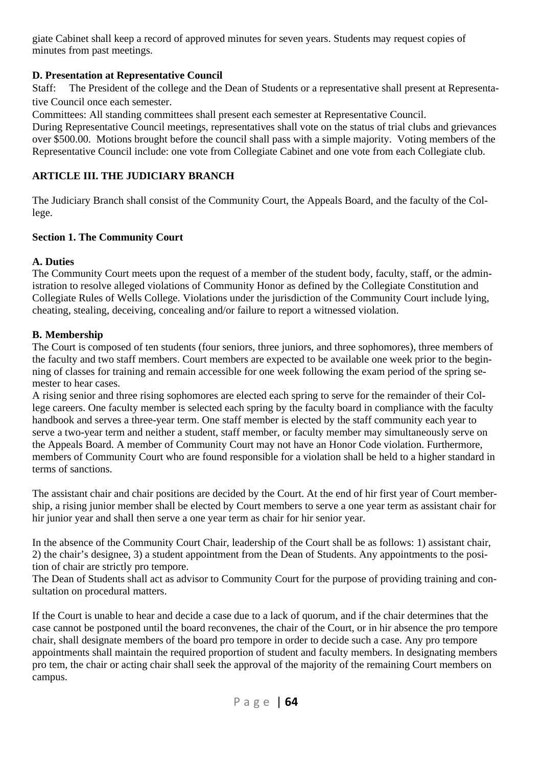giate Cabinet shall keep a record of approved minutes for seven years. Students may request copies of minutes from past meetings.

#### **D. Presentation at Representative Council**

Staff: The President of the college and the Dean of Students or a representative shall present at Representative Council once each semester.

Committees: All standing committees shall present each semester at Representative Council.

During Representative Council meetings, representatives shall vote on the status of trial clubs and grievances over \$500.00. Motions brought before the council shall pass with a simple majority. Voting members of the Representative Council include: one vote from Collegiate Cabinet and one vote from each Collegiate club.

#### **ARTICLE III. THE JUDICIARY BRANCH**

The Judiciary Branch shall consist of the Community Court, the Appeals Board, and the faculty of the College.

#### **Section 1. The Community Court**

#### **A. Duties**

The Community Court meets upon the request of a member of the student body, faculty, staff, or the administration to resolve alleged violations of Community Honor as defined by the Collegiate Constitution and Collegiate Rules of Wells College. Violations under the jurisdiction of the Community Court include lying, cheating, stealing, deceiving, concealing and/or failure to report a witnessed violation.

#### **B. Membership**

The Court is composed of ten students (four seniors, three juniors, and three sophomores), three members of the faculty and two staff members. Court members are expected to be available one week prior to the beginning of classes for training and remain accessible for one week following the exam period of the spring semester to hear cases.

A rising senior and three rising sophomores are elected each spring to serve for the remainder of their College careers. One faculty member is selected each spring by the faculty board in compliance with the faculty handbook and serves a three-year term. One staff member is elected by the staff community each year to serve a two-year term and neither a student, staff member, or faculty member may simultaneously serve on the Appeals Board. A member of Community Court may not have an Honor Code violation. Furthermore, members of Community Court who are found responsible for a violation shall be held to a higher standard in terms of sanctions.

The assistant chair and chair positions are decided by the Court. At the end of hir first year of Court membership, a rising junior member shall be elected by Court members to serve a one year term as assistant chair for hir junior year and shall then serve a one year term as chair for hir senior year.

In the absence of the Community Court Chair, leadership of the Court shall be as follows: 1) assistant chair, 2) the chair's designee, 3) a student appointment from the Dean of Students. Any appointments to the position of chair are strictly pro tempore.

The Dean of Students shall act as advisor to Community Court for the purpose of providing training and consultation on procedural matters.

If the Court is unable to hear and decide a case due to a lack of quorum, and if the chair determines that the case cannot be postponed until the board reconvenes, the chair of the Court, or in hir absence the pro tempore chair, shall designate members of the board pro tempore in order to decide such a case. Any pro tempore appointments shall maintain the required proportion of student and faculty members. In designating members pro tem, the chair or acting chair shall seek the approval of the majority of the remaining Court members on campus.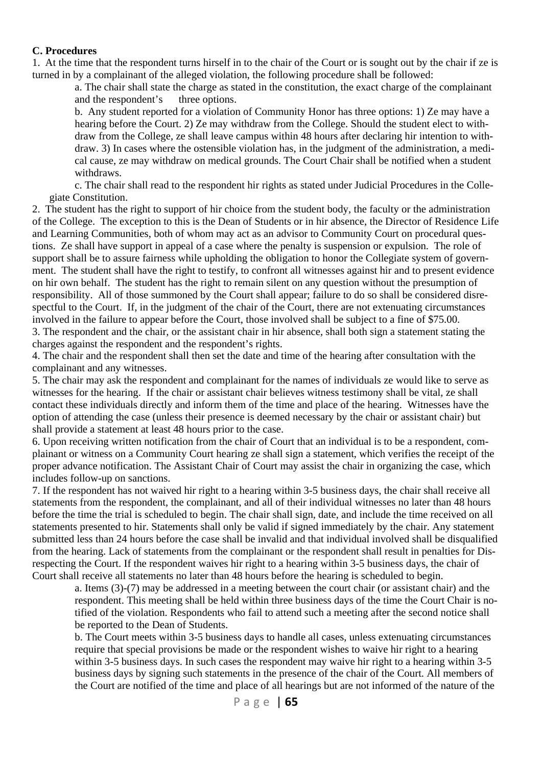#### **C. Procedures**

1. At the time that the respondent turns hirself in to the chair of the Court or is sought out by the chair if ze is turned in by a complainant of the alleged violation, the following procedure shall be followed:

 a. The chair shall state the charge as stated in the constitution, the exact charge of the complainant and the respondent's three options.

 b. Any student reported for a violation of Community Honor has three options: 1) Ze may have a hearing before the Court. 2) Ze may withdraw from the College. Should the student elect to withdraw from the College, ze shall leave campus within 48 hours after declaring hir intention to withdraw. 3) In cases where the ostensible violation has, in the judgment of the administration, a medical cause, ze may withdraw on medical grounds. The Court Chair shall be notified when a student withdraws.

 c. The chair shall read to the respondent hir rights as stated under Judicial Procedures in the Collegiate Constitution.

2. The student has the right to support of hir choice from the student body, the faculty or the administration of the College. The exception to this is the Dean of Students or in hir absence, the Director of Residence Life and Learning Communities, both of whom may act as an advisor to Community Court on procedural questions. Ze shall have support in appeal of a case where the penalty is suspension or expulsion. The role of support shall be to assure fairness while upholding the obligation to honor the Collegiate system of government. The student shall have the right to testify, to confront all witnesses against hir and to present evidence on hir own behalf. The student has the right to remain silent on any question without the presumption of responsibility. All of those summoned by the Court shall appear; failure to do so shall be considered disrespectful to the Court. If, in the judgment of the chair of the Court, there are not extenuating circumstances involved in the failure to appear before the Court, those involved shall be subject to a fine of \$75.00. 3. The respondent and the chair, or the assistant chair in hir absence, shall both sign a statement stating the charges against the respondent and the respondent's rights.

4. The chair and the respondent shall then set the date and time of the hearing after consultation with the complainant and any witnesses.

5. The chair may ask the respondent and complainant for the names of individuals ze would like to serve as witnesses for the hearing. If the chair or assistant chair believes witness testimony shall be vital, ze shall contact these individuals directly and inform them of the time and place of the hearing. Witnesses have the option of attending the case (unless their presence is deemed necessary by the chair or assistant chair) but shall provide a statement at least 48 hours prior to the case.

6. Upon receiving written notification from the chair of Court that an individual is to be a respondent, complainant or witness on a Community Court hearing ze shall sign a statement, which verifies the receipt of the proper advance notification. The Assistant Chair of Court may assist the chair in organizing the case, which includes follow-up on sanctions.

7. If the respondent has not waived hir right to a hearing within 3-5 business days, the chair shall receive all statements from the respondent, the complainant, and all of their individual witnesses no later than 48 hours before the time the trial is scheduled to begin. The chair shall sign, date, and include the time received on all statements presented to hir. Statements shall only be valid if signed immediately by the chair. Any statement submitted less than 24 hours before the case shall be invalid and that individual involved shall be disqualified from the hearing. Lack of statements from the complainant or the respondent shall result in penalties for Disrespecting the Court. If the respondent waives hir right to a hearing within 3-5 business days, the chair of Court shall receive all statements no later than 48 hours before the hearing is scheduled to begin.

 a. Items (3)-(7) may be addressed in a meeting between the court chair (or assistant chair) and the respondent. This meeting shall be held within three business days of the time the Court Chair is notified of the violation. Respondents who fail to attend such a meeting after the second notice shall be reported to the Dean of Students.

 b. The Court meets within 3-5 business days to handle all cases, unless extenuating circumstances require that special provisions be made or the respondent wishes to waive hir right to a hearing within 3-5 business days. In such cases the respondent may waive hir right to a hearing within 3-5 business days by signing such statements in the presence of the chair of the Court. All members of the Court are notified of the time and place of all hearings but are not informed of the nature of the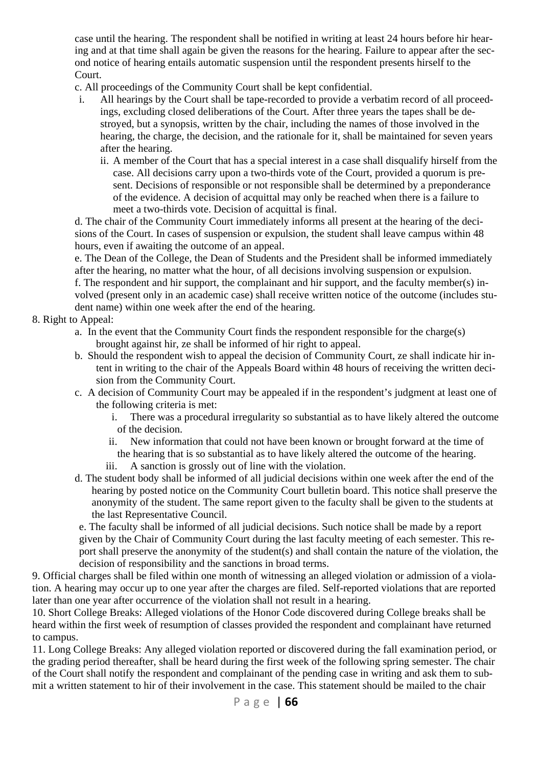case until the hearing. The respondent shall be notified in writing at least 24 hours before hir hearing and at that time shall again be given the reasons for the hearing. Failure to appear after the second notice of hearing entails automatic suspension until the respondent presents hirself to the Court.

- c. All proceedings of the Community Court shall be kept confidential.
- i. All hearings by the Court shall be tape-recorded to provide a verbatim record of all proceedings, excluding closed deliberations of the Court. After three years the tapes shall be destroyed, but a synopsis, written by the chair, including the names of those involved in the hearing, the charge, the decision, and the rationale for it, shall be maintained for seven years after the hearing.
	- ii. A member of the Court that has a special interest in a case shall disqualify hirself from the case. All decisions carry upon a two-thirds vote of the Court, provided a quorum is present. Decisions of responsible or not responsible shall be determined by a preponderance of the evidence. A decision of acquittal may only be reached when there is a failure to meet a two-thirds vote. Decision of acquittal is final.

 d. The chair of the Community Court immediately informs all present at the hearing of the decisions of the Court. In cases of suspension or expulsion, the student shall leave campus within 48 hours, even if awaiting the outcome of an appeal.

 e. The Dean of the College, the Dean of Students and the President shall be informed immediately after the hearing, no matter what the hour, of all decisions involving suspension or expulsion.

 f. The respondent and hir support, the complainant and hir support, and the faculty member(s) involved (present only in an academic case) shall receive written notice of the outcome (includes student name) within one week after the end of the hearing.

#### 8. Right to Appeal:

- a. In the event that the Community Court finds the respondent responsible for the charge(s) brought against hir, ze shall be informed of hir right to appeal.
- b. Should the respondent wish to appeal the decision of Community Court, ze shall indicate hir intent in writing to the chair of the Appeals Board within 48 hours of receiving the written decision from the Community Court.
- c. A decision of Community Court may be appealed if in the respondent's judgment at least one of the following criteria is met:
	- i. There was a procedural irregularity so substantial as to have likely altered the outcome of the decision.
	- ii. New information that could not have been known or brought forward at the time of the hearing that is so substantial as to have likely altered the outcome of the hearing.
	- iii. A sanction is grossly out of line with the violation.
- d. The student body shall be informed of all judicial decisions within one week after the end of the hearing by posted notice on the Community Court bulletin board. This notice shall preserve the anonymity of the student. The same report given to the faculty shall be given to the students at the last Representative Council.

 e. The faculty shall be informed of all judicial decisions. Such notice shall be made by a report given by the Chair of Community Court during the last faculty meeting of each semester. This report shall preserve the anonymity of the student(s) and shall contain the nature of the violation, the decision of responsibility and the sanctions in broad terms.

9. Official charges shall be filed within one month of witnessing an alleged violation or admission of a violation. A hearing may occur up to one year after the charges are filed. Self-reported violations that are reported later than one year after occurrence of the violation shall not result in a hearing.

10. Short College Breaks: Alleged violations of the Honor Code discovered during College breaks shall be heard within the first week of resumption of classes provided the respondent and complainant have returned to campus.

11. Long College Breaks: Any alleged violation reported or discovered during the fall examination period, or the grading period thereafter, shall be heard during the first week of the following spring semester. The chair of the Court shall notify the respondent and complainant of the pending case in writing and ask them to submit a written statement to hir of their involvement in the case. This statement should be mailed to the chair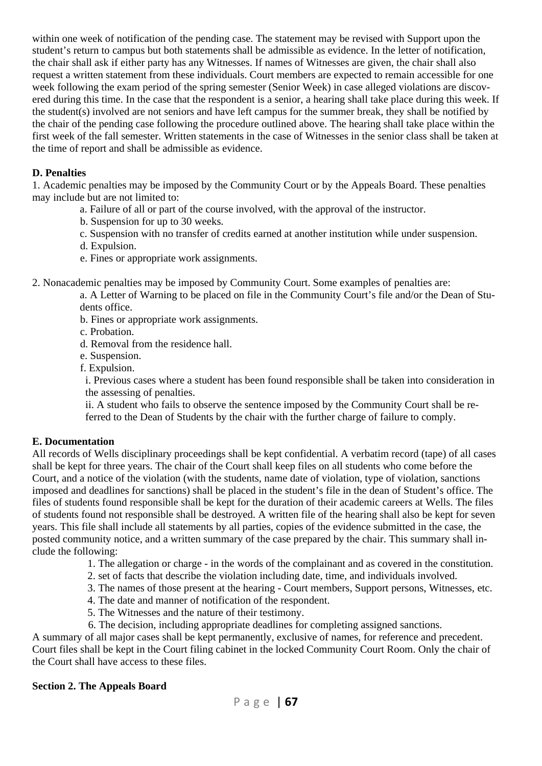within one week of notification of the pending case. The statement may be revised with Support upon the student's return to campus but both statements shall be admissible as evidence. In the letter of notification, the chair shall ask if either party has any Witnesses. If names of Witnesses are given, the chair shall also request a written statement from these individuals. Court members are expected to remain accessible for one week following the exam period of the spring semester (Senior Week) in case alleged violations are discovered during this time. In the case that the respondent is a senior, a hearing shall take place during this week. If the student(s) involved are not seniors and have left campus for the summer break, they shall be notified by the chair of the pending case following the procedure outlined above. The hearing shall take place within the first week of the fall semester. Written statements in the case of Witnesses in the senior class shall be taken at the time of report and shall be admissible as evidence.

#### **D. Penalties**

1. Academic penalties may be imposed by the Community Court or by the Appeals Board. These penalties may include but are not limited to:

- a. Failure of all or part of the course involved, with the approval of the instructor.
- b. Suspension for up to 30 weeks.
- c. Suspension with no transfer of credits earned at another institution while under suspension.
- d. Expulsion.
- e. Fines or appropriate work assignments.

2. Nonacademic penalties may be imposed by Community Court. Some examples of penalties are:

- a. A Letter of Warning to be placed on file in the Community Court's file and/or the Dean of Students office.
- b. Fines or appropriate work assignments.
- c. Probation.
- d. Removal from the residence hall.
- e. Suspension.
- f. Expulsion.

 i. Previous cases where a student has been found responsible shall be taken into consideration in the assessing of penalties.

 ii. A student who fails to observe the sentence imposed by the Community Court shall be referred to the Dean of Students by the chair with the further charge of failure to comply.

#### **E. Documentation**

All records of Wells disciplinary proceedings shall be kept confidential. A verbatim record (tape) of all cases shall be kept for three years. The chair of the Court shall keep files on all students who come before the Court, and a notice of the violation (with the students, name date of violation, type of violation, sanctions imposed and deadlines for sanctions) shall be placed in the student's file in the dean of Student's office. The files of students found responsible shall be kept for the duration of their academic careers at Wells. The files of students found not responsible shall be destroyed. A written file of the hearing shall also be kept for seven years. This file shall include all statements by all parties, copies of the evidence submitted in the case, the posted community notice, and a written summary of the case prepared by the chair. This summary shall include the following:

- 1. The allegation or charge in the words of the complainant and as covered in the constitution.
- 2. set of facts that describe the violation including date, time, and individuals involved.
- 3. The names of those present at the hearing Court members, Support persons, Witnesses, etc.
- 4. The date and manner of notification of the respondent.
- 5. The Witnesses and the nature of their testimony.
- 6. The decision, including appropriate deadlines for completing assigned sanctions.

A summary of all major cases shall be kept permanently, exclusive of names, for reference and precedent. Court files shall be kept in the Court filing cabinet in the locked Community Court Room. Only the chair of the Court shall have access to these files.

#### **Section 2. The Appeals Board**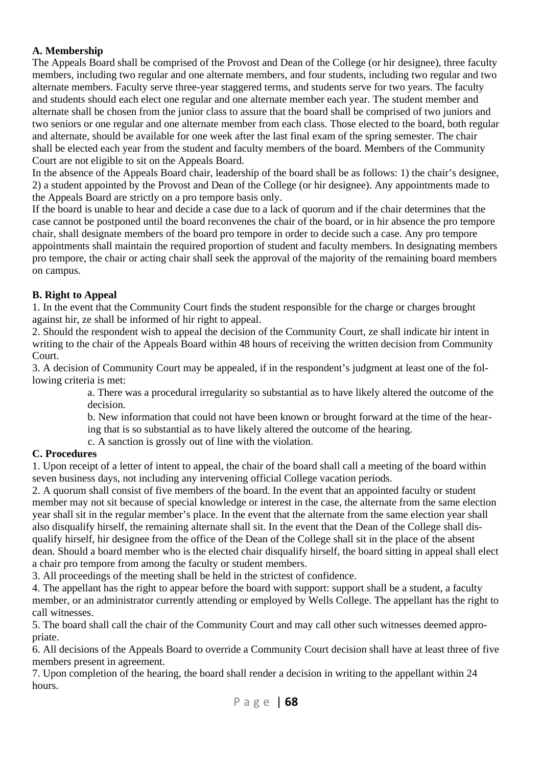#### **A. Membership**

The Appeals Board shall be comprised of the Provost and Dean of the College (or hir designee), three faculty members, including two regular and one alternate members, and four students, including two regular and two alternate members. Faculty serve three-year staggered terms, and students serve for two years. The faculty and students should each elect one regular and one alternate member each year. The student member and alternate shall be chosen from the junior class to assure that the board shall be comprised of two juniors and two seniors or one regular and one alternate member from each class. Those elected to the board, both regular and alternate, should be available for one week after the last final exam of the spring semester. The chair shall be elected each year from the student and faculty members of the board. Members of the Community Court are not eligible to sit on the Appeals Board.

In the absence of the Appeals Board chair, leadership of the board shall be as follows: 1) the chair's designee, 2) a student appointed by the Provost and Dean of the College (or hir designee). Any appointments made to the Appeals Board are strictly on a pro tempore basis only.

If the board is unable to hear and decide a case due to a lack of quorum and if the chair determines that the case cannot be postponed until the board reconvenes the chair of the board, or in hir absence the pro tempore chair, shall designate members of the board pro tempore in order to decide such a case. Any pro tempore appointments shall maintain the required proportion of student and faculty members. In designating members pro tempore, the chair or acting chair shall seek the approval of the majority of the remaining board members on campus.

#### **B. Right to Appeal**

1. In the event that the Community Court finds the student responsible for the charge or charges brought against hir, ze shall be informed of hir right to appeal.

2. Should the respondent wish to appeal the decision of the Community Court, ze shall indicate hir intent in writing to the chair of the Appeals Board within 48 hours of receiving the written decision from Community Court.

3. A decision of Community Court may be appealed, if in the respondent's judgment at least one of the following criteria is met:

 a. There was a procedural irregularity so substantial as to have likely altered the outcome of the decision.

 b. New information that could not have been known or brought forward at the time of the hearing that is so substantial as to have likely altered the outcome of the hearing.

c. A sanction is grossly out of line with the violation.

#### **C. Procedures**

1. Upon receipt of a letter of intent to appeal, the chair of the board shall call a meeting of the board within seven business days, not including any intervening official College vacation periods.

2. A quorum shall consist of five members of the board. In the event that an appointed faculty or student member may not sit because of special knowledge or interest in the case, the alternate from the same election year shall sit in the regular member's place. In the event that the alternate from the same election year shall also disqualify hirself, the remaining alternate shall sit. In the event that the Dean of the College shall disqualify hirself, hir designee from the office of the Dean of the College shall sit in the place of the absent dean. Should a board member who is the elected chair disqualify hirself, the board sitting in appeal shall elect a chair pro tempore from among the faculty or student members.

3. All proceedings of the meeting shall be held in the strictest of confidence.

4. The appellant has the right to appear before the board with support: support shall be a student, a faculty member, or an administrator currently attending or employed by Wells College. The appellant has the right to call witnesses.

5. The board shall call the chair of the Community Court and may call other such witnesses deemed appropriate.

6. All decisions of the Appeals Board to override a Community Court decision shall have at least three of five members present in agreement.

7. Upon completion of the hearing, the board shall render a decision in writing to the appellant within 24 hours.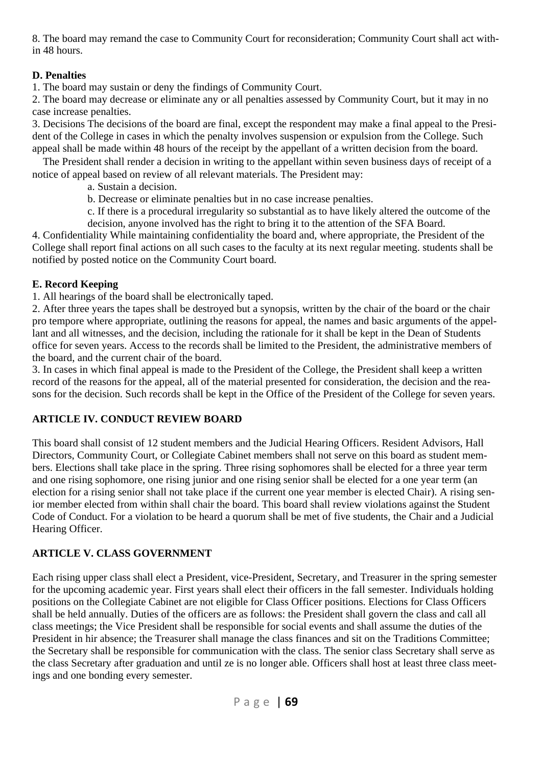8. The board may remand the case to Community Court for reconsideration; Community Court shall act within 48 hours.

#### **D. Penalties**

1. The board may sustain or deny the findings of Community Court.

2. The board may decrease or eliminate any or all penalties assessed by Community Court, but it may in no case increase penalties.

3. Decisions The decisions of the board are final, except the respondent may make a final appeal to the President of the College in cases in which the penalty involves suspension or expulsion from the College. Such appeal shall be made within 48 hours of the receipt by the appellant of a written decision from the board.

The President shall render a decision in writing to the appellant within seven business days of receipt of a notice of appeal based on review of all relevant materials. The President may:

a. Sustain a decision.

b. Decrease or eliminate penalties but in no case increase penalties.

 c. If there is a procedural irregularity so substantial as to have likely altered the outcome of the decision, anyone involved has the right to bring it to the attention of the SFA Board.

4. Confidentiality While maintaining confidentiality the board and, where appropriate, the President of the College shall report final actions on all such cases to the faculty at its next regular meeting. students shall be notified by posted notice on the Community Court board.

#### **E. Record Keeping**

1. All hearings of the board shall be electronically taped.

2. After three years the tapes shall be destroyed but a synopsis, written by the chair of the board or the chair pro tempore where appropriate, outlining the reasons for appeal, the names and basic arguments of the appellant and all witnesses, and the decision, including the rationale for it shall be kept in the Dean of Students office for seven years. Access to the records shall be limited to the President, the administrative members of the board, and the current chair of the board.

3. In cases in which final appeal is made to the President of the College, the President shall keep a written record of the reasons for the appeal, all of the material presented for consideration, the decision and the reasons for the decision. Such records shall be kept in the Office of the President of the College for seven years.

#### **ARTICLE IV. CONDUCT REVIEW BOARD**

This board shall consist of 12 student members and the Judicial Hearing Officers. Resident Advisors, Hall Directors, Community Court, or Collegiate Cabinet members shall not serve on this board as student members. Elections shall take place in the spring. Three rising sophomores shall be elected for a three year term and one rising sophomore, one rising junior and one rising senior shall be elected for a one year term (an election for a rising senior shall not take place if the current one year member is elected Chair). A rising senior member elected from within shall chair the board. This board shall review violations against the Student Code of Conduct. For a violation to be heard a quorum shall be met of five students, the Chair and a Judicial Hearing Officer.

#### **ARTICLE V. CLASS GOVERNMENT**

Each rising upper class shall elect a President, vice-President, Secretary, and Treasurer in the spring semester for the upcoming academic year. First years shall elect their officers in the fall semester. Individuals holding positions on the Collegiate Cabinet are not eligible for Class Officer positions. Elections for Class Officers shall be held annually. Duties of the officers are as follows: the President shall govern the class and call all class meetings; the Vice President shall be responsible for social events and shall assume the duties of the President in hir absence; the Treasurer shall manage the class finances and sit on the Traditions Committee; the Secretary shall be responsible for communication with the class. The senior class Secretary shall serve as the class Secretary after graduation and until ze is no longer able. Officers shall host at least three class meetings and one bonding every semester.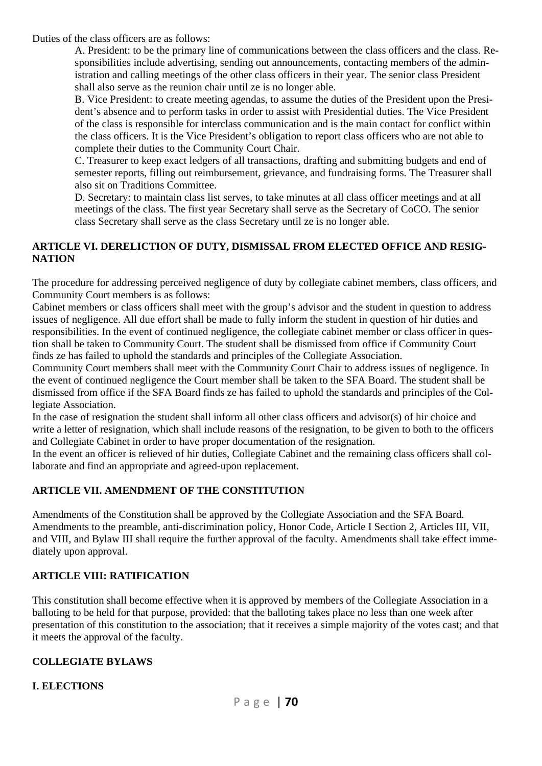Duties of the class officers are as follows:

A. President: to be the primary line of communications between the class officers and the class. Responsibilities include advertising, sending out announcements, contacting members of the administration and calling meetings of the other class officers in their year. The senior class President shall also serve as the reunion chair until ze is no longer able.

B. Vice President: to create meeting agendas, to assume the duties of the President upon the President's absence and to perform tasks in order to assist with Presidential duties. The Vice President of the class is responsible for interclass communication and is the main contact for conflict within the class officers. It is the Vice President's obligation to report class officers who are not able to complete their duties to the Community Court Chair.

 C. Treasurer to keep exact ledgers of all transactions, drafting and submitting budgets and end of semester reports, filling out reimbursement, grievance, and fundraising forms. The Treasurer shall also sit on Traditions Committee.

D. Secretary: to maintain class list serves, to take minutes at all class officer meetings and at all meetings of the class. The first year Secretary shall serve as the Secretary of CoCO. The senior class Secretary shall serve as the class Secretary until ze is no longer able.

#### **ARTICLE VI. DERELICTION OF DUTY, DISMISSAL FROM ELECTED OFFICE AND RESIG-NATION**

The procedure for addressing perceived negligence of duty by collegiate cabinet members, class officers, and Community Court members is as follows:

Cabinet members or class officers shall meet with the group's advisor and the student in question to address issues of negligence. All due effort shall be made to fully inform the student in question of hir duties and responsibilities. In the event of continued negligence, the collegiate cabinet member or class officer in question shall be taken to Community Court. The student shall be dismissed from office if Community Court finds ze has failed to uphold the standards and principles of the Collegiate Association.

Community Court members shall meet with the Community Court Chair to address issues of negligence. In the event of continued negligence the Court member shall be taken to the SFA Board. The student shall be dismissed from office if the SFA Board finds ze has failed to uphold the standards and principles of the Collegiate Association.

In the case of resignation the student shall inform all other class officers and advisor(s) of hir choice and write a letter of resignation, which shall include reasons of the resignation, to be given to both to the officers and Collegiate Cabinet in order to have proper documentation of the resignation.

In the event an officer is relieved of hir duties, Collegiate Cabinet and the remaining class officers shall collaborate and find an appropriate and agreed-upon replacement.

#### **ARTICLE VII. AMENDMENT OF THE CONSTITUTION**

Amendments of the Constitution shall be approved by the Collegiate Association and the SFA Board. Amendments to the preamble, anti-discrimination policy, Honor Code, Article I Section 2, Articles III, VII, and VIII, and Bylaw III shall require the further approval of the faculty. Amendments shall take effect immediately upon approval.

#### **ARTICLE VIII: RATIFICATION**

This constitution shall become effective when it is approved by members of the Collegiate Association in a balloting to be held for that purpose, provided: that the balloting takes place no less than one week after presentation of this constitution to the association; that it receives a simple majority of the votes cast; and that it meets the approval of the faculty.

#### **COLLEGIATE BYLAWS**

#### **I. ELECTIONS**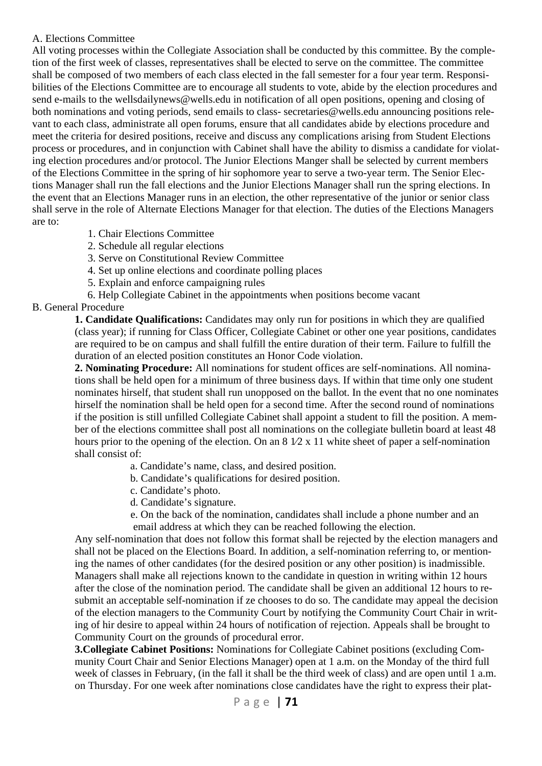#### A. Elections Committee

All voting processes within the Collegiate Association shall be conducted by this committee. By the completion of the first week of classes, representatives shall be elected to serve on the committee. The committee shall be composed of two members of each class elected in the fall semester for a four year term. Responsibilities of the Elections Committee are to encourage all students to vote, abide by the election procedures and send e-mails to the wellsdailynews@wells.edu in notification of all open positions, opening and closing of both nominations and voting periods, send emails to class- secretaries@wells.edu announcing positions relevant to each class, administrate all open forums, ensure that all candidates abide by elections procedure and meet the criteria for desired positions, receive and discuss any complications arising from Student Elections process or procedures, and in conjunction with Cabinet shall have the ability to dismiss a candidate for violating election procedures and/or protocol. The Junior Elections Manger shall be selected by current members of the Elections Committee in the spring of hir sophomore year to serve a two-year term. The Senior Elections Manager shall run the fall elections and the Junior Elections Manager shall run the spring elections. In the event that an Elections Manager runs in an election, the other representative of the junior or senior class shall serve in the role of Alternate Elections Manager for that election. The duties of the Elections Managers are to:

- 1. Chair Elections Committee
- 2. Schedule all regular elections
- 3. Serve on Constitutional Review Committee
- 4. Set up online elections and coordinate polling places
- 5. Explain and enforce campaigning rules
- 6. Help Collegiate Cabinet in the appointments when positions become vacant

#### B. General Procedure

**1. Candidate Qualifications:** Candidates may only run for positions in which they are qualified (class year); if running for Class Officer, Collegiate Cabinet or other one year positions, candidates are required to be on campus and shall fulfill the entire duration of their term. Failure to fulfill the duration of an elected position constitutes an Honor Code violation.

**2. Nominating Procedure:** All nominations for student offices are self-nominations. All nominations shall be held open for a minimum of three business days. If within that time only one student nominates hirself, that student shall run unopposed on the ballot. In the event that no one nominates hirself the nomination shall be held open for a second time. After the second round of nominations if the position is still unfilled Collegiate Cabinet shall appoint a student to fill the position. A member of the elections committee shall post all nominations on the collegiate bulletin board at least 48 hours prior to the opening of the election. On an  $8\sqrt{2} \times 11$  white sheet of paper a self-nomination shall consist of:

- a. Candidate's name, class, and desired position.
- b. Candidate's qualifications for desired position.
- c. Candidate's photo.
- d. Candidate's signature.
- e. On the back of the nomination, candidates shall include a phone number and an email address at which they can be reached following the election.

Any self-nomination that does not follow this format shall be rejected by the election managers and shall not be placed on the Elections Board. In addition, a self-nomination referring to, or mentioning the names of other candidates (for the desired position or any other position) is inadmissible. Managers shall make all rejections known to the candidate in question in writing within 12 hours after the close of the nomination period. The candidate shall be given an additional 12 hours to resubmit an acceptable self-nomination if ze chooses to do so. The candidate may appeal the decision of the election managers to the Community Court by notifying the Community Court Chair in writing of hir desire to appeal within 24 hours of notification of rejection. Appeals shall be brought to Community Court on the grounds of procedural error.

**3.Collegiate Cabinet Positions:** Nominations for Collegiate Cabinet positions (excluding Community Court Chair and Senior Elections Manager) open at 1 a.m. on the Monday of the third full week of classes in February, (in the fall it shall be the third week of class) and are open until 1 a.m. on Thursday. For one week after nominations close candidates have the right to express their plat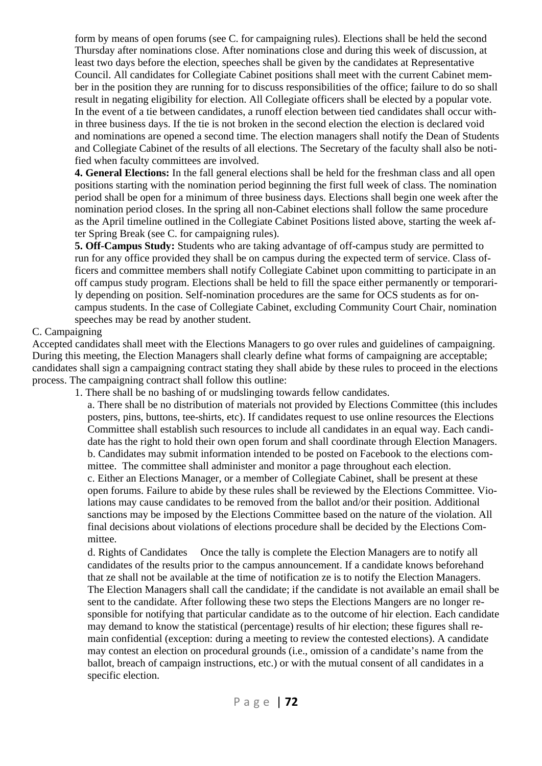form by means of open forums (see C. for campaigning rules). Elections shall be held the second Thursday after nominations close. After nominations close and during this week of discussion, at least two days before the election, speeches shall be given by the candidates at Representative Council. All candidates for Collegiate Cabinet positions shall meet with the current Cabinet member in the position they are running for to discuss responsibilities of the office; failure to do so shall result in negating eligibility for election. All Collegiate officers shall be elected by a popular vote. In the event of a tie between candidates, a runoff election between tied candidates shall occur within three business days. If the tie is not broken in the second election the election is declared void and nominations are opened a second time. The election managers shall notify the Dean of Students and Collegiate Cabinet of the results of all elections. The Secretary of the faculty shall also be notified when faculty committees are involved.

**4. General Elections:** In the fall general elections shall be held for the freshman class and all open positions starting with the nomination period beginning the first full week of class. The nomination period shall be open for a minimum of three business days. Elections shall begin one week after the nomination period closes. In the spring all non-Cabinet elections shall follow the same procedure as the April timeline outlined in the Collegiate Cabinet Positions listed above, starting the week after Spring Break (see C. for campaigning rules).

**5. Off-Campus Study:** Students who are taking advantage of off-campus study are permitted to run for any office provided they shall be on campus during the expected term of service. Class officers and committee members shall notify Collegiate Cabinet upon committing to participate in an off campus study program. Elections shall be held to fill the space either permanently or temporarily depending on position. Self-nomination procedures are the same for OCS students as for oncampus students. In the case of Collegiate Cabinet, excluding Community Court Chair, nomination speeches may be read by another student.

#### C. Campaigning

Accepted candidates shall meet with the Elections Managers to go over rules and guidelines of campaigning. During this meeting, the Election Managers shall clearly define what forms of campaigning are acceptable; candidates shall sign a campaigning contract stating they shall abide by these rules to proceed in the elections process. The campaigning contract shall follow this outline:

1. There shall be no bashing of or mudslinging towards fellow candidates.

 a. There shall be no distribution of materials not provided by Elections Committee (this includes posters, pins, buttons, tee-shirts, etc). If candidates request to use online resources the Elections Committee shall establish such resources to include all candidates in an equal way. Each candidate has the right to hold their own open forum and shall coordinate through Election Managers. b. Candidates may submit information intended to be posted on Facebook to the elections committee. The committee shall administer and monitor a page throughout each election. c. Either an Elections Manager, or a member of Collegiate Cabinet, shall be present at these open forums. Failure to abide by these rules shall be reviewed by the Elections Committee. Violations may cause candidates to be removed from the ballot and/or their position. Additional sanctions may be imposed by the Elections Committee based on the nature of the violation. All final decisions about violations of elections procedure shall be decided by the Elections Committee.

 d. Rights of Candidates Once the tally is complete the Election Managers are to notify all candidates of the results prior to the campus announcement. If a candidate knows beforehand that ze shall not be available at the time of notification ze is to notify the Election Managers. The Election Managers shall call the candidate; if the candidate is not available an email shall be sent to the candidate. After following these two steps the Elections Mangers are no longer responsible for notifying that particular candidate as to the outcome of hir election. Each candidate may demand to know the statistical (percentage) results of hir election; these figures shall remain confidential (exception: during a meeting to review the contested elections). A candidate may contest an election on procedural grounds (i.e., omission of a candidate's name from the ballot, breach of campaign instructions, etc.) or with the mutual consent of all candidates in a specific election.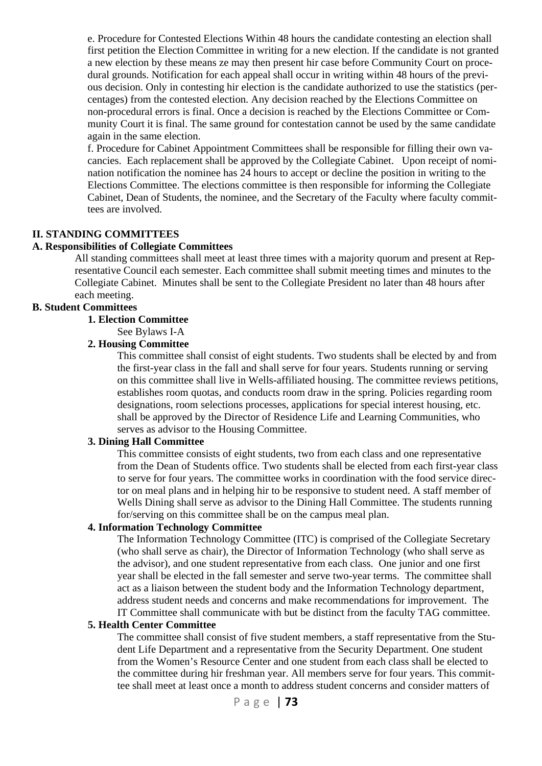e. Procedure for Contested Elections Within 48 hours the candidate contesting an election shall first petition the Election Committee in writing for a new election. If the candidate is not granted a new election by these means ze may then present hir case before Community Court on procedural grounds. Notification for each appeal shall occur in writing within 48 hours of the previous decision. Only in contesting hir election is the candidate authorized to use the statistics (percentages) from the contested election. Any decision reached by the Elections Committee on non-procedural errors is final. Once a decision is reached by the Elections Committee or Community Court it is final. The same ground for contestation cannot be used by the same candidate again in the same election.

 f. Procedure for Cabinet Appointment Committees shall be responsible for filling their own vacancies. Each replacement shall be approved by the Collegiate Cabinet. Upon receipt of nomination notification the nominee has 24 hours to accept or decline the position in writing to the Elections Committee. The elections committee is then responsible for informing the Collegiate Cabinet, Dean of Students, the nominee, and the Secretary of the Faculty where faculty committees are involved.

#### **II. STANDING COMMITTEES**

#### **A. Responsibilities of Collegiate Committees**

All standing committees shall meet at least three times with a majority quorum and present at Representative Council each semester. Each committee shall submit meeting times and minutes to the Collegiate Cabinet. Minutes shall be sent to the Collegiate President no later than 48 hours after each meeting.

#### **B. Student Committees**

#### **1. Election Committee**

See Bylaws I-A

#### **2. Housing Committee**

This committee shall consist of eight students. Two students shall be elected by and from the first-year class in the fall and shall serve for four years. Students running or serving on this committee shall live in Wells-affiliated housing. The committee reviews petitions, establishes room quotas, and conducts room draw in the spring. Policies regarding room designations, room selections processes, applications for special interest housing, etc. shall be approved by the Director of Residence Life and Learning Communities, who serves as advisor to the Housing Committee.

#### **3. Dining Hall Committee**

This committee consists of eight students, two from each class and one representative from the Dean of Students office. Two students shall be elected from each first-year class to serve for four years. The committee works in coordination with the food service director on meal plans and in helping hir to be responsive to student need. A staff member of Wells Dining shall serve as advisor to the Dining Hall Committee. The students running for/serving on this committee shall be on the campus meal plan.

#### **4. Information Technology Committee**

The Information Technology Committee (ITC) is comprised of the Collegiate Secretary (who shall serve as chair), the Director of Information Technology (who shall serve as the advisor), and one student representative from each class. One junior and one first year shall be elected in the fall semester and serve two-year terms. The committee shall act as a liaison between the student body and the Information Technology department, address student needs and concerns and make recommendations for improvement. The IT Committee shall communicate with but be distinct from the faculty TAG committee.

#### **5. Health Center Committee**

The committee shall consist of five student members, a staff representative from the Student Life Department and a representative from the Security Department. One student from the Women's Resource Center and one student from each class shall be elected to the committee during hir freshman year. All members serve for four years. This committee shall meet at least once a month to address student concerns and consider matters of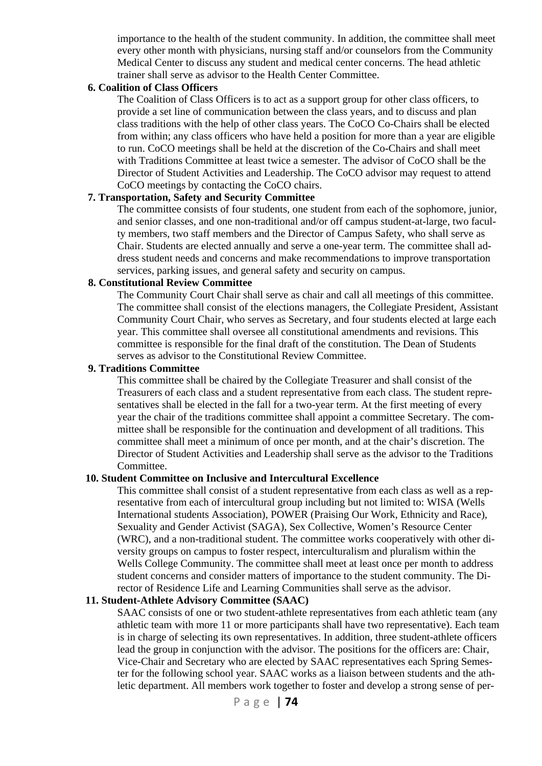importance to the health of the student community. In addition, the committee shall meet every other month with physicians, nursing staff and/or counselors from the Community Medical Center to discuss any student and medical center concerns. The head athletic trainer shall serve as advisor to the Health Center Committee.

#### **6. Coalition of Class Officers**

The Coalition of Class Officers is to act as a support group for other class officers, to provide a set line of communication between the class years, and to discuss and plan class traditions with the help of other class years. The CoCO Co-Chairs shall be elected from within; any class officers who have held a position for more than a year are eligible to run. CoCO meetings shall be held at the discretion of the Co-Chairs and shall meet with Traditions Committee at least twice a semester. The advisor of CoCO shall be the Director of Student Activities and Leadership. The CoCO advisor may request to attend CoCO meetings by contacting the CoCO chairs.

#### **7. Transportation, Safety and Security Committee**

 The committee consists of four students, one student from each of the sophomore, junior, and senior classes, and one non-traditional and/or off campus student-at-large, two faculty members, two staff members and the Director of Campus Safety, who shall serve as Chair. Students are elected annually and serve a one-year term. The committee shall address student needs and concerns and make recommendations to improve transportation services, parking issues, and general safety and security on campus.

#### **8. Constitutional Review Committee**

 The Community Court Chair shall serve as chair and call all meetings of this committee. The committee shall consist of the elections managers, the Collegiate President, Assistant Community Court Chair, who serves as Secretary, and four students elected at large each year. This committee shall oversee all constitutional amendments and revisions. This committee is responsible for the final draft of the constitution. The Dean of Students serves as advisor to the Constitutional Review Committee.

#### **9. Traditions Committee**

 This committee shall be chaired by the Collegiate Treasurer and shall consist of the Treasurers of each class and a student representative from each class. The student representatives shall be elected in the fall for a two-year term. At the first meeting of every year the chair of the traditions committee shall appoint a committee Secretary. The committee shall be responsible for the continuation and development of all traditions. This committee shall meet a minimum of once per month, and at the chair's discretion. The Director of Student Activities and Leadership shall serve as the advisor to the Traditions Committee.

#### **10. Student Committee on Inclusive and Intercultural Excellence**

 This committee shall consist of a student representative from each class as well as a representative from each of intercultural group including but not limited to: WISA (Wells International students Association), POWER (Praising Our Work, Ethnicity and Race), Sexuality and Gender Activist (SAGA), Sex Collective, Women's Resource Center (WRC), and a non-traditional student. The committee works cooperatively with other diversity groups on campus to foster respect, interculturalism and pluralism within the Wells College Community. The committee shall meet at least once per month to address student concerns and consider matters of importance to the student community. The Director of Residence Life and Learning Communities shall serve as the advisor.

#### **11. Student-Athlete Advisory Committee (SAAC)**

 SAAC consists of one or two student-athlete representatives from each athletic team (any athletic team with more 11 or more participants shall have two representative). Each team is in charge of selecting its own representatives. In addition, three student-athlete officers lead the group in conjunction with the advisor. The positions for the officers are: Chair, Vice-Chair and Secretary who are elected by SAAC representatives each Spring Semester for the following school year. SAAC works as a liaison between students and the athletic department. All members work together to foster and develop a strong sense of per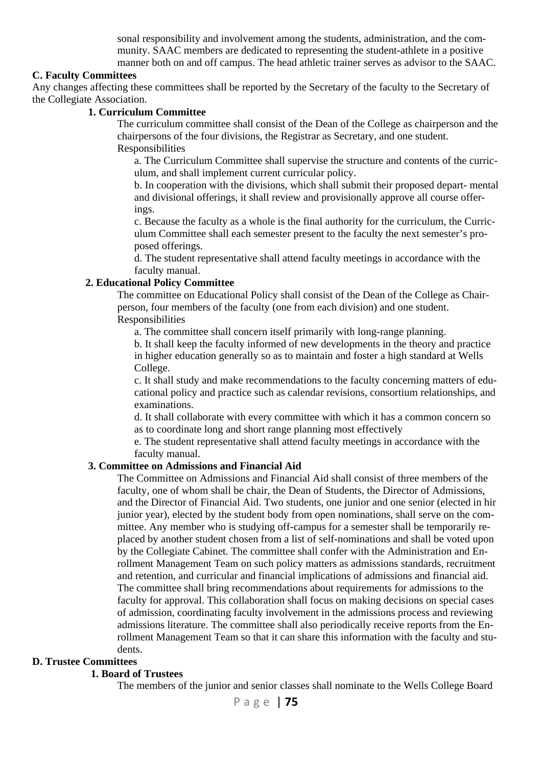sonal responsibility and involvement among the students, administration, and the community. SAAC members are dedicated to representing the student-athlete in a positive manner both on and off campus. The head athletic trainer serves as advisor to the SAAC.

#### **C. Faculty Committees**

Any changes affecting these committees shall be reported by the Secretary of the faculty to the Secretary of the Collegiate Association.

#### **1. Curriculum Committee**

 The curriculum committee shall consist of the Dean of the College as chairperson and the chairpersons of the four divisions, the Registrar as Secretary, and one student. Responsibilities

a. The Curriculum Committee shall supervise the structure and contents of the curriculum, and shall implement current curricular policy.

b. In cooperation with the divisions, which shall submit their proposed depart- mental and divisional offerings, it shall review and provisionally approve all course offerings.

 c. Because the faculty as a whole is the final authority for the curriculum, the Curriculum Committee shall each semester present to the faculty the next semester's proposed offerings.

d. The student representative shall attend faculty meetings in accordance with the faculty manual.

#### **2. Educational Policy Committee**

The committee on Educational Policy shall consist of the Dean of the College as Chairperson, four members of the faculty (one from each division) and one student. Responsibilities

a. The committee shall concern itself primarily with long-range planning.

 b. It shall keep the faculty informed of new developments in the theory and practice in higher education generally so as to maintain and foster a high standard at Wells College.

c. It shall study and make recommendations to the faculty concerning matters of educational policy and practice such as calendar revisions, consortium relationships, and examinations.

d. It shall collaborate with every committee with which it has a common concern so as to coordinate long and short range planning most effectively

 e. The student representative shall attend faculty meetings in accordance with the faculty manual.

#### **3. Committee on Admissions and Financial Aid**

The Committee on Admissions and Financial Aid shall consist of three members of the faculty, one of whom shall be chair, the Dean of Students, the Director of Admissions, and the Director of Financial Aid. Two students, one junior and one senior (elected in hir junior year), elected by the student body from open nominations, shall serve on the committee. Any member who is studying off-campus for a semester shall be temporarily replaced by another student chosen from a list of self-nominations and shall be voted upon by the Collegiate Cabinet. The committee shall confer with the Administration and Enrollment Management Team on such policy matters as admissions standards, recruitment and retention, and curricular and financial implications of admissions and financial aid. The committee shall bring recommendations about requirements for admissions to the faculty for approval. This collaboration shall focus on making decisions on special cases of admission, coordinating faculty involvement in the admissions process and reviewing admissions literature. The committee shall also periodically receive reports from the Enrollment Management Team so that it can share this information with the faculty and students.

#### **D. Trustee Committees**

#### **1. Board of Trustees**

The members of the junior and senior classes shall nominate to the Wells College Board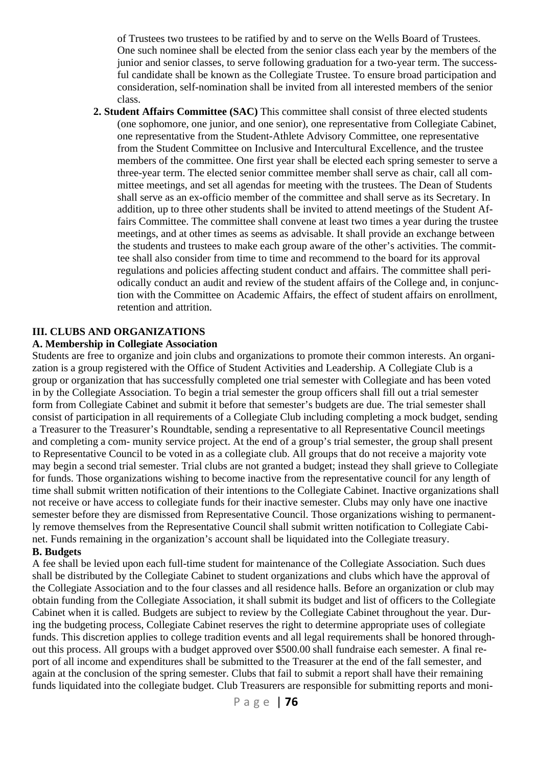of Trustees two trustees to be ratified by and to serve on the Wells Board of Trustees. One such nominee shall be elected from the senior class each year by the members of the junior and senior classes, to serve following graduation for a two-year term. The successful candidate shall be known as the Collegiate Trustee. To ensure broad participation and consideration, self-nomination shall be invited from all interested members of the senior class.

 **2. Student Affairs Committee (SAC)** This committee shall consist of three elected students (one sophomore, one junior, and one senior), one representative from Collegiate Cabinet, one representative from the Student-Athlete Advisory Committee, one representative from the Student Committee on Inclusive and Intercultural Excellence, and the trustee members of the committee. One first year shall be elected each spring semester to serve a three-year term. The elected senior committee member shall serve as chair, call all committee meetings, and set all agendas for meeting with the trustees. The Dean of Students shall serve as an ex-officio member of the committee and shall serve as its Secretary. In addition, up to three other students shall be invited to attend meetings of the Student Affairs Committee. The committee shall convene at least two times a year during the trustee meetings, and at other times as seems as advisable. It shall provide an exchange between the students and trustees to make each group aware of the other's activities. The committee shall also consider from time to time and recommend to the board for its approval regulations and policies affecting student conduct and affairs. The committee shall periodically conduct an audit and review of the student affairs of the College and, in conjunction with the Committee on Academic Affairs, the effect of student affairs on enrollment, retention and attrition.

#### **III. CLUBS AND ORGANIZATIONS**

#### **A. Membership in Collegiate Association**

Students are free to organize and join clubs and organizations to promote their common interests. An organization is a group registered with the Office of Student Activities and Leadership. A Collegiate Club is a group or organization that has successfully completed one trial semester with Collegiate and has been voted in by the Collegiate Association. To begin a trial semester the group officers shall fill out a trial semester form from Collegiate Cabinet and submit it before that semester's budgets are due. The trial semester shall consist of participation in all requirements of a Collegiate Club including completing a mock budget, sending a Treasurer to the Treasurer's Roundtable, sending a representative to all Representative Council meetings and completing a com- munity service project. At the end of a group's trial semester, the group shall present to Representative Council to be voted in as a collegiate club. All groups that do not receive a majority vote may begin a second trial semester. Trial clubs are not granted a budget; instead they shall grieve to Collegiate for funds. Those organizations wishing to become inactive from the representative council for any length of time shall submit written notification of their intentions to the Collegiate Cabinet. Inactive organizations shall not receive or have access to collegiate funds for their inactive semester. Clubs may only have one inactive semester before they are dismissed from Representative Council. Those organizations wishing to permanently remove themselves from the Representative Council shall submit written notification to Collegiate Cabinet. Funds remaining in the organization's account shall be liquidated into the Collegiate treasury. **B. Budgets** 

A fee shall be levied upon each full-time student for maintenance of the Collegiate Association. Such dues shall be distributed by the Collegiate Cabinet to student organizations and clubs which have the approval of the Collegiate Association and to the four classes and all residence halls. Before an organization or club may obtain funding from the Collegiate Association, it shall submit its budget and list of officers to the Collegiate Cabinet when it is called. Budgets are subject to review by the Collegiate Cabinet throughout the year. During the budgeting process, Collegiate Cabinet reserves the right to determine appropriate uses of collegiate funds. This discretion applies to college tradition events and all legal requirements shall be honored throughout this process. All groups with a budget approved over \$500.00 shall fundraise each semester. A final report of all income and expenditures shall be submitted to the Treasurer at the end of the fall semester, and again at the conclusion of the spring semester. Clubs that fail to submit a report shall have their remaining funds liquidated into the collegiate budget. Club Treasurers are responsible for submitting reports and moni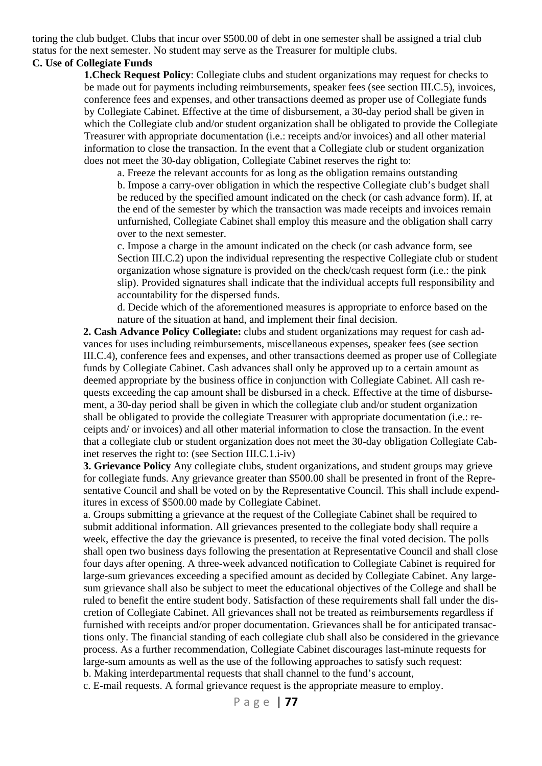toring the club budget. Clubs that incur over \$500.00 of debt in one semester shall be assigned a trial club status for the next semester. No student may serve as the Treasurer for multiple clubs.

### **C. Use of Collegiate Funds**

**1.Check Request Policy**: Collegiate clubs and student organizations may request for checks to be made out for payments including reimbursements, speaker fees (see section III.C.5), invoices, conference fees and expenses, and other transactions deemed as proper use of Collegiate funds by Collegiate Cabinet. Effective at the time of disbursement, a 30-day period shall be given in which the Collegiate club and/or student organization shall be obligated to provide the Collegiate Treasurer with appropriate documentation (i.e.: receipts and/or invoices) and all other material information to close the transaction. In the event that a Collegiate club or student organization does not meet the 30-day obligation, Collegiate Cabinet reserves the right to:

a. Freeze the relevant accounts for as long as the obligation remains outstanding b. Impose a carry-over obligation in which the respective Collegiate club's budget shall be reduced by the specified amount indicated on the check (or cash advance form). If, at the end of the semester by which the transaction was made receipts and invoices remain unfurnished, Collegiate Cabinet shall employ this measure and the obligation shall carry over to the next semester.

c. Impose a charge in the amount indicated on the check (or cash advance form, see Section III.C.2) upon the individual representing the respective Collegiate club or student organization whose signature is provided on the check/cash request form (i.e.: the pink slip). Provided signatures shall indicate that the individual accepts full responsibility and accountability for the dispersed funds.

d. Decide which of the aforementioned measures is appropriate to enforce based on the nature of the situation at hand, and implement their final decision.

**2. Cash Advance Policy Collegiate:** clubs and student organizations may request for cash advances for uses including reimbursements, miscellaneous expenses, speaker fees (see section III.C.4), conference fees and expenses, and other transactions deemed as proper use of Collegiate funds by Collegiate Cabinet. Cash advances shall only be approved up to a certain amount as deemed appropriate by the business office in conjunction with Collegiate Cabinet. All cash requests exceeding the cap amount shall be disbursed in a check. Effective at the time of disbursement, a 30-day period shall be given in which the collegiate club and/or student organization shall be obligated to provide the collegiate Treasurer with appropriate documentation (i.e.: receipts and/ or invoices) and all other material information to close the transaction. In the event that a collegiate club or student organization does not meet the 30-day obligation Collegiate Cabinet reserves the right to: (see Section III.C.1.i-iv)

 **3. Grievance Policy** Any collegiate clubs, student organizations, and student groups may grieve for collegiate funds. Any grievance greater than \$500.00 shall be presented in front of the Representative Council and shall be voted on by the Representative Council. This shall include expenditures in excess of \$500.00 made by Collegiate Cabinet.

a. Groups submitting a grievance at the request of the Collegiate Cabinet shall be required to submit additional information. All grievances presented to the collegiate body shall require a week, effective the day the grievance is presented, to receive the final voted decision. The polls shall open two business days following the presentation at Representative Council and shall close four days after opening. A three-week advanced notification to Collegiate Cabinet is required for large-sum grievances exceeding a specified amount as decided by Collegiate Cabinet. Any largesum grievance shall also be subject to meet the educational objectives of the College and shall be ruled to benefit the entire student body. Satisfaction of these requirements shall fall under the discretion of Collegiate Cabinet. All grievances shall not be treated as reimbursements regardless if furnished with receipts and/or proper documentation. Grievances shall be for anticipated transactions only. The financial standing of each collegiate club shall also be considered in the grievance process. As a further recommendation, Collegiate Cabinet discourages last-minute requests for large-sum amounts as well as the use of the following approaches to satisfy such request: b. Making interdepartmental requests that shall channel to the fund's account,

c. E-mail requests. A formal grievance request is the appropriate measure to employ.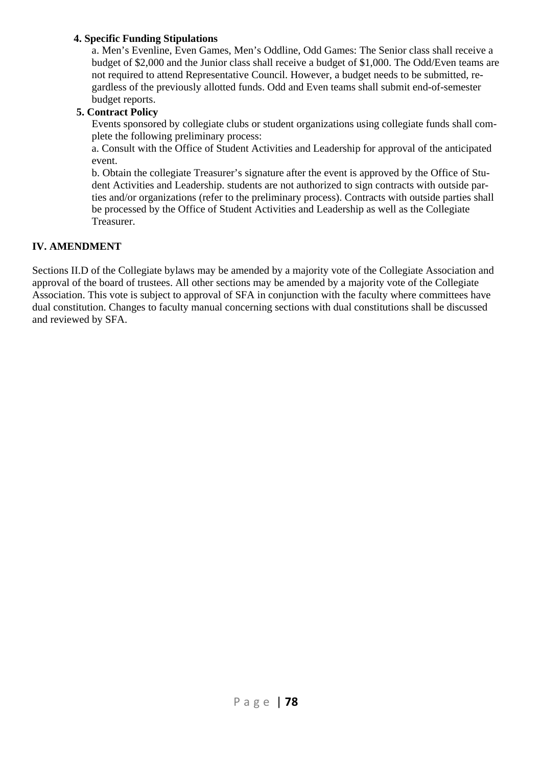#### **4. Specific Funding Stipulations**

a. Men's Evenline, Even Games, Men's Oddline, Odd Games: The Senior class shall receive a budget of \$2,000 and the Junior class shall receive a budget of \$1,000. The Odd/Even teams are not required to attend Representative Council. However, a budget needs to be submitted, regardless of the previously allotted funds. Odd and Even teams shall submit end-of-semester budget reports.

#### **5. Contract Policy**

Events sponsored by collegiate clubs or student organizations using collegiate funds shall complete the following preliminary process:

a. Consult with the Office of Student Activities and Leadership for approval of the anticipated event.

 b. Obtain the collegiate Treasurer's signature after the event is approved by the Office of Student Activities and Leadership. students are not authorized to sign contracts with outside parties and/or organizations (refer to the preliminary process). Contracts with outside parties shall be processed by the Office of Student Activities and Leadership as well as the Collegiate Treasurer.

#### **IV. AMENDMENT**

Sections II.D of the Collegiate bylaws may be amended by a majority vote of the Collegiate Association and approval of the board of trustees. All other sections may be amended by a majority vote of the Collegiate Association. This vote is subject to approval of SFA in conjunction with the faculty where committees have dual constitution. Changes to faculty manual concerning sections with dual constitutions shall be discussed and reviewed by SFA.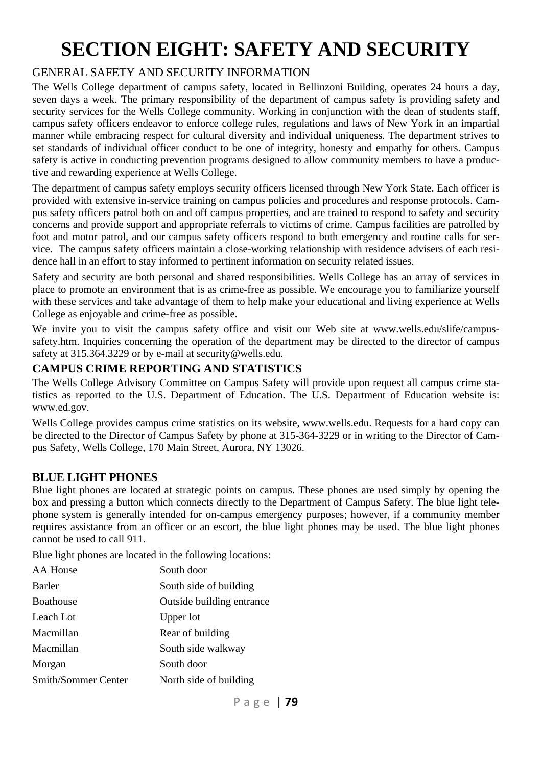# **SECTION EIGHT: SAFETY AND SECURITY**

# GENERAL SAFETY AND SECURITY INFORMATION

The Wells College department of campus safety, located in Bellinzoni Building, operates 24 hours a day, seven days a week. The primary responsibility of the department of campus safety is providing safety and security services for the Wells College community. Working in conjunction with the dean of students staff, campus safety officers endeavor to enforce college rules, regulations and laws of New York in an impartial manner while embracing respect for cultural diversity and individual uniqueness. The department strives to set standards of individual officer conduct to be one of integrity, honesty and empathy for others. Campus safety is active in conducting prevention programs designed to allow community members to have a productive and rewarding experience at Wells College.

The department of campus safety employs security officers licensed through New York State. Each officer is provided with extensive in-service training on campus policies and procedures and response protocols. Campus safety officers patrol both on and off campus properties, and are trained to respond to safety and security concerns and provide support and appropriate referrals to victims of crime. Campus facilities are patrolled by foot and motor patrol, and our campus safety officers respond to both emergency and routine calls for service. The campus safety officers maintain a close-working relationship with residence advisers of each residence hall in an effort to stay informed to pertinent information on security related issues.

Safety and security are both personal and shared responsibilities. Wells College has an array of services in place to promote an environment that is as crime-free as possible. We encourage you to familiarize yourself with these services and take advantage of them to help make your educational and living experience at Wells College as enjoyable and crime-free as possible.

We invite you to visit the campus safety office and visit our Web site at www.wells.edu/slife/campussafety.htm. Inquiries concerning the operation of the department may be directed to the director of campus safety at 315.364.3229 or by e-mail at security@wells.edu.

### **CAMPUS CRIME REPORTING AND STATISTICS**

The Wells College Advisory Committee on Campus Safety will provide upon request all campus crime statistics as reported to the U.S. Department of Education. The U.S. Department of Education website is: www.ed.gov.

Wells College provides campus crime statistics on its website, www.wells.edu. Requests for a hard copy can be directed to the Director of Campus Safety by phone at 315-364-3229 or in writing to the Director of Campus Safety, Wells College, 170 Main Street, Aurora, NY 13026.

### **BLUE LIGHT PHONES**

Blue light phones are located at strategic points on campus. These phones are used simply by opening the box and pressing a button which connects directly to the Department of Campus Safety. The blue light telephone system is generally intended for on-campus emergency purposes; however, if a community member requires assistance from an officer or an escort, the blue light phones may be used. The blue light phones cannot be used to call 911.

Blue light phones are located in the following locations:

| <b>AA House</b>     | South door                |
|---------------------|---------------------------|
| Barler              | South side of building    |
| Boathouse           | Outside building entrance |
| Leach Lot           | Upper lot                 |
| Macmillan           | Rear of building          |
| Macmillan           | South side walkway        |
| Morgan              | South door                |
| Smith/Sommer Center | North side of building    |
|                     |                           |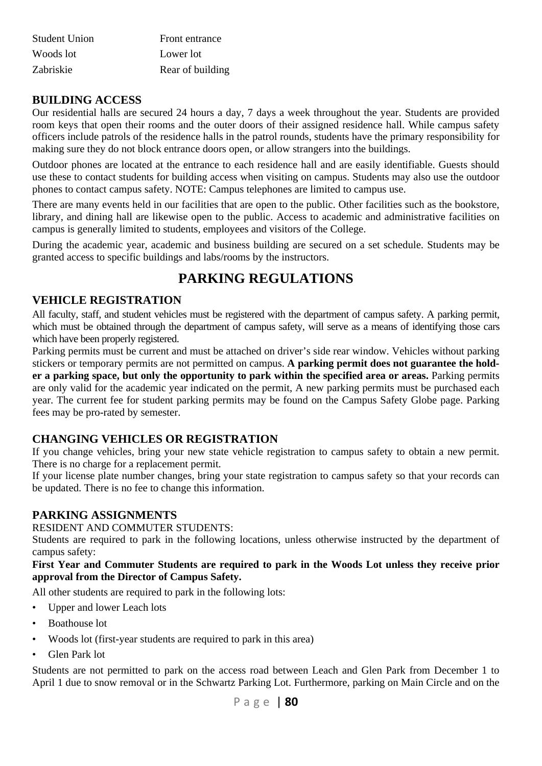| Student Union | Front entrance   |
|---------------|------------------|
| Woods lot     | Lower lot        |
| Zabriskie     | Rear of building |

### **BUILDING ACCESS**

Our residential halls are secured 24 hours a day, 7 days a week throughout the year. Students are provided room keys that open their rooms and the outer doors of their assigned residence hall. While campus safety officers include patrols of the residence halls in the patrol rounds, students have the primary responsibility for making sure they do not block entrance doors open, or allow strangers into the buildings.

Outdoor phones are located at the entrance to each residence hall and are easily identifiable. Guests should use these to contact students for building access when visiting on campus. Students may also use the outdoor phones to contact campus safety. NOTE: Campus telephones are limited to campus use.

There are many events held in our facilities that are open to the public. Other facilities such as the bookstore, library, and dining hall are likewise open to the public. Access to academic and administrative facilities on campus is generally limited to students, employees and visitors of the College.

During the academic year, academic and business building are secured on a set schedule. Students may be granted access to specific buildings and labs/rooms by the instructors.

# **PARKING REGULATIONS**

#### **VEHICLE REGISTRATION**

All faculty, staff, and student vehicles must be registered with the department of campus safety. A parking permit, which must be obtained through the department of campus safety, will serve as a means of identifying those cars which have been properly registered.

Parking permits must be current and must be attached on driver's side rear window. Vehicles without parking stickers or temporary permits are not permitted on campus. **A parking permit does not guarantee the holder a parking space, but only the opportunity to park within the specified area or areas.** Parking permits are only valid for the academic year indicated on the permit, A new parking permits must be purchased each year. The current fee for student parking permits may be found on the Campus Safety Globe page. Parking fees may be pro-rated by semester.

### **CHANGING VEHICLES OR REGISTRATION**

If you change vehicles, bring your new state vehicle registration to campus safety to obtain a new permit. There is no charge for a replacement permit.

If your license plate number changes, bring your state registration to campus safety so that your records can be updated. There is no fee to change this information.

#### **PARKING ASSIGNMENTS**

#### RESIDENT AND COMMUTER STUDENTS:

Students are required to park in the following locations, unless otherwise instructed by the department of campus safety:

#### **First Year and Commuter Students are required to park in the Woods Lot unless they receive prior approval from the Director of Campus Safety.**

All other students are required to park in the following lots:

- Upper and lower Leach lots
- Boathouse lot
- Woods lot (first-year students are required to park in this area)
- Glen Park lot

Students are not permitted to park on the access road between Leach and Glen Park from December 1 to April 1 due to snow removal or in the Schwartz Parking Lot. Furthermore, parking on Main Circle and on the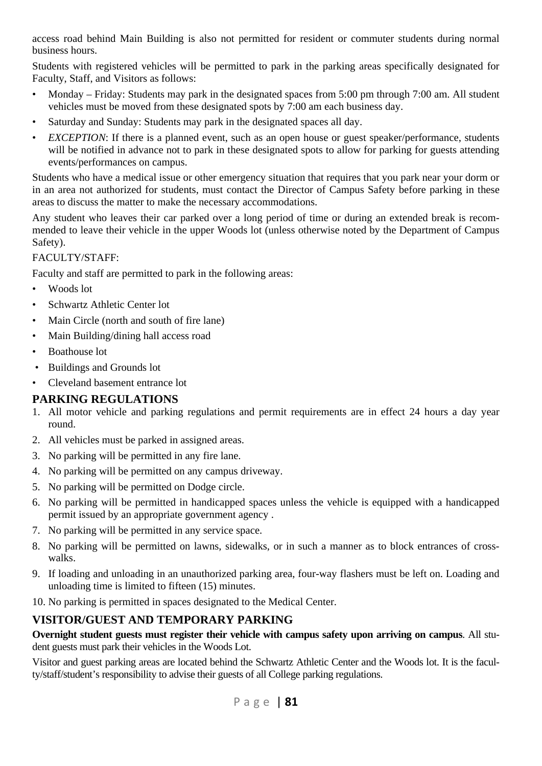access road behind Main Building is also not permitted for resident or commuter students during normal business hours.

Students with registered vehicles will be permitted to park in the parking areas specifically designated for Faculty, Staff, and Visitors as follows:

- Monday Friday: Students may park in the designated spaces from 5:00 pm through 7:00 am. All student vehicles must be moved from these designated spots by 7:00 am each business day.
- Saturday and Sunday: Students may park in the designated spaces all day.
- *EXCEPTION*: If there is a planned event, such as an open house or guest speaker/performance, students will be notified in advance not to park in these designated spots to allow for parking for guests attending events/performances on campus.

Students who have a medical issue or other emergency situation that requires that you park near your dorm or in an area not authorized for students, must contact the Director of Campus Safety before parking in these areas to discuss the matter to make the necessary accommodations.

Any student who leaves their car parked over a long period of time or during an extended break is recommended to leave their vehicle in the upper Woods lot (unless otherwise noted by the Department of Campus Safety).

#### FACULTY/STAFF:

Faculty and staff are permitted to park in the following areas:

- Woods lot
- Schwartz Athletic Center lot
- Main Circle (north and south of fire lane)
- Main Building/dining hall access road
- Boathouse lot
- Buildings and Grounds lot
- Cleveland basement entrance lot

### **PARKING REGULATIONS**

- 1. All motor vehicle and parking regulations and permit requirements are in effect 24 hours a day year round.
- 2. All vehicles must be parked in assigned areas.
- 3. No parking will be permitted in any fire lane.
- 4. No parking will be permitted on any campus driveway.
- 5. No parking will be permitted on Dodge circle.
- 6. No parking will be permitted in handicapped spaces unless the vehicle is equipped with a handicapped permit issued by an appropriate government agency .
- 7. No parking will be permitted in any service space.
- 8. No parking will be permitted on lawns, sidewalks, or in such a manner as to block entrances of crosswalks.
- 9. If loading and unloading in an unauthorized parking area, four-way flashers must be left on. Loading and unloading time is limited to fifteen (15) minutes.
- 10. No parking is permitted in spaces designated to the Medical Center.

### **VISITOR/GUEST AND TEMPORARY PARKING**

**Overnight student guests must register their vehicle with campus safety upon arriving on campus**. All student guests must park their vehicles in the Woods Lot.

Visitor and guest parking areas are located behind the Schwartz Athletic Center and the Woods lot. It is the faculty/staff/student's responsibility to advise their guests of all College parking regulations.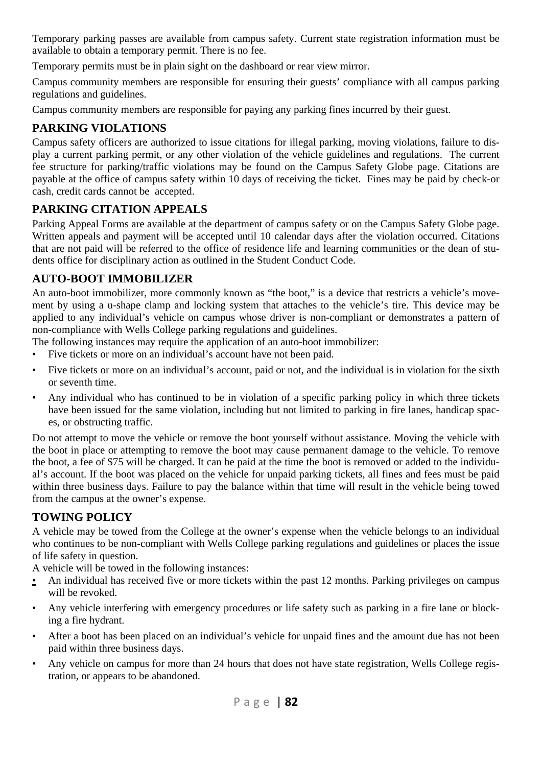Temporary parking passes are available from campus safety. Current state registration information must be available to obtain a temporary permit. There is no fee.

Temporary permits must be in plain sight on the dashboard or rear view mirror.

Campus community members are responsible for ensuring their guests' compliance with all campus parking regulations and guidelines.

Campus community members are responsible for paying any parking fines incurred by their guest.

# **PARKING VIOLATIONS**

Campus safety officers are authorized to issue citations for illegal parking, moving violations, failure to display a current parking permit, or any other violation of the vehicle guidelines and regulations. The current fee structure for parking/traffic violations may be found on the Campus Safety Globe page. Citations are payable at the office of campus safety within 10 days of receiving the ticket. Fines may be paid by check-or cash, credit cards cannot be accepted.

# **PARKING CITATION APPEALS**

Parking Appeal Forms are available at the department of campus safety or on the Campus Safety Globe page. Written appeals and payment will be accepted until 10 calendar days after the violation occurred. Citations that are not paid will be referred to the office of residence life and learning communities or the dean of students office for disciplinary action as outlined in the Student Conduct Code.

# **AUTO-BOOT IMMOBILIZER**

An auto-boot immobilizer, more commonly known as "the boot," is a device that restricts a vehicle's movement by using a u-shape clamp and locking system that attaches to the vehicle's tire. This device may be applied to any individual's vehicle on campus whose driver is non-compliant or demonstrates a pattern of non-compliance with Wells College parking regulations and guidelines.

The following instances may require the application of an auto-boot immobilizer:

- Five tickets or more on an individual's account have not been paid.
- Five tickets or more on an individual's account, paid or not, and the individual is in violation for the sixth or seventh time.
- Any individual who has continued to be in violation of a specific parking policy in which three tickets have been issued for the same violation, including but not limited to parking in fire lanes, handicap spaces, or obstructing traffic.

Do not attempt to move the vehicle or remove the boot yourself without assistance. Moving the vehicle with the boot in place or attempting to remove the boot may cause permanent damage to the vehicle. To remove the boot, a fee of \$75 will be charged. It can be paid at the time the boot is removed or added to the individual's account. If the boot was placed on the vehicle for unpaid parking tickets, all fines and fees must be paid within three business days. Failure to pay the balance within that time will result in the vehicle being towed from the campus at the owner's expense.

# **TOWING POLICY**

A vehicle may be towed from the College at the owner's expense when the vehicle belongs to an individual who continues to be non-compliant with Wells College parking regulations and guidelines or places the issue of life safety in question.

A vehicle will be towed in the following instances:

- An individual has received five or more tickets within the past 12 months. Parking privileges on campus will be revoked.
- Any vehicle interfering with emergency procedures or life safety such as parking in a fire lane or blocking a fire hydrant.
- After a boot has been placed on an individual's vehicle for unpaid fines and the amount due has not been paid within three business days.
- Any vehicle on campus for more than 24 hours that does not have state registration, Wells College registration, or appears to be abandoned.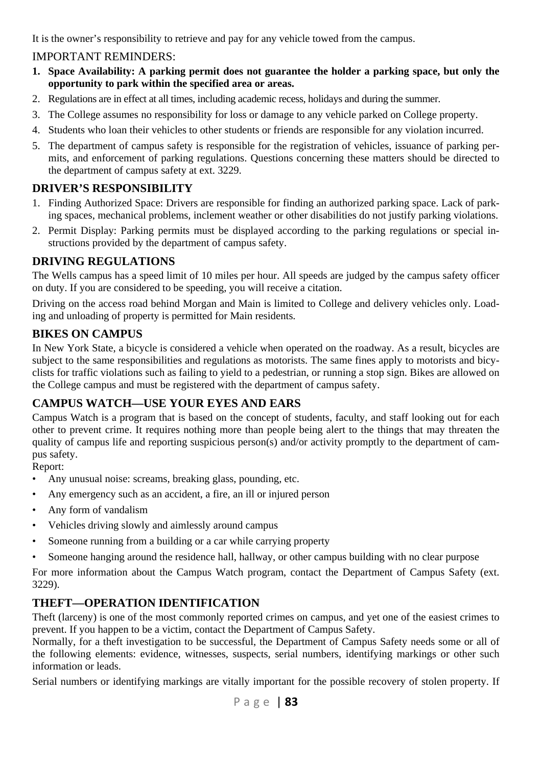It is the owner's responsibility to retrieve and pay for any vehicle towed from the campus.

## IMPORTANT REMINDERS:

- **1. Space Availability: A parking permit does not guarantee the holder a parking space, but only the opportunity to park within the specified area or areas.**
- 2. Regulations are in effect at all times, including academic recess, holidays and during the summer.
- 3. The College assumes no responsibility for loss or damage to any vehicle parked on College property.
- 4. Students who loan their vehicles to other students or friends are responsible for any violation incurred.
- 5. The department of campus safety is responsible for the registration of vehicles, issuance of parking permits, and enforcement of parking regulations. Questions concerning these matters should be directed to the department of campus safety at ext. 3229.

# **DRIVER'S RESPONSIBILITY**

- 1. Finding Authorized Space: Drivers are responsible for finding an authorized parking space. Lack of parking spaces, mechanical problems, inclement weather or other disabilities do not justify parking violations.
- 2. Permit Display: Parking permits must be displayed according to the parking regulations or special instructions provided by the department of campus safety.

### **DRIVING REGULATIONS**

The Wells campus has a speed limit of 10 miles per hour. All speeds are judged by the campus safety officer on duty. If you are considered to be speeding, you will receive a citation.

Driving on the access road behind Morgan and Main is limited to College and delivery vehicles only. Loading and unloading of property is permitted for Main residents.

## **BIKES ON CAMPUS**

In New York State, a bicycle is considered a vehicle when operated on the roadway. As a result, bicycles are subject to the same responsibilities and regulations as motorists. The same fines apply to motorists and bicyclists for traffic violations such as failing to yield to a pedestrian, or running a stop sign. Bikes are allowed on the College campus and must be registered with the department of campus safety.

# **CAMPUS WATCH—USE YOUR EYES AND EARS**

Campus Watch is a program that is based on the concept of students, faculty, and staff looking out for each other to prevent crime. It requires nothing more than people being alert to the things that may threaten the quality of campus life and reporting suspicious person(s) and/or activity promptly to the department of campus safety.

Report:

- Any unusual noise: screams, breaking glass, pounding, etc.
- Any emergency such as an accident, a fire, an ill or injured person
- Any form of vandalism
- Vehicles driving slowly and aimlessly around campus
- Someone running from a building or a car while carrying property
- Someone hanging around the residence hall, hallway, or other campus building with no clear purpose

For more information about the Campus Watch program, contact the Department of Campus Safety (ext. 3229).

# **THEFT—OPERATION IDENTIFICATION**

Theft (larceny) is one of the most commonly reported crimes on campus, and yet one of the easiest crimes to prevent. If you happen to be a victim, contact the Department of Campus Safety.

Normally, for a theft investigation to be successful, the Department of Campus Safety needs some or all of the following elements: evidence, witnesses, suspects, serial numbers, identifying markings or other such information or leads.

Serial numbers or identifying markings are vitally important for the possible recovery of stolen property. If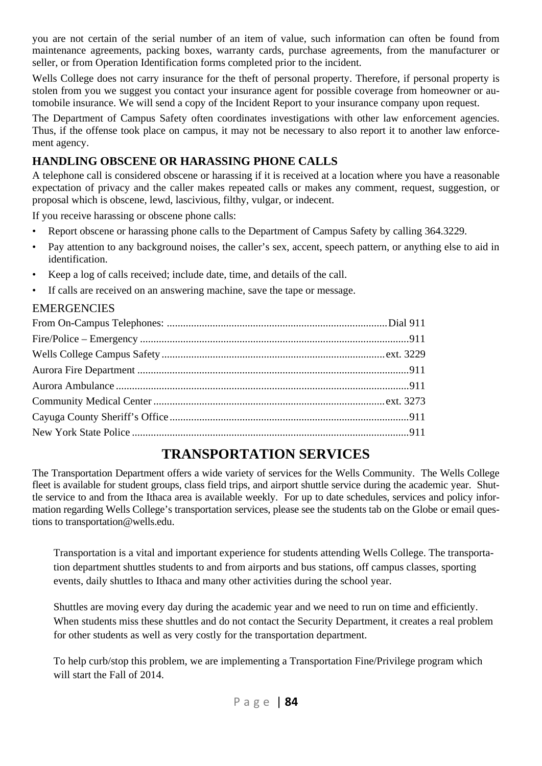you are not certain of the serial number of an item of value, such information can often be found from maintenance agreements, packing boxes, warranty cards, purchase agreements, from the manufacturer or seller, or from Operation Identification forms completed prior to the incident.

Wells College does not carry insurance for the theft of personal property. Therefore, if personal property is stolen from you we suggest you contact your insurance agent for possible coverage from homeowner or automobile insurance. We will send a copy of the Incident Report to your insurance company upon request.

The Department of Campus Safety often coordinates investigations with other law enforcement agencies. Thus, if the offense took place on campus, it may not be necessary to also report it to another law enforcement agency.

### **HANDLING OBSCENE OR HARASSING PHONE CALLS**

A telephone call is considered obscene or harassing if it is received at a location where you have a reasonable expectation of privacy and the caller makes repeated calls or makes any comment, request, suggestion, or proposal which is obscene, lewd, lascivious, filthy, vulgar, or indecent.

If you receive harassing or obscene phone calls:

- Report obscene or harassing phone calls to the Department of Campus Safety by calling 364.3229.
- Pay attention to any background noises, the caller's sex, accent, speech pattern, or anything else to aid in identification.
- Keep a log of calls received; include date, time, and details of the call.
- If calls are received on an answering machine, save the tape or message.

#### **EMERGENCIES**

# **TRANSPORTATION SERVICES**

The Transportation Department offers a wide variety of services for the Wells Community. The Wells College fleet is available for student groups, class field trips, and airport shuttle service during the academic year. Shuttle service to and from the Ithaca area is available weekly. For up to date schedules, services and policy information regarding Wells College's transportation services, please see the students tab on the Globe or email questions to transportation@wells.edu.

Transportation is a vital and important experience for students attending Wells College. The transportation department shuttles students to and from airports and bus stations, off campus classes, sporting events, daily shuttles to Ithaca and many other activities during the school year.

Shuttles are moving every day during the academic year and we need to run on time and efficiently. When students miss these shuttles and do not contact the Security Department, it creates a real problem for other students as well as very costly for the transportation department.

To help curb/stop this problem, we are implementing a Transportation Fine/Privilege program which will start the Fall of 2014.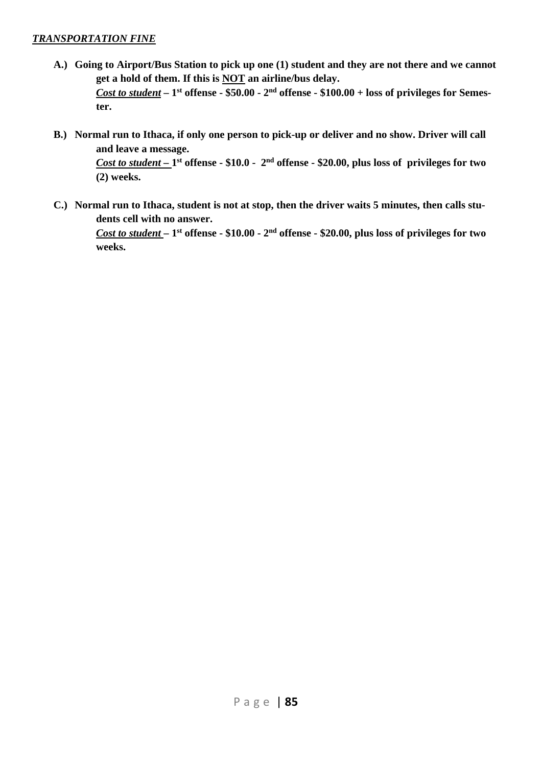#### *TRANSPORTATION FINE*

- **A.) Going to Airport/Bus Station to pick up one (1) student and they are not there and we cannot get a hold of them. If this is NOT an airline/bus delay.**  *Cost to student* **– 1st offense - \$50.00 - 2nd offense - \$100.00 + loss of privileges for Semester.**
- **B.) Normal run to Ithaca, if only one person to pick-up or deliver and no show. Driver will call and leave a message.**

*Cost to student –* **1st offense - \$10.0 - 2nd offense - \$20.00, plus loss of privileges for two (2) weeks.** 

**C.) Normal run to Ithaca, student is not at stop, then the driver waits 5 minutes, then calls students cell with no answer.**

*Cost to student* **– 1st offense - \$10.00 - 2nd offense - \$20.00, plus loss of privileges for two weeks.**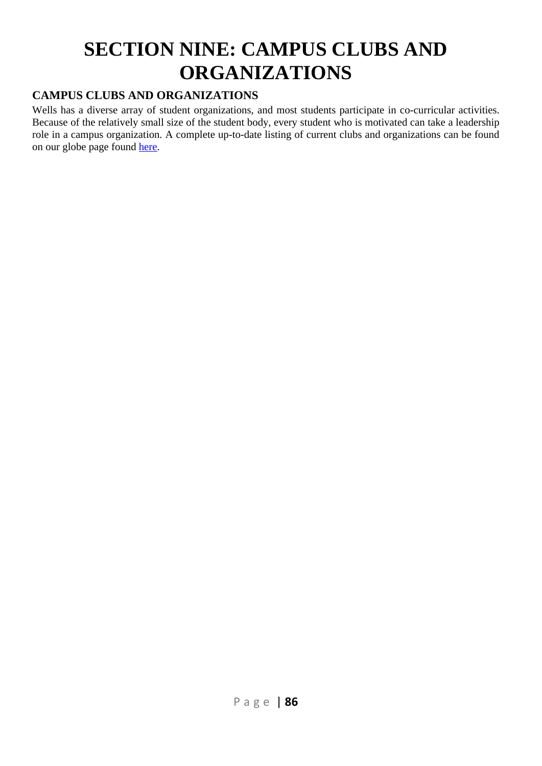# **SECTION NINE: CAMPUS CLUBS AND ORGANIZATIONS**

# **CAMPUS CLUBS AND ORGANIZATIONS**

Wells has a diverse array of student organizations, and most students participate in co-curricular activities. Because of the relatively small size of the student body, every student who is motivated can take a leadership role in a campus organization. A complete up-to-date listing of current clubs and organizations can be found on our globe page found here.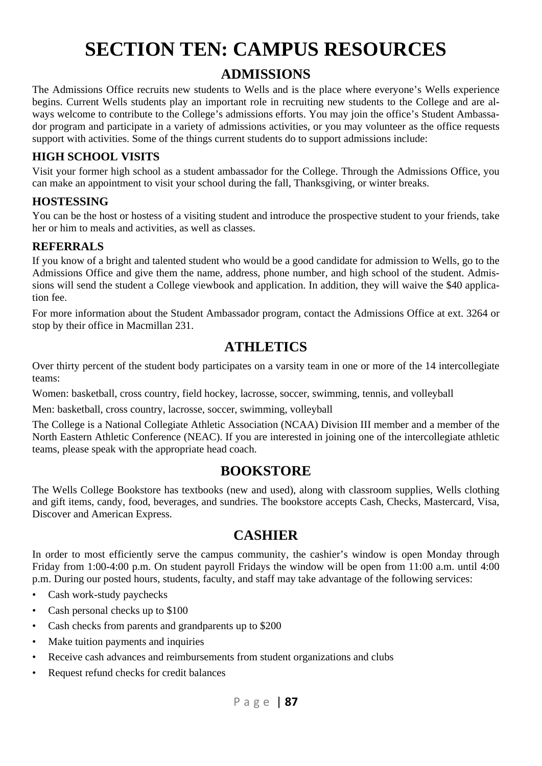# **SECTION TEN: CAMPUS RESOURCES**

# **ADMISSIONS**

The Admissions Office recruits new students to Wells and is the place where everyone's Wells experience begins. Current Wells students play an important role in recruiting new students to the College and are always welcome to contribute to the College's admissions efforts. You may join the office's Student Ambassador program and participate in a variety of admissions activities, or you may volunteer as the office requests support with activities. Some of the things current students do to support admissions include:

### **HIGH SCHOOL VISITS**

Visit your former high school as a student ambassador for the College. Through the Admissions Office, you can make an appointment to visit your school during the fall, Thanksgiving, or winter breaks.

#### **HOSTESSING**

You can be the host or hostess of a visiting student and introduce the prospective student to your friends, take her or him to meals and activities, as well as classes.

#### **REFERRALS**

If you know of a bright and talented student who would be a good candidate for admission to Wells, go to the Admissions Office and give them the name, address, phone number, and high school of the student. Admissions will send the student a College viewbook and application. In addition, they will waive the \$40 application fee.

For more information about the Student Ambassador program, contact the Admissions Office at ext. 3264 or stop by their office in Macmillan 231.

# **ATHLETICS**

Over thirty percent of the student body participates on a varsity team in one or more of the 14 intercollegiate teams:

Women: basketball, cross country, field hockey, lacrosse, soccer, swimming, tennis, and volleyball

Men: basketball, cross country, lacrosse, soccer, swimming, volleyball

The College is a National Collegiate Athletic Association (NCAA) Division III member and a member of the North Eastern Athletic Conference (NEAC). If you are interested in joining one of the intercollegiate athletic teams, please speak with the appropriate head coach.

# **BOOKSTORE**

The Wells College Bookstore has textbooks (new and used), along with classroom supplies, Wells clothing and gift items, candy, food, beverages, and sundries. The bookstore accepts Cash, Checks, Mastercard, Visa, Discover and American Express.

# **CASHIER**

In order to most efficiently serve the campus community, the cashier's window is open Monday through Friday from 1:00-4:00 p.m. On student payroll Fridays the window will be open from 11:00 a.m. until 4:00 p.m. During our posted hours, students, faculty, and staff may take advantage of the following services:

- Cash work-study paychecks
- Cash personal checks up to \$100
- Cash checks from parents and grandparents up to \$200
- Make tuition payments and inquiries
- Receive cash advances and reimbursements from student organizations and clubs
- Request refund checks for credit balances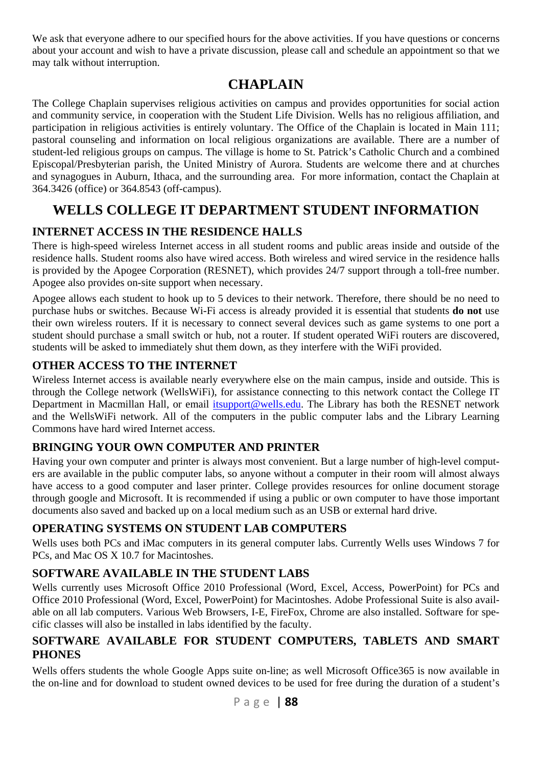We ask that everyone adhere to our specified hours for the above activities. If you have questions or concerns about your account and wish to have a private discussion, please call and schedule an appointment so that we may talk without interruption.

# **CHAPLAIN**

The College Chaplain supervises religious activities on campus and provides opportunities for social action and community service, in cooperation with the Student Life Division. Wells has no religious affiliation, and participation in religious activities is entirely voluntary. The Office of the Chaplain is located in Main 111; pastoral counseling and information on local religious organizations are available. There are a number of student-led religious groups on campus. The village is home to St. Patrick's Catholic Church and a combined Episcopal/Presbyterian parish, the United Ministry of Aurora. Students are welcome there and at churches and synagogues in Auburn, Ithaca, and the surrounding area. For more information, contact the Chaplain at 364.3426 (office) or 364.8543 (off-campus).

# **WELLS COLLEGE IT DEPARTMENT STUDENT INFORMATION**

# **INTERNET ACCESS IN THE RESIDENCE HALLS**

There is high-speed wireless Internet access in all student rooms and public areas inside and outside of the residence halls. Student rooms also have wired access. Both wireless and wired service in the residence halls is provided by the Apogee Corporation (RESNET), which provides 24/7 support through a toll-free number. Apogee also provides on-site support when necessary.

Apogee allows each student to hook up to 5 devices to their network. Therefore, there should be no need to purchase hubs or switches. Because Wi-Fi access is already provided it is essential that students **do not** use their own wireless routers. If it is necessary to connect several devices such as game systems to one port a student should purchase a small switch or hub, not a router. If student operated WiFi routers are discovered, students will be asked to immediately shut them down, as they interfere with the WiFi provided.

# **OTHER ACCESS TO THE INTERNET**

Wireless Internet access is available nearly everywhere else on the main campus, inside and outside. This is through the College network (WellsWiFi), for assistance connecting to this network contact the College IT Department in Macmillan Hall, or email *itsupport@wells.edu*. The Library has both the RESNET network and the WellsWiFi network. All of the computers in the public computer labs and the Library Learning Commons have hard wired Internet access.

# **BRINGING YOUR OWN COMPUTER AND PRINTER**

Having your own computer and printer is always most convenient. But a large number of high-level computers are available in the public computer labs, so anyone without a computer in their room will almost always have access to a good computer and laser printer. College provides resources for online document storage through google and Microsoft. It is recommended if using a public or own computer to have those important documents also saved and backed up on a local medium such as an USB or external hard drive.

# **OPERATING SYSTEMS ON STUDENT LAB COMPUTERS**

Wells uses both PCs and iMac computers in its general computer labs. Currently Wells uses Windows 7 for PCs, and Mac OS X 10.7 for Macintoshes.

# **SOFTWARE AVAILABLE IN THE STUDENT LABS**

Wells currently uses Microsoft Office 2010 Professional (Word, Excel, Access, PowerPoint) for PCs and Office 2010 Professional (Word, Excel, PowerPoint) for Macintoshes. Adobe Professional Suite is also available on all lab computers. Various Web Browsers, I-E, FireFox, Chrome are also installed. Software for specific classes will also be installed in labs identified by the faculty.

## **SOFTWARE AVAILABLE FOR STUDENT COMPUTERS, TABLETS AND SMART PHONES**

Wells offers students the whole Google Apps suite on-line; as well Microsoft Office365 is now available in the on-line and for download to student owned devices to be used for free during the duration of a student's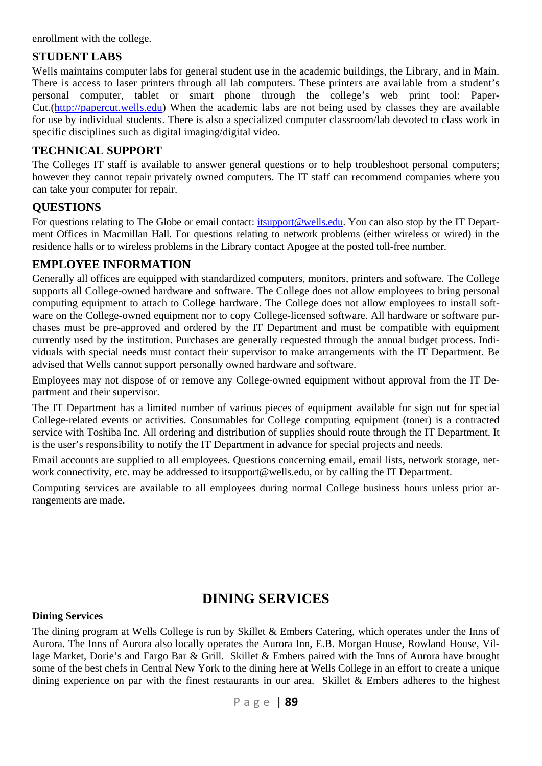enrollment with the college.

#### **STUDENT LABS**

Wells maintains computer labs for general student use in the academic buildings, the Library, and in Main. There is access to laser printers through all lab computers. These printers are available from a student's personal computer, tablet or smart phone through the college's web print tool: Paper-Cut.(http://papercut.wells.edu) When the academic labs are not being used by classes they are available for use by individual students. There is also a specialized computer classroom/lab devoted to class work in specific disciplines such as digital imaging/digital video.

### **TECHNICAL SUPPORT**

The Colleges IT staff is available to answer general questions or to help troubleshoot personal computers; however they cannot repair privately owned computers. The IT staff can recommend companies where you can take your computer for repair.

#### **QUESTIONS**

For questions relating to The Globe or email contact: itsupport@wells.edu. You can also stop by the IT Department Offices in Macmillan Hall. For questions relating to network problems (either wireless or wired) in the residence halls or to wireless problems in the Library contact Apogee at the posted toll-free number.

#### **EMPLOYEE INFORMATION**

Generally all offices are equipped with standardized computers, monitors, printers and software. The College supports all College-owned hardware and software. The College does not allow employees to bring personal computing equipment to attach to College hardware. The College does not allow employees to install software on the College-owned equipment nor to copy College-licensed software. All hardware or software purchases must be pre-approved and ordered by the IT Department and must be compatible with equipment currently used by the institution. Purchases are generally requested through the annual budget process. Individuals with special needs must contact their supervisor to make arrangements with the IT Department. Be advised that Wells cannot support personally owned hardware and software.

Employees may not dispose of or remove any College-owned equipment without approval from the IT Department and their supervisor.

The IT Department has a limited number of various pieces of equipment available for sign out for special College-related events or activities. Consumables for College computing equipment (toner) is a contracted service with Toshiba Inc. All ordering and distribution of supplies should route through the IT Department. It is the user's responsibility to notify the IT Department in advance for special projects and needs.

Email accounts are supplied to all employees. Questions concerning email, email lists, network storage, network connectivity, etc. may be addressed to itsupport@wells.edu, or by calling the IT Department.

Computing services are available to all employees during normal College business hours unless prior arrangements are made.

# **DINING SERVICES**

#### **Dining Services**

The dining program at Wells College is run by Skillet & Embers Catering, which operates under the Inns of Aurora. The Inns of Aurora also locally operates the Aurora Inn, E.B. Morgan House, Rowland House, Village Market, Dorie's and Fargo Bar & Grill. Skillet & Embers paired with the Inns of Aurora have brought some of the best chefs in Central New York to the dining here at Wells College in an effort to create a unique dining experience on par with the finest restaurants in our area. Skillet  $&$  Embers adheres to the highest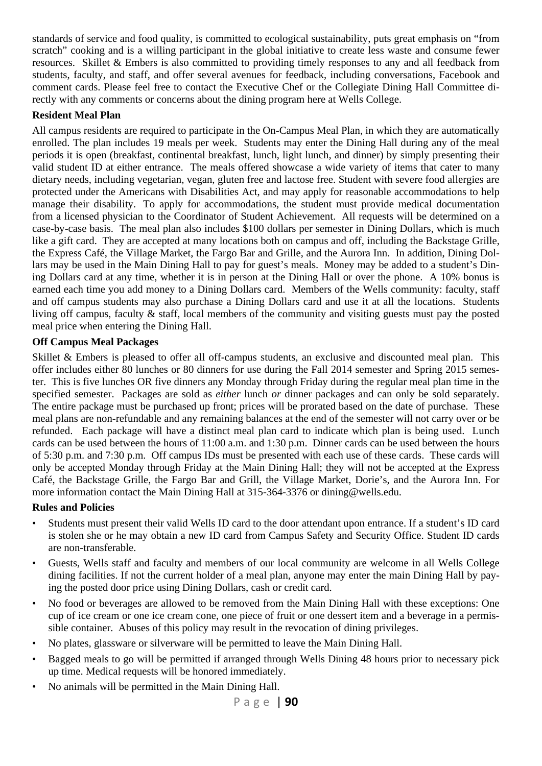standards of service and food quality, is committed to ecological sustainability, puts great emphasis on "from scratch" cooking and is a willing participant in the global initiative to create less waste and consume fewer resources. Skillet & Embers is also committed to providing timely responses to any and all feedback from students, faculty, and staff, and offer several avenues for feedback, including conversations, Facebook and comment cards. Please feel free to contact the Executive Chef or the Collegiate Dining Hall Committee directly with any comments or concerns about the dining program here at Wells College.

#### **Resident Meal Plan**

All campus residents are required to participate in the On-Campus Meal Plan, in which they are automatically enrolled. The plan includes 19 meals per week. Students may enter the Dining Hall during any of the meal periods it is open (breakfast, continental breakfast, lunch, light lunch, and dinner) by simply presenting their valid student ID at either entrance. The meals offered showcase a wide variety of items that cater to many dietary needs, including vegetarian, vegan, gluten free and lactose free. Student with severe food allergies are protected under the Americans with Disabilities Act, and may apply for reasonable accommodations to help manage their disability. To apply for accommodations, the student must provide medical documentation from a licensed physician to the Coordinator of Student Achievement. All requests will be determined on a case-by-case basis. The meal plan also includes \$100 dollars per semester in Dining Dollars, which is much like a gift card. They are accepted at many locations both on campus and off, including the Backstage Grille, the Express Café, the Village Market, the Fargo Bar and Grille, and the Aurora Inn. In addition, Dining Dollars may be used in the Main Dining Hall to pay for guest's meals. Money may be added to a student's Dining Dollars card at any time, whether it is in person at the Dining Hall or over the phone. A 10% bonus is earned each time you add money to a Dining Dollars card. Members of the Wells community: faculty, staff and off campus students may also purchase a Dining Dollars card and use it at all the locations. Students living off campus, faculty & staff, local members of the community and visiting guests must pay the posted meal price when entering the Dining Hall.

#### **Off Campus Meal Packages**

Skillet & Embers is pleased to offer all off-campus students, an exclusive and discounted meal plan. This offer includes either 80 lunches or 80 dinners for use during the Fall 2014 semester and Spring 2015 semester. This is five lunches OR five dinners any Monday through Friday during the regular meal plan time in the specified semester. Packages are sold as *either* lunch *or* dinner packages and can only be sold separately. The entire package must be purchased up front; prices will be prorated based on the date of purchase. These meal plans are non-refundable and any remaining balances at the end of the semester will not carry over or be refunded. Each package will have a distinct meal plan card to indicate which plan is being used. Lunch cards can be used between the hours of 11:00 a.m. and 1:30 p.m. Dinner cards can be used between the hours of 5:30 p.m. and 7:30 p.m. Off campus IDs must be presented with each use of these cards. These cards will only be accepted Monday through Friday at the Main Dining Hall; they will not be accepted at the Express Café, the Backstage Grille, the Fargo Bar and Grill, the Village Market, Dorie's, and the Aurora Inn. For more information contact the Main Dining Hall at 315-364-3376 or dining@wells.edu.

#### **Rules and Policies**

- Students must present their valid Wells ID card to the door attendant upon entrance. If a student's ID card is stolen she or he may obtain a new ID card from Campus Safety and Security Office. Student ID cards are non-transferable.
- Guests, Wells staff and faculty and members of our local community are welcome in all Wells College dining facilities. If not the current holder of a meal plan, anyone may enter the main Dining Hall by paying the posted door price using Dining Dollars, cash or credit card.
- No food or beverages are allowed to be removed from the Main Dining Hall with these exceptions: One cup of ice cream or one ice cream cone, one piece of fruit or one dessert item and a beverage in a permissible container. Abuses of this policy may result in the revocation of dining privileges.
- No plates, glassware or silverware will be permitted to leave the Main Dining Hall.
- Bagged meals to go will be permitted if arranged through Wells Dining 48 hours prior to necessary pick up time. Medical requests will be honored immediately.
- No animals will be permitted in the Main Dining Hall.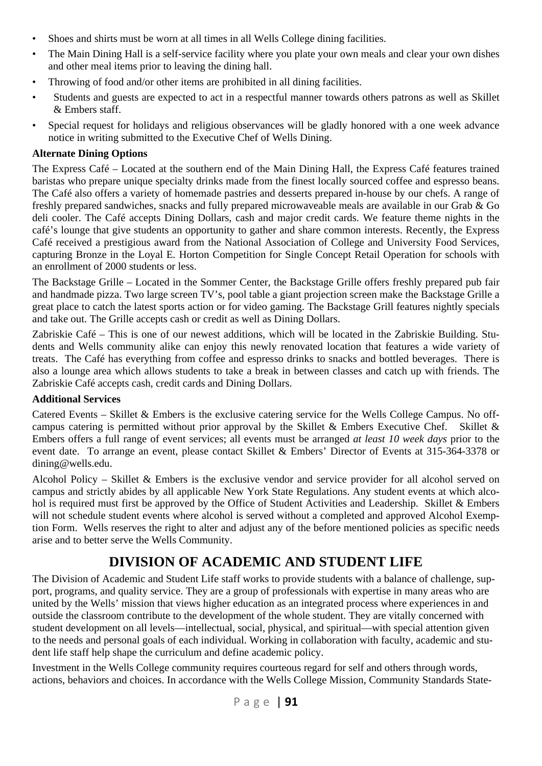- Shoes and shirts must be worn at all times in all Wells College dining facilities.
- The Main Dining Hall is a self-service facility where you plate your own meals and clear your own dishes and other meal items prior to leaving the dining hall.
- Throwing of food and/or other items are prohibited in all dining facilities.
- Students and guests are expected to act in a respectful manner towards others patrons as well as Skillet & Embers staff.
- Special request for holidays and religious observances will be gladly honored with a one week advance notice in writing submitted to the Executive Chef of Wells Dining.

#### **Alternate Dining Options**

The Express Café – Located at the southern end of the Main Dining Hall, the Express Café features trained baristas who prepare unique specialty drinks made from the finest locally sourced coffee and espresso beans. The Café also offers a variety of homemade pastries and desserts prepared in-house by our chefs. A range of freshly prepared sandwiches, snacks and fully prepared microwaveable meals are available in our Grab & Go deli cooler. The Café accepts Dining Dollars, cash and major credit cards. We feature theme nights in the café's lounge that give students an opportunity to gather and share common interests. Recently, the Express Café received a prestigious award from the National Association of College and University Food Services, capturing Bronze in the Loyal E. Horton Competition for Single Concept Retail Operation for schools with an enrollment of 2000 students or less.

The Backstage Grille – Located in the Sommer Center, the Backstage Grille offers freshly prepared pub fair and handmade pizza. Two large screen TV's, pool table a giant projection screen make the Backstage Grille a great place to catch the latest sports action or for video gaming. The Backstage Grill features nightly specials and take out. The Grille accepts cash or credit as well as Dining Dollars.

Zabriskie Café – This is one of our newest additions, which will be located in the Zabriskie Building. Students and Wells community alike can enjoy this newly renovated location that features a wide variety of treats. The Café has everything from coffee and espresso drinks to snacks and bottled beverages. There is also a lounge area which allows students to take a break in between classes and catch up with friends. The Zabriskie Café accepts cash, credit cards and Dining Dollars.

#### **Additional Services**

Catered Events – Skillet & Embers is the exclusive catering service for the Wells College Campus. No offcampus catering is permitted without prior approval by the Skillet & Embers Executive Chef. Skillet & Embers offers a full range of event services; all events must be arranged *at least 10 week days* prior to the event date. To arrange an event, please contact Skillet & Embers' Director of Events at 315-364-3378 or dining@wells.edu.

Alcohol Policy – Skillet & Embers is the exclusive vendor and service provider for all alcohol served on campus and strictly abides by all applicable New York State Regulations. Any student events at which alcohol is required must first be approved by the Office of Student Activities and Leadership. Skillet & Embers will not schedule student events where alcohol is served without a completed and approved Alcohol Exemption Form. Wells reserves the right to alter and adjust any of the before mentioned policies as specific needs arise and to better serve the Wells Community.

# **DIVISION OF ACADEMIC AND STUDENT LIFE**

The Division of Academic and Student Life staff works to provide students with a balance of challenge, support, programs, and quality service. They are a group of professionals with expertise in many areas who are united by the Wells' mission that views higher education as an integrated process where experiences in and outside the classroom contribute to the development of the whole student. They are vitally concerned with student development on all levels—intellectual, social, physical, and spiritual—with special attention given to the needs and personal goals of each individual. Working in collaboration with faculty, academic and student life staff help shape the curriculum and define academic policy.

Investment in the Wells College community requires courteous regard for self and others through words, actions, behaviors and choices. In accordance with the Wells College Mission, Community Standards State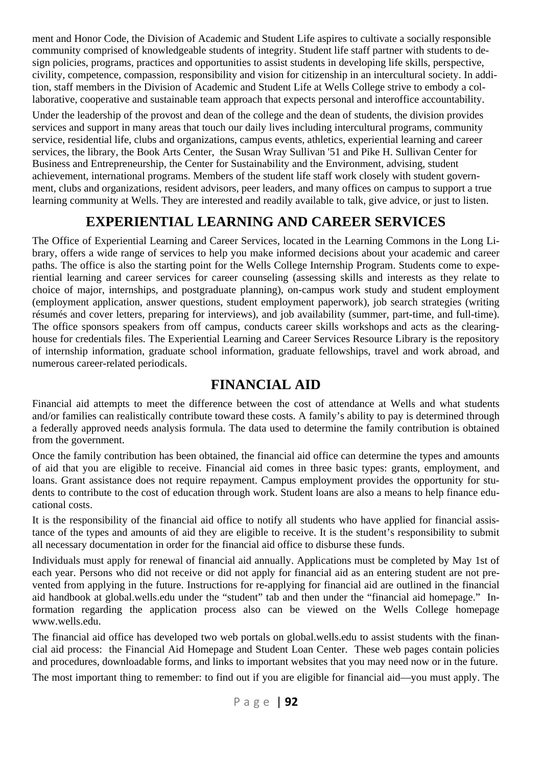ment and Honor Code, the Division of Academic and Student Life aspires to cultivate a socially responsible community comprised of knowledgeable students of integrity. Student life staff partner with students to design policies, programs, practices and opportunities to assist students in developing life skills, perspective, civility, competence, compassion, responsibility and vision for citizenship in an intercultural society. In addition, staff members in the Division of Academic and Student Life at Wells College strive to embody a collaborative, cooperative and sustainable team approach that expects personal and interoffice accountability.

Under the leadership of the provost and dean of the college and the dean of students, the division provides services and support in many areas that touch our daily lives including intercultural programs, community service, residential life, clubs and organizations, campus events, athletics, experiential learning and career services, the library, the Book Arts Center, the Susan Wray Sullivan '51 and Pike H. Sullivan Center for Business and Entrepreneurship, the Center for Sustainability and the Environment, advising, student achievement, international programs. Members of the student life staff work closely with student government, clubs and organizations, resident advisors, peer leaders, and many offices on campus to support a true learning community at Wells. They are interested and readily available to talk, give advice, or just to listen.

# **EXPERIENTIAL LEARNING AND CAREER SERVICES**

The Office of Experiential Learning and Career Services, located in the Learning Commons in the Long Library, offers a wide range of services to help you make informed decisions about your academic and career paths. The office is also the starting point for the Wells College Internship Program. Students come to experiential learning and career services for career counseling (assessing skills and interests as they relate to choice of major, internships, and postgraduate planning), on-campus work study and student employment (employment application, answer questions, student employment paperwork), job search strategies (writing résumés and cover letters, preparing for interviews), and job availability (summer, part-time, and full-time). The office sponsors speakers from off campus, conducts career skills workshops and acts as the clearinghouse for credentials files. The Experiential Learning and Career Services Resource Library is the repository of internship information, graduate school information, graduate fellowships, travel and work abroad, and numerous career-related periodicals.

# **FINANCIAL AID**

Financial aid attempts to meet the difference between the cost of attendance at Wells and what students and/or families can realistically contribute toward these costs. A family's ability to pay is determined through a federally approved needs analysis formula. The data used to determine the family contribution is obtained from the government.

Once the family contribution has been obtained, the financial aid office can determine the types and amounts of aid that you are eligible to receive. Financial aid comes in three basic types: grants, employment, and loans. Grant assistance does not require repayment. Campus employment provides the opportunity for students to contribute to the cost of education through work. Student loans are also a means to help finance educational costs.

It is the responsibility of the financial aid office to notify all students who have applied for financial assistance of the types and amounts of aid they are eligible to receive. It is the student's responsibility to submit all necessary documentation in order for the financial aid office to disburse these funds.

Individuals must apply for renewal of financial aid annually. Applications must be completed by May 1st of each year. Persons who did not receive or did not apply for financial aid as an entering student are not prevented from applying in the future. Instructions for re-applying for financial aid are outlined in the financial aid handbook at global.wells.edu under the "student" tab and then under the "financial aid homepage." Information regarding the application process also can be viewed on the Wells College homepage www.wells.edu.

The financial aid office has developed two web portals on global.wells.edu to assist students with the financial aid process: the Financial Aid Homepage and Student Loan Center. These web pages contain policies and procedures, downloadable forms, and links to important websites that you may need now or in the future.

The most important thing to remember: to find out if you are eligible for financial aid—you must apply. The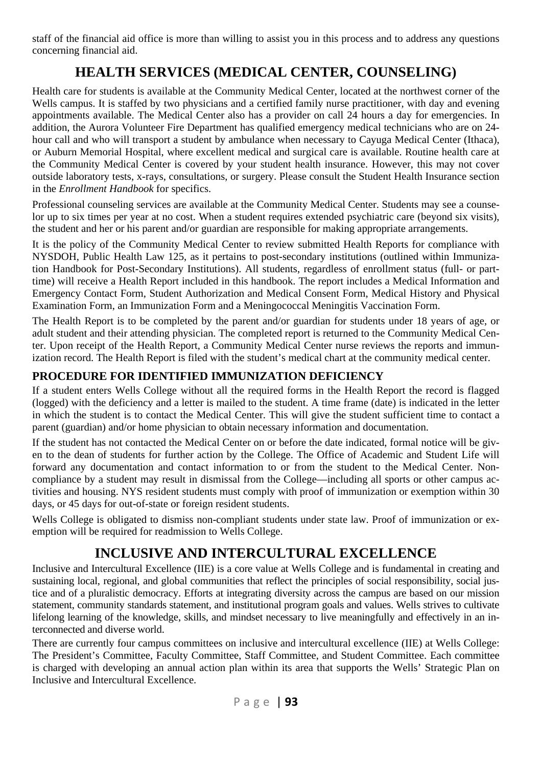staff of the financial aid office is more than willing to assist you in this process and to address any questions concerning financial aid.

# **HEALTH SERVICES (MEDICAL CENTER, COUNSELING)**

Health care for students is available at the Community Medical Center, located at the northwest corner of the Wells campus. It is staffed by two physicians and a certified family nurse practitioner, with day and evening appointments available. The Medical Center also has a provider on call 24 hours a day for emergencies. In addition, the Aurora Volunteer Fire Department has qualified emergency medical technicians who are on 24 hour call and who will transport a student by ambulance when necessary to Cayuga Medical Center (Ithaca), or Auburn Memorial Hospital, where excellent medical and surgical care is available. Routine health care at the Community Medical Center is covered by your student health insurance. However, this may not cover outside laboratory tests, x-rays, consultations, or surgery. Please consult the Student Health Insurance section in the *Enrollment Handbook* for specifics.

Professional counseling services are available at the Community Medical Center. Students may see a counselor up to six times per year at no cost. When a student requires extended psychiatric care (beyond six visits), the student and her or his parent and/or guardian are responsible for making appropriate arrangements.

It is the policy of the Community Medical Center to review submitted Health Reports for compliance with NYSDOH, Public Health Law 125, as it pertains to post-secondary institutions (outlined within Immunization Handbook for Post-Secondary Institutions). All students, regardless of enrollment status (full- or parttime) will receive a Health Report included in this handbook. The report includes a Medical Information and Emergency Contact Form, Student Authorization and Medical Consent Form, Medical History and Physical Examination Form, an Immunization Form and a Meningococcal Meningitis Vaccination Form.

The Health Report is to be completed by the parent and/or guardian for students under 18 years of age, or adult student and their attending physician. The completed report is returned to the Community Medical Center. Upon receipt of the Health Report, a Community Medical Center nurse reviews the reports and immunization record. The Health Report is filed with the student's medical chart at the community medical center.

# **PROCEDURE FOR IDENTIFIED IMMUNIZATION DEFICIENCY**

If a student enters Wells College without all the required forms in the Health Report the record is flagged (logged) with the deficiency and a letter is mailed to the student. A time frame (date) is indicated in the letter in which the student is to contact the Medical Center. This will give the student sufficient time to contact a parent (guardian) and/or home physician to obtain necessary information and documentation.

If the student has not contacted the Medical Center on or before the date indicated, formal notice will be given to the dean of students for further action by the College. The Office of Academic and Student Life will forward any documentation and contact information to or from the student to the Medical Center. Noncompliance by a student may result in dismissal from the College—including all sports or other campus activities and housing. NYS resident students must comply with proof of immunization or exemption within 30 days, or 45 days for out-of-state or foreign resident students.

Wells College is obligated to dismiss non-compliant students under state law. Proof of immunization or exemption will be required for readmission to Wells College.

# **INCLUSIVE AND INTERCULTURAL EXCELLENCE**

Inclusive and Intercultural Excellence (IIE) is a core value at Wells College and is fundamental in creating and sustaining local, regional, and global communities that reflect the principles of social responsibility, social justice and of a pluralistic democracy. Efforts at integrating diversity across the campus are based on our mission statement, community standards statement, and institutional program goals and values. Wells strives to cultivate lifelong learning of the knowledge, skills, and mindset necessary to live meaningfully and effectively in an interconnected and diverse world.

There are currently four campus committees on inclusive and intercultural excellence (IIE) at Wells College: The President's Committee, Faculty Committee, Staff Committee, and Student Committee. Each committee is charged with developing an annual action plan within its area that supports the Wells' Strategic Plan on Inclusive and Intercultural Excellence.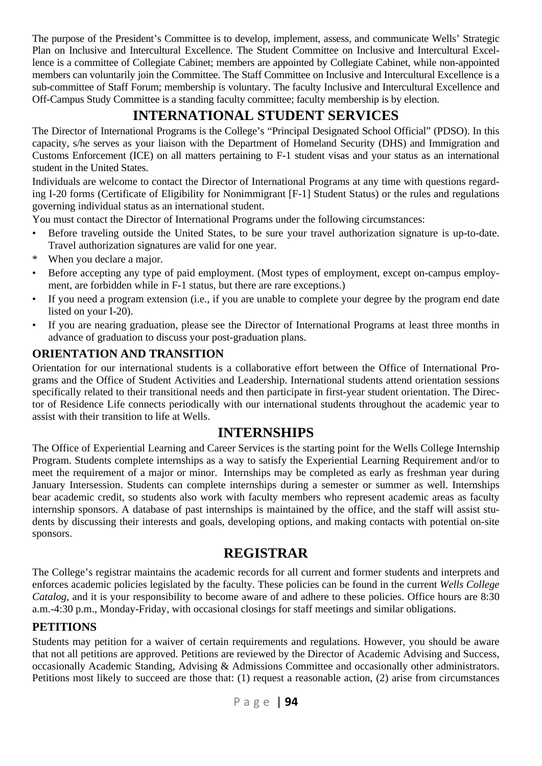The purpose of the President's Committee is to develop, implement, assess, and communicate Wells' Strategic Plan on Inclusive and Intercultural Excellence. The Student Committee on Inclusive and Intercultural Excellence is a committee of Collegiate Cabinet; members are appointed by Collegiate Cabinet, while non-appointed members can voluntarily join the Committee. The Staff Committee on Inclusive and Intercultural Excellence is a sub-committee of Staff Forum; membership is voluntary. The faculty Inclusive and Intercultural Excellence and Off-Campus Study Committee is a standing faculty committee; faculty membership is by election.

# **INTERNATIONAL STUDENT SERVICES**

The Director of International Programs is the College's "Principal Designated School Official" (PDSO). In this capacity, s/he serves as your liaison with the Department of Homeland Security (DHS) and Immigration and Customs Enforcement (ICE) on all matters pertaining to F-1 student visas and your status as an international student in the United States.

Individuals are welcome to contact the Director of International Programs at any time with questions regarding I-20 forms (Certificate of Eligibility for Nonimmigrant [F-1] Student Status) or the rules and regulations governing individual status as an international student.

You must contact the Director of International Programs under the following circumstances:

- Before traveling outside the United States, to be sure your travel authorization signature is up-to-date. Travel authorization signatures are valid for one year.
- When you declare a major.
- Before accepting any type of paid employment. (Most types of employment, except on-campus employment, are forbidden while in F-1 status, but there are rare exceptions.)
- If you need a program extension (i.e., if you are unable to complete your degree by the program end date listed on your I-20).
- If you are nearing graduation, please see the Director of International Programs at least three months in advance of graduation to discuss your post-graduation plans.

# **ORIENTATION AND TRANSITION**

Orientation for our international students is a collaborative effort between the Office of International Programs and the Office of Student Activities and Leadership. International students attend orientation sessions specifically related to their transitional needs and then participate in first-year student orientation. The Director of Residence Life connects periodically with our international students throughout the academic year to assist with their transition to life at Wells.

# **INTERNSHIPS**

The Office of Experiential Learning and Career Services is the starting point for the Wells College Internship Program. Students complete internships as a way to satisfy the Experiential Learning Requirement and/or to meet the requirement of a major or minor. Internships may be completed as early as freshman year during January Intersession. Students can complete internships during a semester or summer as well. Internships bear academic credit, so students also work with faculty members who represent academic areas as faculty internship sponsors. A database of past internships is maintained by the office, and the staff will assist students by discussing their interests and goals, developing options, and making contacts with potential on-site sponsors.

# **REGISTRAR**

The College's registrar maintains the academic records for all current and former students and interprets and enforces academic policies legislated by the faculty. These policies can be found in the current *Wells College Catalog*, and it is your responsibility to become aware of and adhere to these policies. Office hours are 8:30 a.m.-4:30 p.m., Monday-Friday, with occasional closings for staff meetings and similar obligations.

### **PETITIONS**

Students may petition for a waiver of certain requirements and regulations. However, you should be aware that not all petitions are approved. Petitions are reviewed by the Director of Academic Advising and Success, occasionally Academic Standing, Advising & Admissions Committee and occasionally other administrators. Petitions most likely to succeed are those that: (1) request a reasonable action, (2) arise from circumstances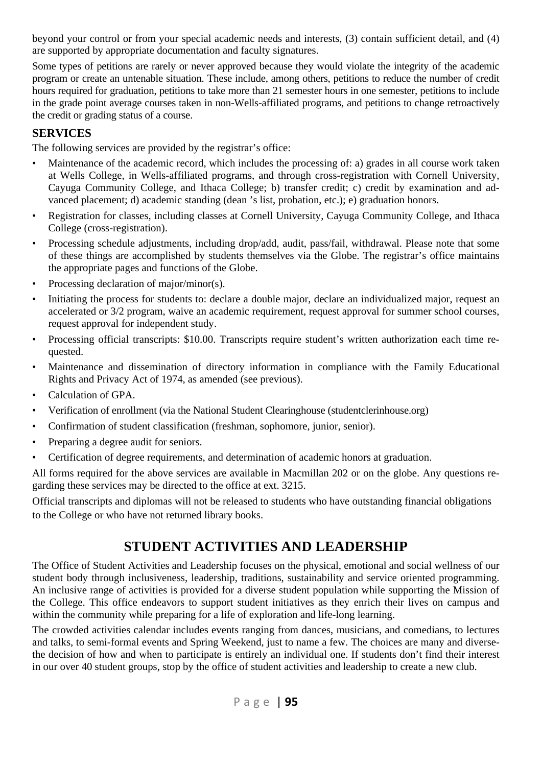beyond your control or from your special academic needs and interests, (3) contain sufficient detail, and (4) are supported by appropriate documentation and faculty signatures.

Some types of petitions are rarely or never approved because they would violate the integrity of the academic program or create an untenable situation. These include, among others, petitions to reduce the number of credit hours required for graduation, petitions to take more than 21 semester hours in one semester, petitions to include in the grade point average courses taken in non-Wells-affiliated programs, and petitions to change retroactively the credit or grading status of a course.

### **SERVICES**

The following services are provided by the registrar's office:

- Maintenance of the academic record, which includes the processing of: a) grades in all course work taken at Wells College, in Wells-affiliated programs, and through cross-registration with Cornell University, Cayuga Community College, and Ithaca College; b) transfer credit; c) credit by examination and advanced placement; d) academic standing (dean 's list, probation, etc.); e) graduation honors.
- Registration for classes, including classes at Cornell University, Cayuga Community College, and Ithaca College (cross-registration).
- Processing schedule adjustments, including drop/add, audit, pass/fail, withdrawal. Please note that some of these things are accomplished by students themselves via the Globe. The registrar's office maintains the appropriate pages and functions of the Globe.
- Processing declaration of major/minor(s).
- Initiating the process for students to: declare a double major, declare an individualized major, request an accelerated or 3/2 program, waive an academic requirement, request approval for summer school courses, request approval for independent study.
- Processing official transcripts: \$10.00. Transcripts require student's written authorization each time requested.
- Maintenance and dissemination of directory information in compliance with the Family Educational Rights and Privacy Act of 1974, as amended (see previous).
- Calculation of GPA.
- Verification of enrollment (via the National Student Clearinghouse (studentclerinhouse.org)
- Confirmation of student classification (freshman, sophomore, junior, senior).
- Preparing a degree audit for seniors.
- Certification of degree requirements, and determination of academic honors at graduation.

All forms required for the above services are available in Macmillan 202 or on the globe. Any questions regarding these services may be directed to the office at ext. 3215.

Official transcripts and diplomas will not be released to students who have outstanding financial obligations to the College or who have not returned library books.

# **STUDENT ACTIVITIES AND LEADERSHIP**

The Office of Student Activities and Leadership focuses on the physical, emotional and social wellness of our student body through inclusiveness, leadership, traditions, sustainability and service oriented programming. An inclusive range of activities is provided for a diverse student population while supporting the Mission of the College. This office endeavors to support student initiatives as they enrich their lives on campus and within the community while preparing for a life of exploration and life-long learning.

The crowded activities calendar includes events ranging from dances, musicians, and comedians, to lectures and talks, to semi-formal events and Spring Weekend, just to name a few. The choices are many and diversethe decision of how and when to participate is entirely an individual one. If students don't find their interest in our over 40 student groups, stop by the office of student activities and leadership to create a new club.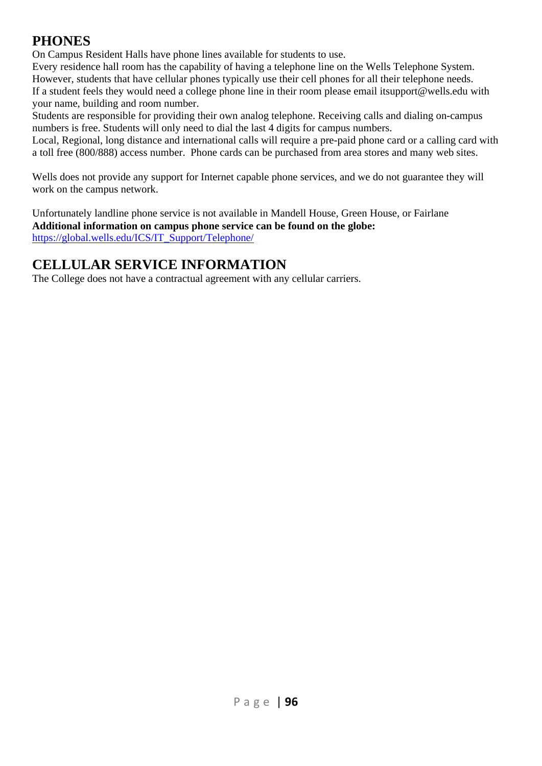# **PHONES**

On Campus Resident Halls have phone lines available for students to use.

Every residence hall room has the capability of having a telephone line on the Wells Telephone System. However, students that have cellular phones typically use their cell phones for all their telephone needs. If a student feels they would need a college phone line in their room please email itsupport@wells.edu with your name, building and room number.

Students are responsible for providing their own analog telephone. Receiving calls and dialing on-campus numbers is free. Students will only need to dial the last 4 digits for campus numbers.

Local, Regional, long distance and international calls will require a pre-paid phone card or a calling card with a toll free (800/888) access number. Phone cards can be purchased from area stores and many web sites.

Wells does not provide any support for Internet capable phone services, and we do not guarantee they will work on the campus network.

Unfortunately landline phone service is not available in Mandell House, Green House, or Fairlane **Additional information on campus phone service can be found on the globe:** https://global.wells.edu/ICS/IT\_Support/Telephone/

# **CELLULAR SERVICE INFORMATION**

The College does not have a contractual agreement with any cellular carriers.